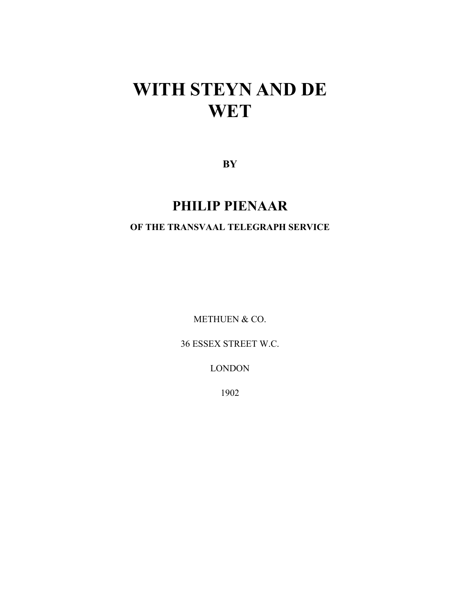# **WITH STEYN AND DE WET**

**BY**

## **PHILIP PIENAAR**

#### **OF THE TRANSVAAL TELEGRAPH SERVICE**

METHUEN & CO.

36 ESSEX STREET W.C.

LONDON

1902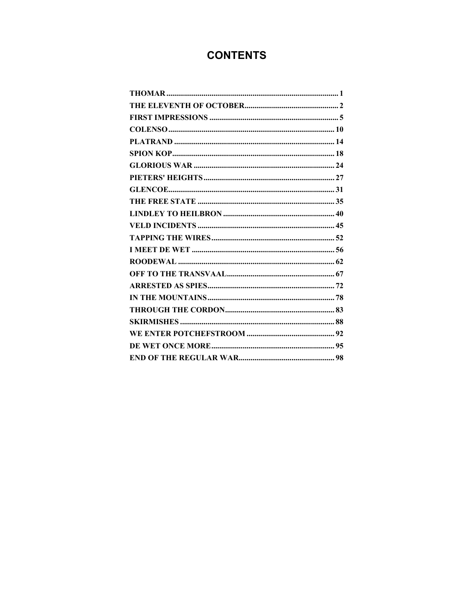### **CONTENTS**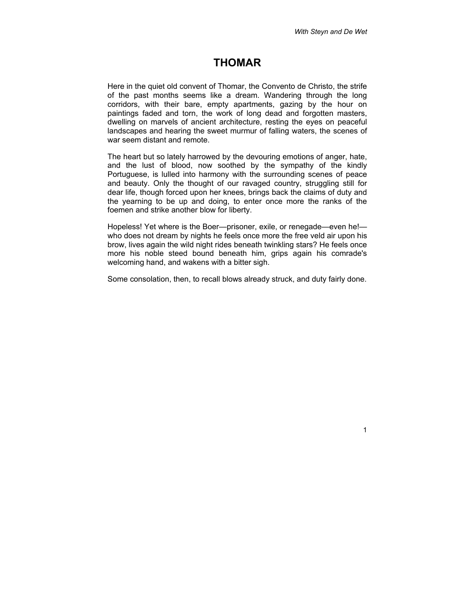#### <span id="page-2-0"></span>**THOMAR**

Here in the quiet old convent of Thomar, the Convento de Christo, the strife of the past months seems like a dream. Wandering through the long corridors, with their bare, empty apartments, gazing by the hour on paintings faded and torn, the work of long dead and forgotten masters, dwelling on marvels of ancient architecture, resting the eyes on peaceful landscapes and hearing the sweet murmur of falling waters, the scenes of war seem distant and remote.

The heart but so lately harrowed by the devouring emotions of anger, hate, and the lust of blood, now soothed by the sympathy of the kindly Portuguese, is lulled into harmony with the surrounding scenes of peace and beauty. Only the thought of our ravaged country, struggling still for dear life, though forced upon her knees, brings back the claims of duty and the yearning to be up and doing, to enter once more the ranks of the foemen and strike another blow for liberty.

Hopeless! Yet where is the Boer—prisoner, exile, or renegade—even he! who does not dream by nights he feels once more the free veld air upon his brow, lives again the wild night rides beneath twinkling stars? He feels once more his noble steed bound beneath him, grips again his comrade's welcoming hand, and wakens with a bitter sigh.

Some consolation, then, to recall blows already struck, and duty fairly done.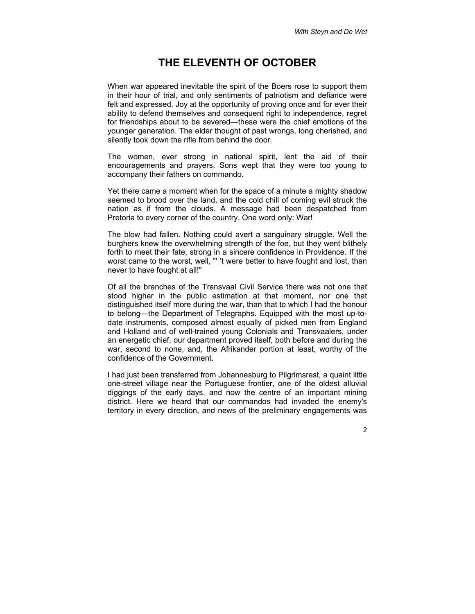#### <span id="page-3-0"></span>**THE ELEVENTH OF OCTOBER**

When war appeared inevitable the spirit of the Boers rose to support them in their hour of trial, and only sentiments of patriotism and defiance were felt and expressed. Joy at the opportunity of proving once and for ever their ability to defend themselves and consequent right to independence, regret for friendships about to be severed—these were the chief emotions of the younger generation. The elder thought of past wrongs, long cherished, and silently took down the rifle from behind the door.

The women, ever strong in national spirit, lent the aid of their encouragements and prayers. Sons wept that they were too young to accompany their fathers on commando.

Yet there came a moment when for the space of a minute a mighty shadow seemed to brood over the land, and the cold chill of coming evil struck the nation as if from the clouds. A message had been despatched from Pretoria to every corner of the country. One word only: War!

The blow had fallen. Nothing could avert a sanguinary struggle. Well the burghers knew the overwhelming strength of the foe, but they went blithely forth to meet their fate, strong in a sincere confidence in Providence. If the worst came to the worst, well, "' 't were better to have fought and lost, than never to have fought at all!"

Of all the branches of the Transvaal Civil Service there was not one that stood higher in the public estimation at that moment, nor one that distinguished itself more during the war, than that to which I had the honour to belong—the Department of Telegraphs. Equipped with the most up-todate instruments, composed almost equally of picked men from England and Holland and of well-trained young Colonials and Transvaalers, under an energetic chief, our department proved itself, both before and during the war, second to none, and, the Afrikander portion at least, worthy of the confidence of the Government.

I had just been transferred from Johannesburg to Pilgrimsrest, a quaint little one-street village near the Portuguese frontier, one of the oldest alluvial diggings of the early days, and now the centre of an important mining district. Here we heard that our commandos had invaded the enemy's territory in every direction, and news of the preliminary engagements was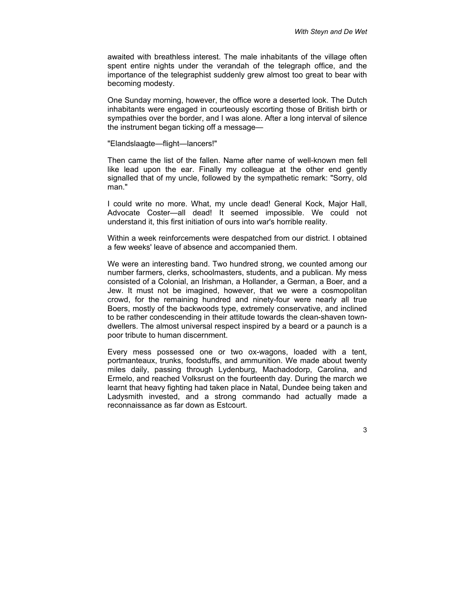awaited with breathless interest. The male inhabitants of the village often spent entire nights under the verandah of the telegraph office, and the importance of the telegraphist suddenly grew almost too great to bear with becoming modesty.

One Sunday morning, however, the office wore a deserted look. The Dutch inhabitants were engaged in courteously escorting those of British birth or sympathies over the border, and I was alone. After a long interval of silence the instrument began ticking off a message—

"Elandslaagte—flight—lancers!"

Then came the list of the fallen. Name after name of well-known men fell like lead upon the ear. Finally my colleague at the other end gently signalled that of my uncle, followed by the sympathetic remark: "Sorry, old man."

I could write no more. What, my uncle dead! General Kock, Major Hall, Advocate Coster—all dead! It seemed impossible. We could not understand it, this first initiation of ours into war's horrible reality.

Within a week reinforcements were despatched from our district. I obtained a few weeks' leave of absence and accompanied them.

We were an interesting band. Two hundred strong, we counted among our number farmers, clerks, schoolmasters, students, and a publican. My mess consisted of a Colonial, an Irishman, a Hollander, a German, a Boer, and a Jew. It must not be imagined, however, that we were a cosmopolitan crowd, for the remaining hundred and ninety-four were nearly all true Boers, mostly of the backwoods type, extremely conservative, and inclined to be rather condescending in their attitude towards the clean-shaven towndwellers. The almost universal respect inspired by a beard or a paunch is a poor tribute to human discernment.

Every mess possessed one or two ox-wagons, loaded with a tent, portmanteaux, trunks, foodstuffs, and ammunition. We made about twenty miles daily, passing through Lydenburg, Machadodorp, Carolina, and Ermelo, and reached Volksrust on the fourteenth day. During the march we learnt that heavy fighting had taken place in Natal, Dundee being taken and Ladysmith invested, and a strong commando had actually made a reconnaissance as far down as Estcourt.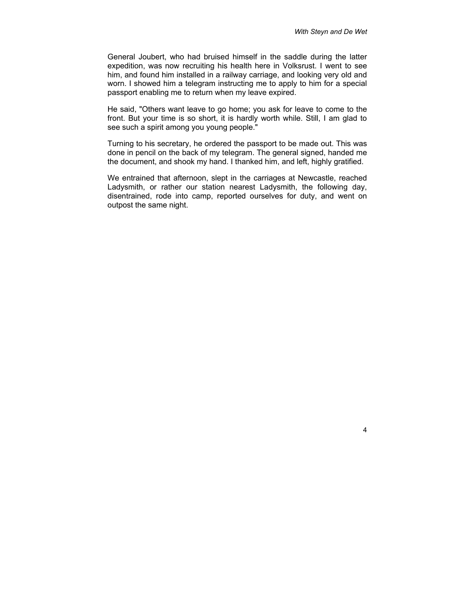General Joubert, who had bruised himself in the saddle during the latter expedition, was now recruiting his health here in Volksrust. I went to see him, and found him installed in a railway carriage, and looking very old and worn. I showed him a telegram instructing me to apply to him for a special passport enabling me to return when my leave expired.

He said, "Others want leave to go home; you ask for leave to come to the front. But your time is so short, it is hardly worth while. Still, I am glad to see such a spirit among you young people."

Turning to his secretary, he ordered the passport to be made out. This was done in pencil on the back of my telegram. The general signed, handed me the document, and shook my hand. I thanked him, and left, highly gratified.

We entrained that afternoon, slept in the carriages at Newcastle, reached Ladysmith, or rather our station nearest Ladysmith, the following day, disentrained, rode into camp, reported ourselves for duty, and went on outpost the same night.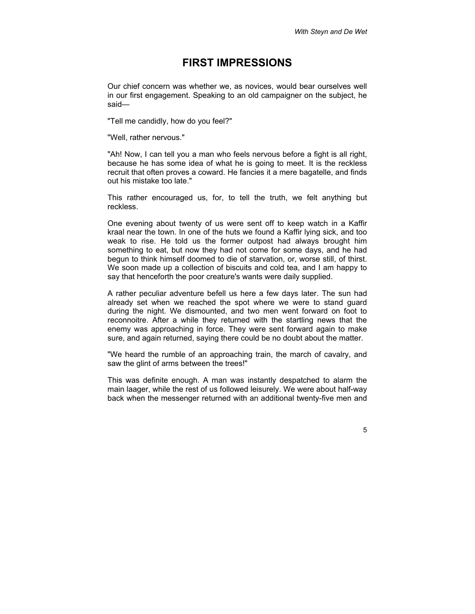#### <span id="page-6-0"></span>**FIRST IMPRESSIONS**

Our chief concern was whether we, as novices, would bear ourselves well in our first engagement. Speaking to an old campaigner on the subject, he said—

"Tell me candidly, how do you feel?"

"Well, rather nervous."

"Ah! Now, I can tell you a man who feels nervous before a fight is all right, because he has some idea of what he is going to meet. It is the reckless recruit that often proves a coward. He fancies it a mere bagatelle, and finds out his mistake too late."

This rather encouraged us, for, to tell the truth, we felt anything but reckless.

One evening about twenty of us were sent off to keep watch in a Kaffir kraal near the town. In one of the huts we found a Kaffir lying sick, and too weak to rise. He told us the former outpost had always brought him something to eat, but now they had not come for some days, and he had begun to think himself doomed to die of starvation, or, worse still, of thirst. We soon made up a collection of biscuits and cold tea, and I am happy to say that henceforth the poor creature's wants were daily supplied.

A rather peculiar adventure befell us here a few days later. The sun had already set when we reached the spot where we were to stand guard during the night. We dismounted, and two men went forward on foot to reconnoitre. After a while they returned with the startling news that the enemy was approaching in force. They were sent forward again to make sure, and again returned, saying there could be no doubt about the matter.

"We heard the rumble of an approaching train, the march of cavalry, and saw the glint of arms between the trees!"

This was definite enough. A man was instantly despatched to alarm the main laager, while the rest of us followed leisurely. We were about half-way back when the messenger returned with an additional twenty-five men and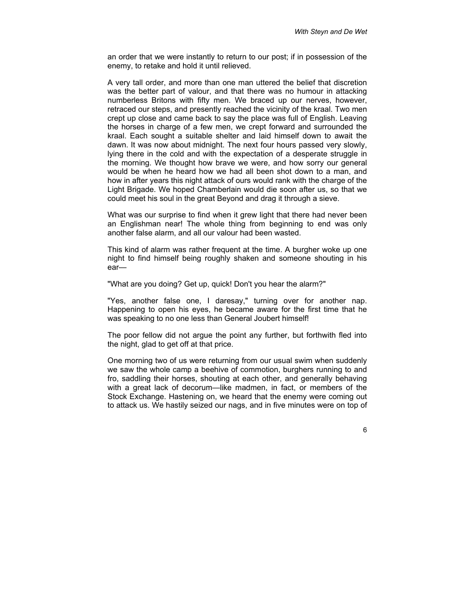an order that we were instantly to return to our post; if in possession of the enemy, to retake and hold it until relieved.

A very tall order, and more than one man uttered the belief that discretion was the better part of valour, and that there was no humour in attacking numberless Britons with fifty men. We braced up our nerves, however, retraced our steps, and presently reached the vicinity of the kraal. Two men crept up close and came back to say the place was full of English. Leaving the horses in charge of a few men, we crept forward and surrounded the kraal. Each sought a suitable shelter and laid himself down to await the dawn. It was now about midnight. The next four hours passed very slowly, lying there in the cold and with the expectation of a desperate struggle in the morning. We thought how brave we were, and how sorry our general would be when he heard how we had all been shot down to a man, and how in after years this night attack of ours would rank with the charge of the Light Brigade. We hoped Chamberlain would die soon after us, so that we could meet his soul in the great Beyond and drag it through a sieve.

What was our surprise to find when it grew light that there had never been an Englishman near! The whole thing from beginning to end was only another false alarm, and all our valour had been wasted.

This kind of alarm was rather frequent at the time. A burgher woke up one night to find himself being roughly shaken and someone shouting in his ear—

"What are you doing? Get up, quick! Don't you hear the alarm?"

"Yes, another false one, I daresay," turning over for another nap. Happening to open his eyes, he became aware for the first time that he was speaking to no one less than General Joubert himself!

The poor fellow did not argue the point any further, but forthwith fled into the night, glad to get off at that price.

One morning two of us were returning from our usual swim when suddenly we saw the whole camp a beehive of commotion, burghers running to and fro, saddling their horses, shouting at each other, and generally behaving with a great lack of decorum—like madmen, in fact, or members of the Stock Exchange. Hastening on, we heard that the enemy were coming out to attack us. We hastily seized our nags, and in five minutes were on top of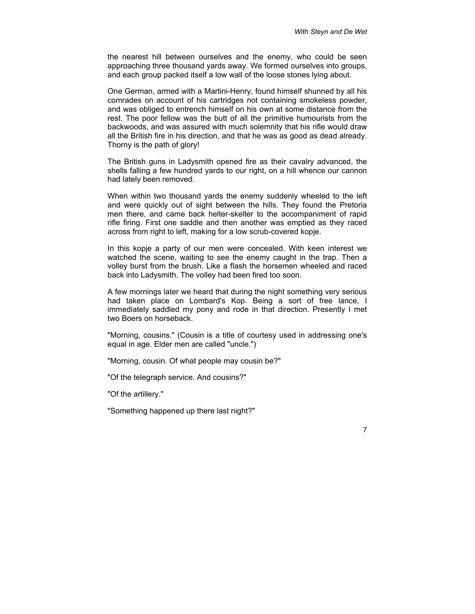the nearest hill between ourselves and the enemy, who could be seen approaching three thousand yards away. We formed ourselves into groups, and each group packed itself a low wall of the loose stones lying about.

One German, armed with a Martini-Henry, found himself shunned by all his comrades on account of his cartridges not containing smokeless powder, and was obliged to entrench himself on his own at some distance from the rest. The poor fellow was the butt of all the primitive humourists from the backwoods, and was assured with much solemnity that his rifle would draw all the British fire in his direction, and that he was as good as dead already. Thorny is the path of glory!

The British guns in Ladysmith opened fire as their cavalry advanced, the shells falling a few hundred yards to our right, on a hill whence our cannon had lately been removed.

When within two thousand yards the enemy suddenly wheeled to the left and were quickly out of sight between the hills. They found the Pretoria men there, and came back helter-skelter to the accompaniment of rapid rifle firing. First one saddle and then another was emptied as they raced across from right to left, making for a low scrub-covered kopje.

In this kopje a party of our men were concealed. With keen interest we watched the scene, waiting to see the enemy caught in the trap. Then a volley burst from the brush. Like a flash the horsemen wheeled and raced back into Ladysmith. The volley had been fired too soon.

A few mornings later we heard that during the night something very serious had taken place on Lombard's Kop. Being a sort of free lance, I immediately saddled my pony and rode in that direction. Presently I met two Boers on horseback.

"Morning, cousins." (Cousin is a title of courtesy used in addressing one's equal in age. Elder men are called "uncle.")

"Morning, cousin. Of what people may cousin be?"

"Of the telegraph service. And cousins?"

"Of the artillery."

"Something happened up there last night?"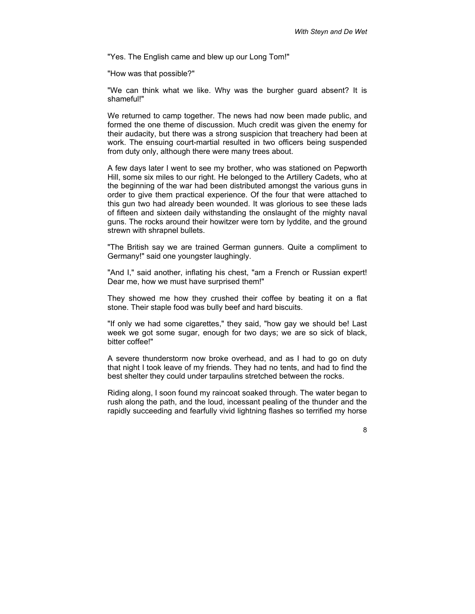"Yes. The English came and blew up our Long Tom!"

"How was that possible?"

"We can think what we like. Why was the burgher guard absent? It is shameful!"

We returned to camp together. The news had now been made public, and formed the one theme of discussion. Much credit was given the enemy for their audacity, but there was a strong suspicion that treachery had been at work. The ensuing court-martial resulted in two officers being suspended from duty only, although there were many trees about.

A few days later I went to see my brother, who was stationed on Pepworth Hill, some six miles to our right. He belonged to the Artillery Cadets, who at the beginning of the war had been distributed amongst the various guns in order to give them practical experience. Of the four that were attached to this gun two had already been wounded. It was glorious to see these lads of fifteen and sixteen daily withstanding the onslaught of the mighty naval guns. The rocks around their howitzer were torn by lyddite, and the ground strewn with shrapnel bullets.

"The British say we are trained German gunners. Quite a compliment to Germany!" said one youngster laughingly.

"And I," said another, inflating his chest, "am a French or Russian expert! Dear me, how we must have surprised them!"

They showed me how they crushed their coffee by beating it on a flat stone. Their staple food was bully beef and hard biscuits.

"If only we had some cigarettes," they said, "how gay we should be! Last week we got some sugar, enough for two days; we are so sick of black, bitter coffee!"

A severe thunderstorm now broke overhead, and as I had to go on duty that night I took leave of my friends. They had no tents, and had to find the best shelter they could under tarpaulins stretched between the rocks.

Riding along, I soon found my raincoat soaked through. The water began to rush along the path, and the loud, incessant pealing of the thunder and the rapidly succeeding and fearfully vivid lightning flashes so terrified my horse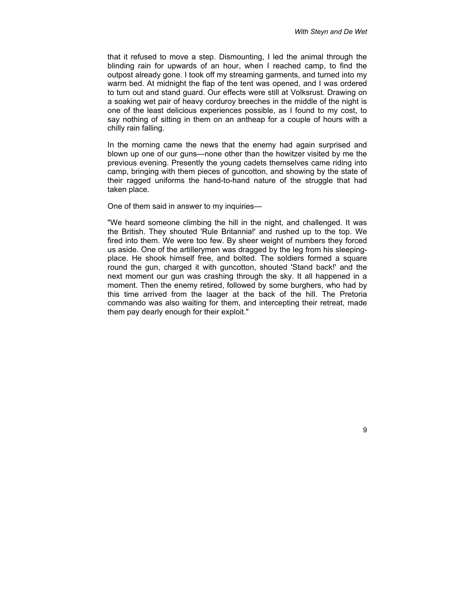that it refused to move a step. Dismounting, I led the animal through the blinding rain for upwards of an hour, when I reached camp, to find the outpost already gone. I took off my streaming garments, and turned into my warm bed. At midnight the flap of the tent was opened, and I was ordered to turn out and stand guard. Our effects were still at Volksrust. Drawing on a soaking wet pair of heavy corduroy breeches in the middle of the night is one of the least delicious experiences possible, as I found to my cost, to say nothing of sitting in them on an antheap for a couple of hours with a chilly rain falling.

In the morning came the news that the enemy had again surprised and blown up one of our guns—none other than the howitzer visited by me the previous evening. Presently the young cadets themselves came riding into camp, bringing with them pieces of guncotton, and showing by the state of their ragged uniforms the hand-to-hand nature of the struggle that had taken place.

One of them said in answer to my inquiries—

"We heard someone climbing the hill in the night, and challenged. It was the British. They shouted 'Rule Britannia!' and rushed up to the top. We fired into them. We were too few. By sheer weight of numbers they forced us aside. One of the artillerymen was dragged by the leg from his sleepingplace. He shook himself free, and bolted. The soldiers formed a square round the gun, charged it with guncotton, shouted 'Stand back!' and the next moment our gun was crashing through the sky. It all happened in a moment. Then the enemy retired, followed by some burghers, who had by this time arrived from the laager at the back of the hill. The Pretoria commando was also waiting for them, and intercepting their retreat, made them pay dearly enough for their exploit."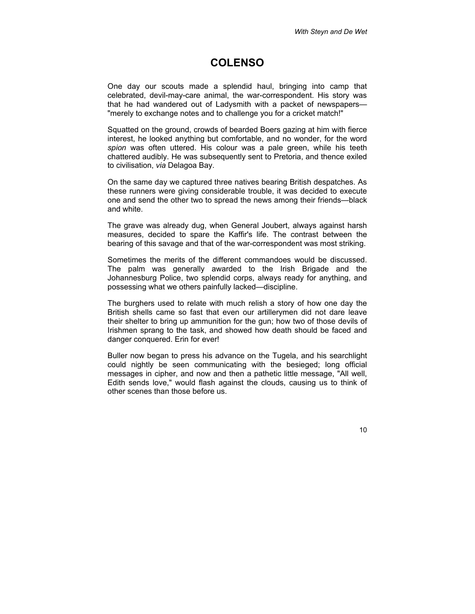#### <span id="page-11-0"></span>**COLENSO**

One day our scouts made a splendid haul, bringing into camp that celebrated, devil-may-care animal, the war-correspondent. His story was that he had wandered out of Ladysmith with a packet of newspapers— "merely to exchange notes and to challenge you for a cricket match!"

Squatted on the ground, crowds of bearded Boers gazing at him with fierce interest, he looked anything but comfortable, and no wonder, for the word *spion* was often uttered. His colour was a pale green, while his teeth chattered audibly. He was subsequently sent to Pretoria, and thence exiled to civilisation, *via* Delagoa Bay.

On the same day we captured three natives bearing British despatches. As these runners were giving considerable trouble, it was decided to execute one and send the other two to spread the news among their friends—black and white.

The grave was already dug, when General Joubert, always against harsh measures, decided to spare the Kaffir's life. The contrast between the bearing of this savage and that of the war-correspondent was most striking.

Sometimes the merits of the different commandoes would be discussed. The palm was generally awarded to the Irish Brigade and the Johannesburg Police, two splendid corps, always ready for anything, and possessing what we others painfully lacked—discipline.

The burghers used to relate with much relish a story of how one day the British shells came so fast that even our artillerymen did not dare leave their shelter to bring up ammunition for the gun; how two of those devils of Irishmen sprang to the task, and showed how death should be faced and danger conquered. Erin for ever!

Buller now began to press his advance on the Tugela, and his searchlight could nightly be seen communicating with the besieged; long official messages in cipher, and now and then a pathetic little message, "All well, Edith sends love," would flash against the clouds, causing us to think of other scenes than those before us.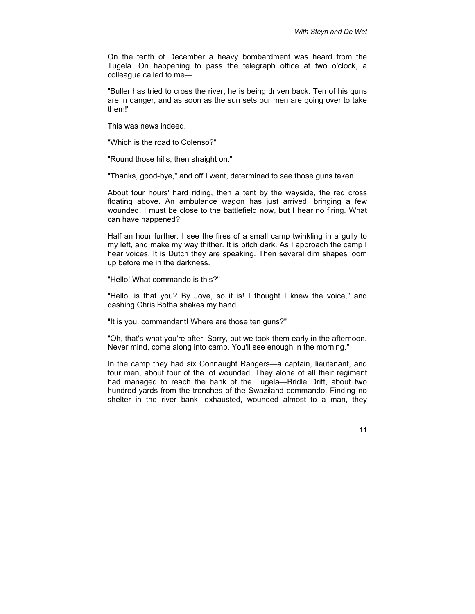On the tenth of December a heavy bombardment was heard from the Tugela. On happening to pass the telegraph office at two o'clock, a colleague called to me—

"Buller has tried to cross the river; he is being driven back. Ten of his guns are in danger, and as soon as the sun sets our men are going over to take them!"

This was news indeed.

"Which is the road to Colenso?"

"Round those hills, then straight on."

"Thanks, good-bye," and off I went, determined to see those guns taken.

About four hours' hard riding, then a tent by the wayside, the red cross floating above. An ambulance wagon has just arrived, bringing a few wounded. I must be close to the battlefield now, but I hear no firing. What can have happened?

Half an hour further. I see the fires of a small camp twinkling in a gully to my left, and make my way thither. It is pitch dark. As I approach the camp I hear voices. It is Dutch they are speaking. Then several dim shapes loom up before me in the darkness.

"Hello! What commando is this?"

"Hello, is that you? By Jove, so it is! I thought I knew the voice," and dashing Chris Botha shakes my hand.

"It is you, commandant! Where are those ten guns?"

"Oh, that's what you're after. Sorry, but we took them early in the afternoon. Never mind, come along into camp. You'll see enough in the morning."

In the camp they had six Connaught Rangers—a captain, lieutenant, and four men, about four of the lot wounded. They alone of all their regiment had managed to reach the bank of the Tugela—Bridle Drift, about two hundred yards from the trenches of the Swaziland commando. Finding no shelter in the river bank, exhausted, wounded almost to a man, they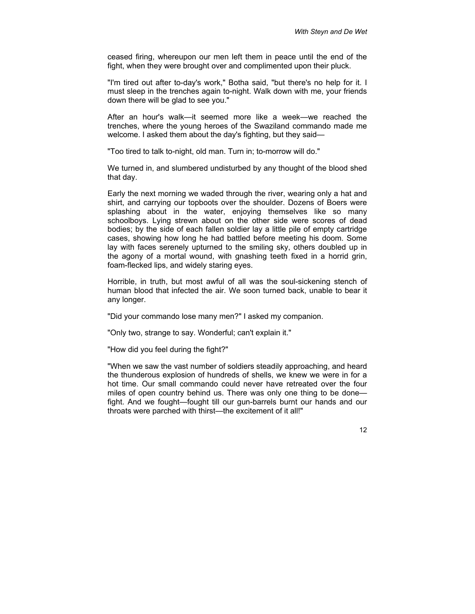ceased firing, whereupon our men left them in peace until the end of the fight, when they were brought over and complimented upon their pluck.

"I'm tired out after to-day's work," Botha said, "but there's no help for it. I must sleep in the trenches again to-night. Walk down with me, your friends down there will be glad to see you."

After an hour's walk—it seemed more like a week—we reached the trenches, where the young heroes of the Swaziland commando made me welcome. I asked them about the day's fighting, but they said—

"Too tired to talk to-night, old man. Turn in; to-morrow will do."

We turned in, and slumbered undisturbed by any thought of the blood shed that day.

Early the next morning we waded through the river, wearing only a hat and shirt, and carrying our topboots over the shoulder. Dozens of Boers were splashing about in the water, enjoying themselves like so many schoolboys. Lying strewn about on the other side were scores of dead bodies; by the side of each fallen soldier lay a little pile of empty cartridge cases, showing how long he had battled before meeting his doom. Some lay with faces serenely upturned to the smiling sky, others doubled up in the agony of a mortal wound, with gnashing teeth fixed in a horrid grin, foam-flecked lips, and widely staring eyes.

Horrible, in truth, but most awful of all was the soul-sickening stench of human blood that infected the air. We soon turned back, unable to bear it any longer.

"Did your commando lose many men?" I asked my companion.

"Only two, strange to say. Wonderful; can't explain it."

"How did you feel during the fight?"

"When we saw the vast number of soldiers steadily approaching, and heard the thunderous explosion of hundreds of shells, we knew we were in for a hot time. Our small commando could never have retreated over the four miles of open country behind us. There was only one thing to be done fight. And we fought—fought till our gun-barrels burnt our hands and our throats were parched with thirst—the excitement of it all!"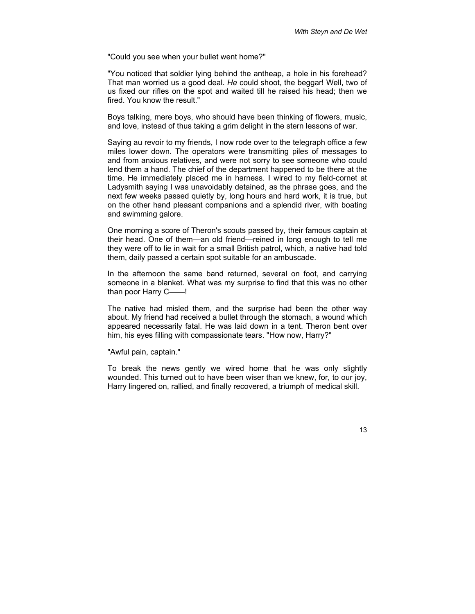"Could you see when your bullet went home?"

"You noticed that soldier lying behind the antheap, a hole in his forehead? That man worried us a good deal. *He* could shoot, the beggar! Well, two of us fixed our rifles on the spot and waited till he raised his head; then we fired. You know the result."

Boys talking, mere boys, who should have been thinking of flowers, music, and love, instead of thus taking a grim delight in the stern lessons of war.

Saying au revoir to my friends, I now rode over to the telegraph office a few miles lower down. The operators were transmitting piles of messages to and from anxious relatives, and were not sorry to see someone who could lend them a hand. The chief of the department happened to be there at the time. He immediately placed me in harness. I wired to my field-cornet at Ladysmith saying I was unavoidably detained, as the phrase goes, and the next few weeks passed quietly by, long hours and hard work, it is true, but on the other hand pleasant companions and a splendid river, with boating and swimming galore.

One morning a score of Theron's scouts passed by, their famous captain at their head. One of them—an old friend—reined in long enough to tell me they were off to lie in wait for a small British patrol, which, a native had told them, daily passed a certain spot suitable for an ambuscade.

In the afternoon the same band returned, several on foot, and carrying someone in a blanket. What was my surprise to find that this was no other than poor Harry C——!

The native had misled them, and the surprise had been the other way about. My friend had received a bullet through the stomach, a wound which appeared necessarily fatal. He was laid down in a tent. Theron bent over him, his eyes filling with compassionate tears. "How now, Harry?"

"Awful pain, captain."

To break the news gently we wired home that he was only slightly wounded. This turned out to have been wiser than we knew, for, to our joy, Harry lingered on, rallied, and finally recovered, a triumph of medical skill.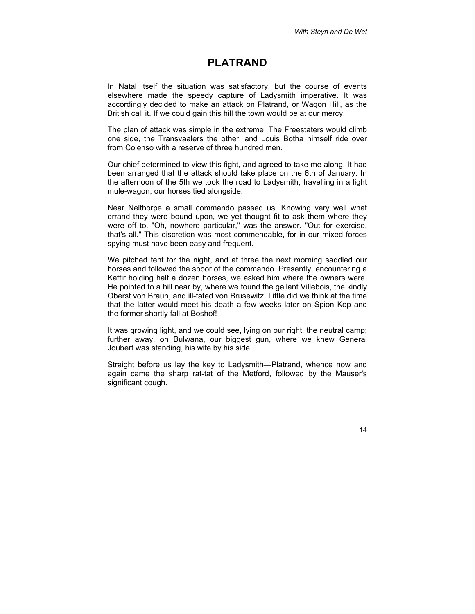#### <span id="page-15-0"></span>**PLATRAND**

In Natal itself the situation was satisfactory, but the course of events elsewhere made the speedy capture of Ladysmith imperative. It was accordingly decided to make an attack on Platrand, or Wagon Hill, as the British call it. If we could gain this hill the town would be at our mercy.

The plan of attack was simple in the extreme. The Freestaters would climb one side, the Transvaalers the other, and Louis Botha himself ride over from Colenso with a reserve of three hundred men.

Our chief determined to view this fight, and agreed to take me along. It had been arranged that the attack should take place on the 6th of January. In the afternoon of the 5th we took the road to Ladysmith, travelling in a light mule-wagon, our horses tied alongside.

Near Nelthorpe a small commando passed us. Knowing very well what errand they were bound upon, we yet thought fit to ask them where they were off to. "Oh, nowhere particular," was the answer. "Out for exercise, that's all." This discretion was most commendable, for in our mixed forces spying must have been easy and frequent.

We pitched tent for the night, and at three the next morning saddled our horses and followed the spoor of the commando. Presently, encountering a Kaffir holding half a dozen horses, we asked him where the owners were. He pointed to a hill near by, where we found the gallant Villebois, the kindly Oberst von Braun, and ill-fated von Brusewitz. Little did we think at the time that the latter would meet his death a few weeks later on Spion Kop and the former shortly fall at Boshof!

It was growing light, and we could see, lying on our right, the neutral camp; further away, on Bulwana, our biggest gun, where we knew General Joubert was standing, his wife by his side.

Straight before us lay the key to Ladysmith—Platrand, whence now and again came the sharp rat-tat of the Metford, followed by the Mauser's significant cough.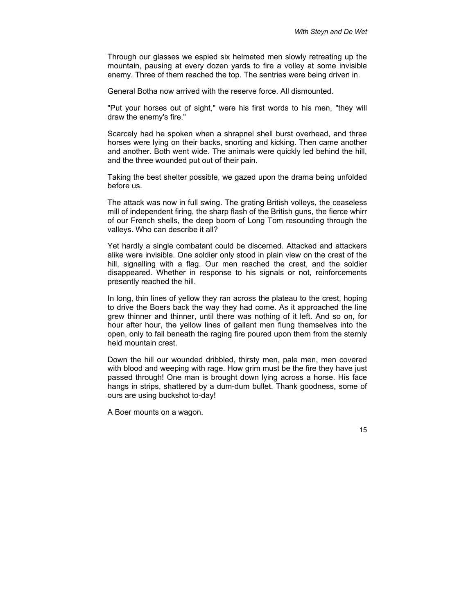Through our glasses we espied six helmeted men slowly retreating up the mountain, pausing at every dozen yards to fire a volley at some invisible enemy. Three of them reached the top. The sentries were being driven in.

General Botha now arrived with the reserve force. All dismounted.

"Put your horses out of sight," were his first words to his men, "they will draw the enemy's fire."

Scarcely had he spoken when a shrapnel shell burst overhead, and three horses were lying on their backs, snorting and kicking. Then came another and another. Both went wide. The animals were quickly led behind the hill, and the three wounded put out of their pain.

Taking the best shelter possible, we gazed upon the drama being unfolded before us.

The attack was now in full swing. The grating British volleys, the ceaseless mill of independent firing, the sharp flash of the British guns, the fierce whirr of our French shells, the deep boom of Long Tom resounding through the valleys. Who can describe it all?

Yet hardly a single combatant could be discerned. Attacked and attackers alike were invisible. One soldier only stood in plain view on the crest of the hill, signalling with a flag. Our men reached the crest, and the soldier disappeared. Whether in response to his signals or not, reinforcements presently reached the hill.

In long, thin lines of yellow they ran across the plateau to the crest, hoping to drive the Boers back the way they had come. As it approached the line grew thinner and thinner, until there was nothing of it left. And so on, for hour after hour, the yellow lines of gallant men flung themselves into the open, only to fall beneath the raging fire poured upon them from the sternly held mountain crest.

Down the hill our wounded dribbled, thirsty men, pale men, men covered with blood and weeping with rage. How grim must be the fire they have just passed through! One man is brought down lying across a horse. His face hangs in strips, shattered by a dum-dum bullet. Thank goodness, some of ours are using buckshot to-day!

A Boer mounts on a wagon.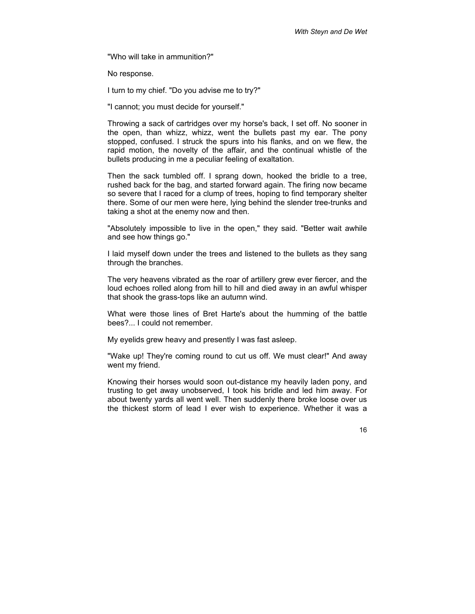"Who will take in ammunition?"

No response.

I turn to my chief. "Do you advise me to try?"

"I cannot; you must decide for yourself."

Throwing a sack of cartridges over my horse's back, I set off. No sooner in the open, than whizz, whizz, went the bullets past my ear. The pony stopped, confused. I struck the spurs into his flanks, and on we flew, the rapid motion, the novelty of the affair, and the continual whistle of the bullets producing in me a peculiar feeling of exaltation.

Then the sack tumbled off. I sprang down, hooked the bridle to a tree, rushed back for the bag, and started forward again. The firing now became so severe that I raced for a clump of trees, hoping to find temporary shelter there. Some of our men were here, lying behind the slender tree-trunks and taking a shot at the enemy now and then.

"Absolutely impossible to live in the open," they said. "Better wait awhile and see how things go."

I laid myself down under the trees and listened to the bullets as they sang through the branches.

The very heavens vibrated as the roar of artillery grew ever fiercer, and the loud echoes rolled along from hill to hill and died away in an awful whisper that shook the grass-tops like an autumn wind.

What were those lines of Bret Harte's about the humming of the battle bees?... I could not remember.

My eyelids grew heavy and presently I was fast asleep.

"Wake up! They're coming round to cut us off. We must clear!" And away went my friend.

Knowing their horses would soon out-distance my heavily laden pony, and trusting to get away unobserved, I took his bridle and led him away. For about twenty yards all went well. Then suddenly there broke loose over us the thickest storm of lead I ever wish to experience. Whether it was a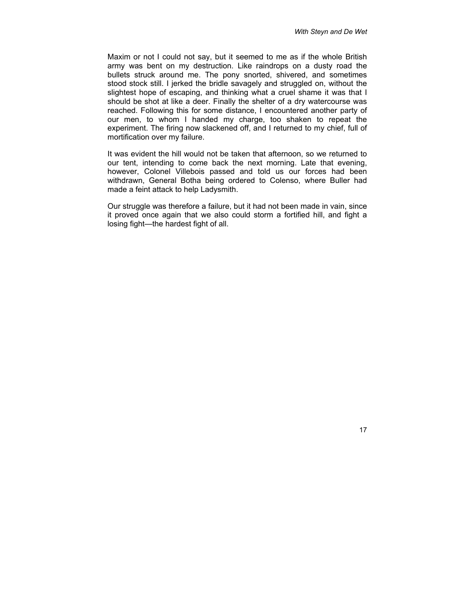Maxim or not I could not say, but it seemed to me as if the whole British army was bent on my destruction. Like raindrops on a dusty road the bullets struck around me. The pony snorted, shivered, and sometimes stood stock still. I jerked the bridle savagely and struggled on, without the slightest hope of escaping, and thinking what a cruel shame it was that I should be shot at like a deer. Finally the shelter of a dry watercourse was reached. Following this for some distance, I encountered another party of our men, to whom I handed my charge, too shaken to repeat the experiment. The firing now slackened off, and I returned to my chief, full of mortification over my failure.

It was evident the hill would not be taken that afternoon, so we returned to our tent, intending to come back the next morning. Late that evening, however, Colonel Villebois passed and told us our forces had been withdrawn, General Botha being ordered to Colenso, where Buller had made a feint attack to help Ladysmith.

Our struggle was therefore a failure, but it had not been made in vain, since it proved once again that we also could storm a fortified hill, and fight a losing fight—the hardest fight of all.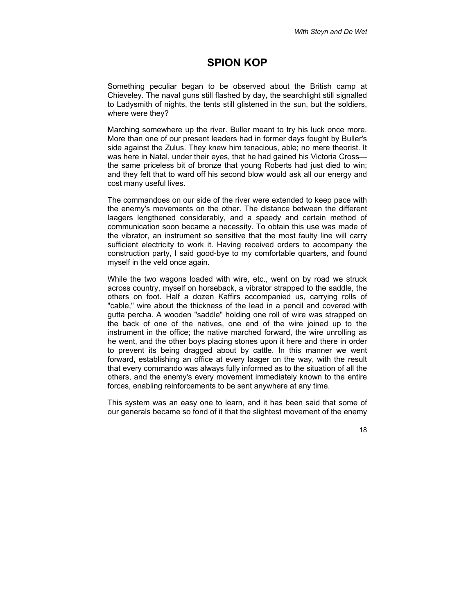#### <span id="page-19-0"></span>**SPION KOP**

Something peculiar began to be observed about the British camp at Chieveley. The naval guns still flashed by day, the searchlight still signalled to Ladysmith of nights, the tents still glistened in the sun, but the soldiers, where were they?

Marching somewhere up the river. Buller meant to try his luck once more. More than one of our present leaders had in former days fought by Buller's side against the Zulus. They knew him tenacious, able; no mere theorist. It was here in Natal, under their eyes, that he had gained his Victoria Crossthe same priceless bit of bronze that young Roberts had just died to win; and they felt that to ward off his second blow would ask all our energy and cost many useful lives.

The commandoes on our side of the river were extended to keep pace with the enemy's movements on the other. The distance between the different laagers lengthened considerably, and a speedy and certain method of communication soon became a necessity. To obtain this use was made of the vibrator, an instrument so sensitive that the most faulty line will carry sufficient electricity to work it. Having received orders to accompany the construction party, I said good-bye to my comfortable quarters, and found myself in the veld once again.

While the two wagons loaded with wire, etc., went on by road we struck across country, myself on horseback, a vibrator strapped to the saddle, the others on foot. Half a dozen Kaffirs accompanied us, carrying rolls of "cable," wire about the thickness of the lead in a pencil and covered with gutta percha. A wooden "saddle" holding one roll of wire was strapped on the back of one of the natives, one end of the wire joined up to the instrument in the office; the native marched forward, the wire unrolling as he went, and the other boys placing stones upon it here and there in order to prevent its being dragged about by cattle. In this manner we went forward, establishing an office at every laager on the way, with the result that every commando was always fully informed as to the situation of all the others, and the enemy's every movement immediately known to the entire forces, enabling reinforcements to be sent anywhere at any time.

This system was an easy one to learn, and it has been said that some of our generals became so fond of it that the slightest movement of the enemy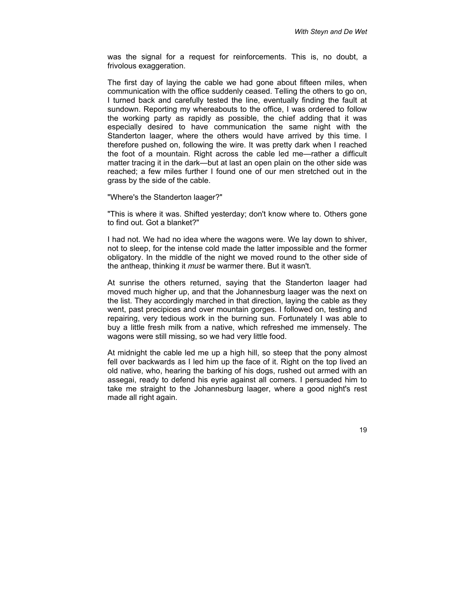was the signal for a request for reinforcements. This is, no doubt, a frivolous exaggeration.

The first day of laying the cable we had gone about fifteen miles, when communication with the office suddenly ceased. Telling the others to go on, I turned back and carefully tested the line, eventually finding the fault at sundown. Reporting my whereabouts to the office, I was ordered to follow the working party as rapidly as possible, the chief adding that it was especially desired to have communication the same night with the Standerton laager, where the others would have arrived by this time. I therefore pushed on, following the wire. It was pretty dark when I reached the foot of a mountain. Right across the cable led me—rather a difficult matter tracing it in the dark—but at last an open plain on the other side was reached; a few miles further I found one of our men stretched out in the grass by the side of the cable.

"Where's the Standerton laager?"

"This is where it was. Shifted yesterday; don't know where to. Others gone to find out. Got a blanket?"

I had not. We had no idea where the wagons were. We lay down to shiver, not to sleep, for the intense cold made the latter impossible and the former obligatory. In the middle of the night we moved round to the other side of the antheap, thinking it *must* be warmer there. But it wasn't.

At sunrise the others returned, saying that the Standerton laager had moved much higher up, and that the Johannesburg laager was the next on the list. They accordingly marched in that direction, laying the cable as they went, past precipices and over mountain gorges. I followed on, testing and repairing, very tedious work in the burning sun. Fortunately I was able to buy a little fresh milk from a native, which refreshed me immensely. The wagons were still missing, so we had very little food.

At midnight the cable led me up a high hill, so steep that the pony almost fell over backwards as I led him up the face of it. Right on the top lived an old native, who, hearing the barking of his dogs, rushed out armed with an assegai, ready to defend his eyrie against all comers. I persuaded him to take me straight to the Johannesburg laager, where a good night's rest made all right again.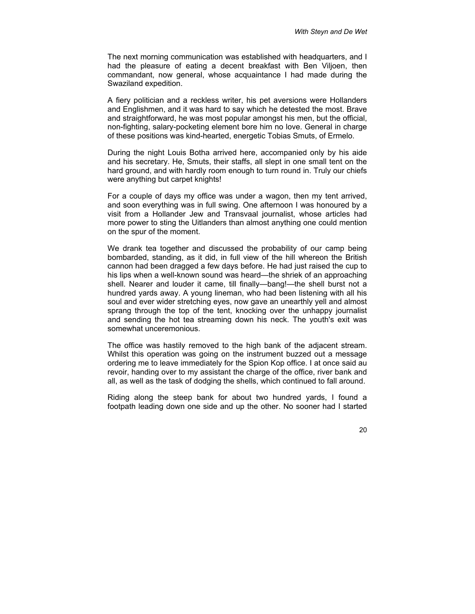The next morning communication was established with headquarters, and I had the pleasure of eating a decent breakfast with Ben Viljoen, then commandant, now general, whose acquaintance I had made during the Swaziland expedition.

A fiery politician and a reckless writer, his pet aversions were Hollanders and Englishmen, and it was hard to say which he detested the most. Brave and straightforward, he was most popular amongst his men, but the official, non-fighting, salary-pocketing element bore him no love. General in charge of these positions was kind-hearted, energetic Tobias Smuts, of Ermelo.

During the night Louis Botha arrived here, accompanied only by his aide and his secretary. He, Smuts, their staffs, all slept in one small tent on the hard ground, and with hardly room enough to turn round in. Truly our chiefs were anything but carpet knights!

For a couple of days my office was under a wagon, then my tent arrived, and soon everything was in full swing. One afternoon I was honoured by a visit from a Hollander Jew and Transvaal journalist, whose articles had more power to sting the Uitlanders than almost anything one could mention on the spur of the moment.

We drank tea together and discussed the probability of our camp being bombarded, standing, as it did, in full view of the hill whereon the British cannon had been dragged a few days before. He had just raised the cup to his lips when a well-known sound was heard—the shriek of an approaching shell. Nearer and louder it came, till finally—bang!—the shell burst not a hundred yards away. A young lineman, who had been listening with all his soul and ever wider stretching eyes, now gave an unearthly yell and almost sprang through the top of the tent, knocking over the unhappy journalist and sending the hot tea streaming down his neck. The youth's exit was somewhat unceremonious.

The office was hastily removed to the high bank of the adjacent stream. Whilst this operation was going on the instrument buzzed out a message ordering me to leave immediately for the Spion Kop office. I at once said au revoir, handing over to my assistant the charge of the office, river bank and all, as well as the task of dodging the shells, which continued to fall around.

Riding along the steep bank for about two hundred yards, I found a footpath leading down one side and up the other. No sooner had I started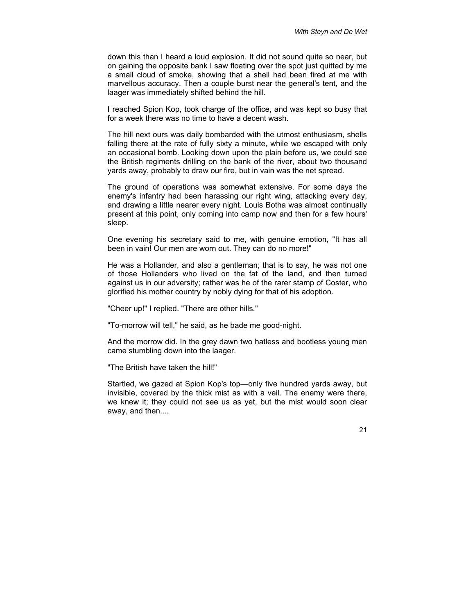down this than I heard a loud explosion. It did not sound quite so near, but on gaining the opposite bank I saw floating over the spot just quitted by me a small cloud of smoke, showing that a shell had been fired at me with marvellous accuracy. Then a couple burst near the general's tent, and the laager was immediately shifted behind the hill.

I reached Spion Kop, took charge of the office, and was kept so busy that for a week there was no time to have a decent wash.

The hill next ours was daily bombarded with the utmost enthusiasm, shells falling there at the rate of fully sixty a minute, while we escaped with only an occasional bomb. Looking down upon the plain before us, we could see the British regiments drilling on the bank of the river, about two thousand yards away, probably to draw our fire, but in vain was the net spread.

The ground of operations was somewhat extensive. For some days the enemy's infantry had been harassing our right wing, attacking every day, and drawing a little nearer every night. Louis Botha was almost continually present at this point, only coming into camp now and then for a few hours' sleep.

One evening his secretary said to me, with genuine emotion, "It has all been in vain! Our men are worn out. They can do no more!"

He was a Hollander, and also a gentleman; that is to say, he was not one of those Hollanders who lived on the fat of the land, and then turned against us in our adversity; rather was he of the rarer stamp of Coster, who glorified his mother country by nobly dying for that of his adoption.

"Cheer up!" I replied. "There are other hills."

"To-morrow will tell," he said, as he bade me good-night.

And the morrow did. In the grey dawn two hatless and bootless young men came stumbling down into the laager.

"The British have taken the hill!"

Startled, we gazed at Spion Kop's top—only five hundred yards away, but invisible, covered by the thick mist as with a veil. The enemy were there, we knew it; they could not see us as yet, but the mist would soon clear away, and then....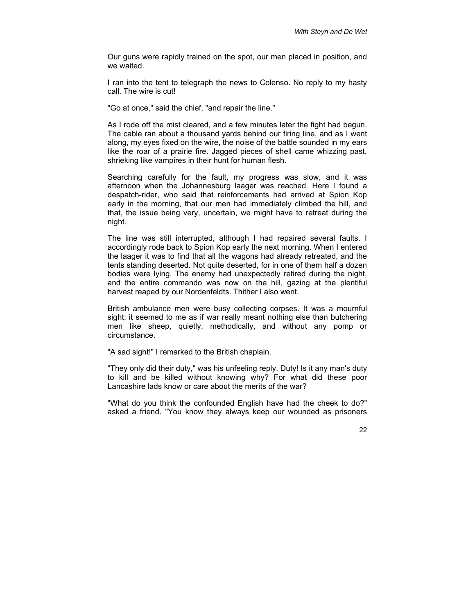Our guns were rapidly trained on the spot, our men placed in position, and we waited.

I ran into the tent to telegraph the news to Colenso. No reply to my hasty call. The wire is cut!

"Go at once," said the chief, "and repair the line."

As I rode off the mist cleared, and a few minutes later the fight had begun. The cable ran about a thousand yards behind our firing line, and as I went along, my eyes fixed on the wire, the noise of the battle sounded in my ears like the roar of a prairie fire. Jagged pieces of shell came whizzing past, shrieking like vampires in their hunt for human flesh.

Searching carefully for the fault, my progress was slow, and it was afternoon when the Johannesburg laager was reached. Here I found a despatch-rider, who said that reinforcements had arrived at Spion Kop early in the morning, that our men had immediately climbed the hill, and that, the issue being very, uncertain, we might have to retreat during the night.

The line was still interrupted, although I had repaired several faults. I accordingly rode back to Spion Kop early the next morning. When I entered the laager it was to find that all the wagons had already retreated, and the tents standing deserted. Not quite deserted, for in one of them half a dozen bodies were lying. The enemy had unexpectedly retired during the night, and the entire commando was now on the hill, gazing at the plentiful harvest reaped by our Nordenfeldts. Thither I also went.

British ambulance men were busy collecting corpses. It was a mournful sight; it seemed to me as if war really meant nothing else than butchering men like sheep, quietly, methodically, and without any pomp or circumstance.

"A sad sight!" I remarked to the British chaplain.

"They only did their duty," was his unfeeling reply. Duty! Is it any man's duty to kill and be killed without knowing why? For what did these poor Lancashire lads know or care about the merits of the war?

"What do you think the confounded English have had the cheek to do?" asked a friend. "You know they always keep our wounded as prisoners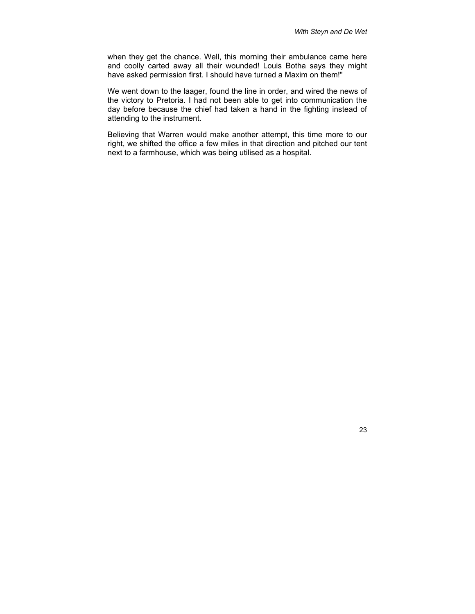when they get the chance. Well, this morning their ambulance came here and coolly carted away all their wounded! Louis Botha says they might have asked permission first. I should have turned a Maxim on them!"

We went down to the laager, found the line in order, and wired the news of the victory to Pretoria. I had not been able to get into communication the day before because the chief had taken a hand in the fighting instead of attending to the instrument.

Believing that Warren would make another attempt, this time more to our right, we shifted the office a few miles in that direction and pitched our tent next to a farmhouse, which was being utilised as a hospital.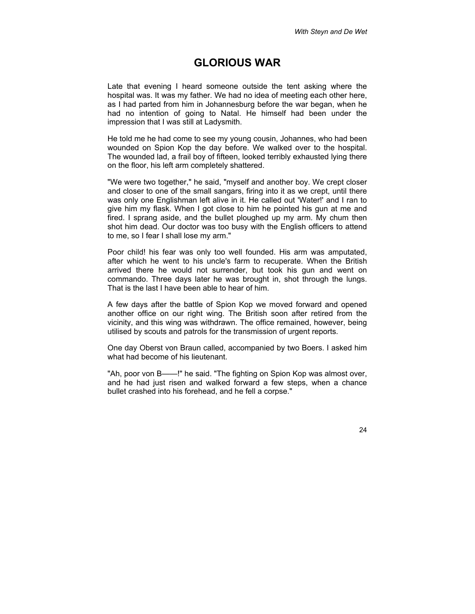#### <span id="page-25-0"></span>**GLORIOUS WAR**

Late that evening I heard someone outside the tent asking where the hospital was. It was my father. We had no idea of meeting each other here, as I had parted from him in Johannesburg before the war began, when he had no intention of going to Natal. He himself had been under the impression that I was still at Ladysmith.

He told me he had come to see my young cousin, Johannes, who had been wounded on Spion Kop the day before. We walked over to the hospital. The wounded lad, a frail boy of fifteen, looked terribly exhausted lying there on the floor, his left arm completely shattered.

"We were two together," he said, "myself and another boy. We crept closer and closer to one of the small sangars, firing into it as we crept, until there was only one Englishman left alive in it. He called out 'Water!' and I ran to give him my flask. When I got close to him he pointed his gun at me and fired. I sprang aside, and the bullet ploughed up my arm. My chum then shot him dead. Our doctor was too busy with the English officers to attend to me, so I fear I shall lose my arm."

Poor child! his fear was only too well founded. His arm was amputated, after which he went to his uncle's farm to recuperate. When the British arrived there he would not surrender, but took his gun and went on commando. Three days later he was brought in, shot through the lungs. That is the last I have been able to hear of him.

A few days after the battle of Spion Kop we moved forward and opened another office on our right wing. The British soon after retired from the vicinity, and this wing was withdrawn. The office remained, however, being utilised by scouts and patrols for the transmission of urgent reports.

One day Oberst von Braun called, accompanied by two Boers. I asked him what had become of his lieutenant.

"Ah, poor von B——!" he said. "The fighting on Spion Kop was almost over, and he had just risen and walked forward a few steps, when a chance bullet crashed into his forehead, and he fell a corpse."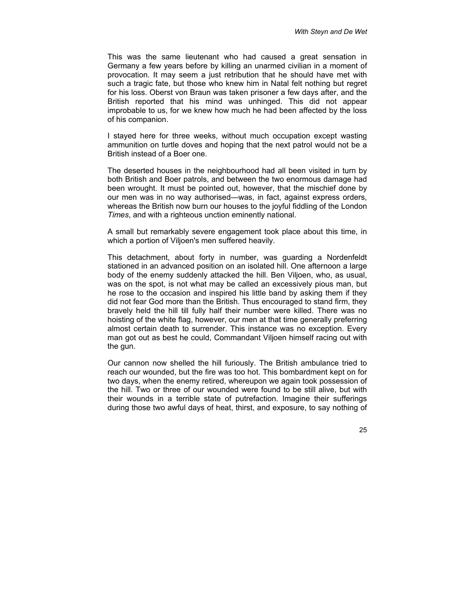This was the same lieutenant who had caused a great sensation in Germany a few years before by killing an unarmed civilian in a moment of provocation. It may seem a just retribution that he should have met with such a tragic fate, but those who knew him in Natal felt nothing but regret for his loss. Oberst von Braun was taken prisoner a few days after, and the British reported that his mind was unhinged. This did not appear improbable to us, for we knew how much he had been affected by the loss of his companion.

I stayed here for three weeks, without much occupation except wasting ammunition on turtle doves and hoping that the next patrol would not be a British instead of a Boer one.

The deserted houses in the neighbourhood had all been visited in turn by both British and Boer patrols, and between the two enormous damage had been wrought. It must be pointed out, however, that the mischief done by our men was in no way authorised—was, in fact, against express orders, whereas the British now burn our houses to the joyful fiddling of the London *Times*, and with a righteous unction eminently national.

A small but remarkably severe engagement took place about this time, in which a portion of Viljoen's men suffered heavily.

This detachment, about forty in number, was guarding a Nordenfeldt stationed in an advanced position on an isolated hill. One afternoon a large body of the enemy suddenly attacked the hill. Ben Viljoen, who, as usual, was on the spot, is not what may be called an excessively pious man, but he rose to the occasion and inspired his little band by asking them if they did not fear God more than the British. Thus encouraged to stand firm, they bravely held the hill till fully half their number were killed. There was no hoisting of the white flag, however, our men at that time generally preferring almost certain death to surrender. This instance was no exception. Every man got out as best he could, Commandant Viljoen himself racing out with the gun.

Our cannon now shelled the hill furiously. The British ambulance tried to reach our wounded, but the fire was too hot. This bombardment kept on for two days, when the enemy retired, whereupon we again took possession of the hill. Two or three of our wounded were found to be still alive, but with their wounds in a terrible state of putrefaction. Imagine their sufferings during those two awful days of heat, thirst, and exposure, to say nothing of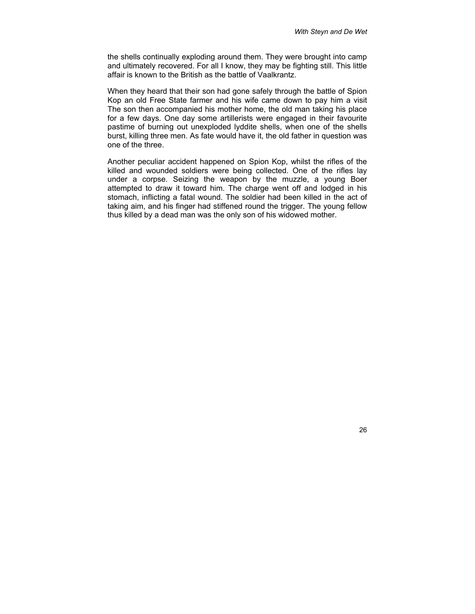the shells continually exploding around them. They were brought into camp and ultimately recovered. For all I know, they may be fighting still. This little affair is known to the British as the battle of Vaalkrantz.

When they heard that their son had gone safely through the battle of Spion Kop an old Free State farmer and his wife came down to pay him a visit The son then accompanied his mother home, the old man taking his place for a few days. One day some artillerists were engaged in their favourite pastime of burning out unexploded lyddite shells, when one of the shells burst, killing three men. As fate would have it, the old father in question was one of the three.

Another peculiar accident happened on Spion Kop, whilst the rifles of the killed and wounded soldiers were being collected. One of the rifles lay under a corpse. Seizing the weapon by the muzzle, a young Boer attempted to draw it toward him. The charge went off and lodged in his stomach, inflicting a fatal wound. The soldier had been killed in the act of taking aim, and his finger had stiffened round the trigger. The young fellow thus killed by a dead man was the only son of his widowed mother.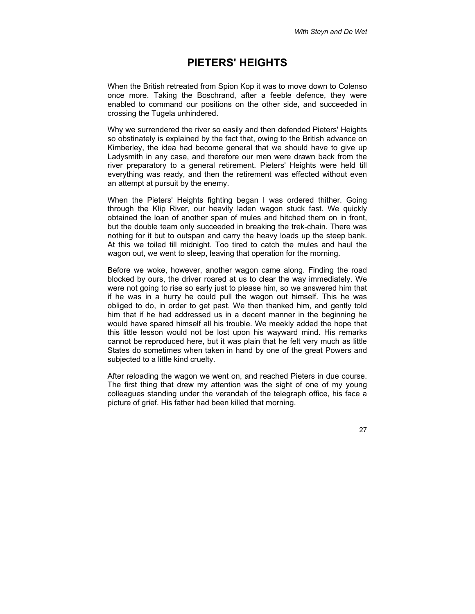#### <span id="page-28-0"></span>**PIETERS' HEIGHTS**

When the British retreated from Spion Kop it was to move down to Colenso once more. Taking the Boschrand, after a feeble defence, they were enabled to command our positions on the other side, and succeeded in crossing the Tugela unhindered.

Why we surrendered the river so easily and then defended Pieters' Heights so obstinately is explained by the fact that, owing to the British advance on Kimberley, the idea had become general that we should have to give up Ladysmith in any case, and therefore our men were drawn back from the river preparatory to a general retirement. Pieters' Heights were held till everything was ready, and then the retirement was effected without even an attempt at pursuit by the enemy.

When the Pieters' Heights fighting began I was ordered thither. Going through the Klip River, our heavily laden wagon stuck fast. We quickly obtained the loan of another span of mules and hitched them on in front, but the double team only succeeded in breaking the trek-chain. There was nothing for it but to outspan and carry the heavy loads up the steep bank. At this we toiled till midnight. Too tired to catch the mules and haul the wagon out, we went to sleep, leaving that operation for the morning.

Before we woke, however, another wagon came along. Finding the road blocked by ours, the driver roared at us to clear the way immediately. We were not going to rise so early just to please him, so we answered him that if he was in a hurry he could pull the wagon out himself. This he was obliged to do, in order to get past. We then thanked him, and gently told him that if he had addressed us in a decent manner in the beginning he would have spared himself all his trouble. We meekly added the hope that this little lesson would not be lost upon his wayward mind. His remarks cannot be reproduced here, but it was plain that he felt very much as little States do sometimes when taken in hand by one of the great Powers and subjected to a little kind cruelty.

After reloading the wagon we went on, and reached Pieters in due course. The first thing that drew my attention was the sight of one of my young colleagues standing under the verandah of the telegraph office, his face a picture of grief. His father had been killed that morning.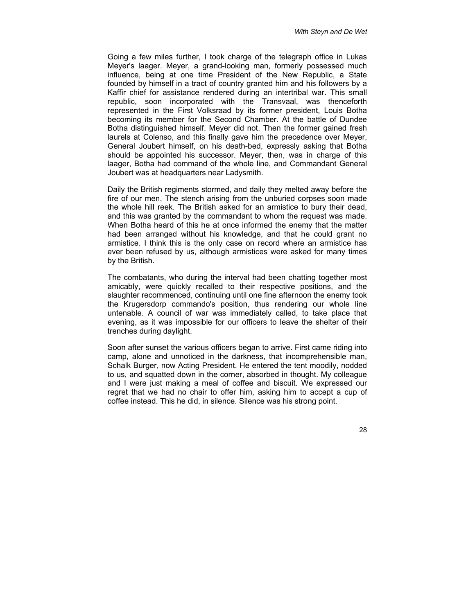Going a few miles further, I took charge of the telegraph office in Lukas Meyer's laager. Meyer, a grand-looking man, formerly possessed much influence, being at one time President of the New Republic, a State founded by himself in a tract of country granted him and his followers by a Kaffir chief for assistance rendered during an intertribal war. This small republic, soon incorporated with the Transvaal, was thenceforth represented in the First Volksraad by its former president, Louis Botha becoming its member for the Second Chamber. At the battle of Dundee Botha distinguished himself. Meyer did not. Then the former gained fresh laurels at Colenso, and this finally gave him the precedence over Meyer, General Joubert himself, on his death-bed, expressly asking that Botha should be appointed his successor. Meyer, then, was in charge of this laager, Botha had command of the whole line, and Commandant General Joubert was at headquarters near Ladysmith.

Daily the British regiments stormed, and daily they melted away before the fire of our men. The stench arising from the unburied corpses soon made the whole hill reek. The British asked for an armistice to bury their dead, and this was granted by the commandant to whom the request was made. When Botha heard of this he at once informed the enemy that the matter had been arranged without his knowledge, and that he could grant no armistice. I think this is the only case on record where an armistice has ever been refused by us, although armistices were asked for many times by the British.

The combatants, who during the interval had been chatting together most amicably, were quickly recalled to their respective positions, and the slaughter recommenced, continuing until one fine afternoon the enemy took the Krugersdorp commando's position, thus rendering our whole line untenable. A council of war was immediately called, to take place that evening, as it was impossible for our officers to leave the shelter of their trenches during daylight.

Soon after sunset the various officers began to arrive. First came riding into camp, alone and unnoticed in the darkness, that incomprehensible man, Schalk Burger, now Acting President. He entered the tent moodily, nodded to us, and squatted down in the corner, absorbed in thought. My colleague and I were just making a meal of coffee and biscuit. We expressed our regret that we had no chair to offer him, asking him to accept a cup of coffee instead. This he did, in silence. Silence was his strong point.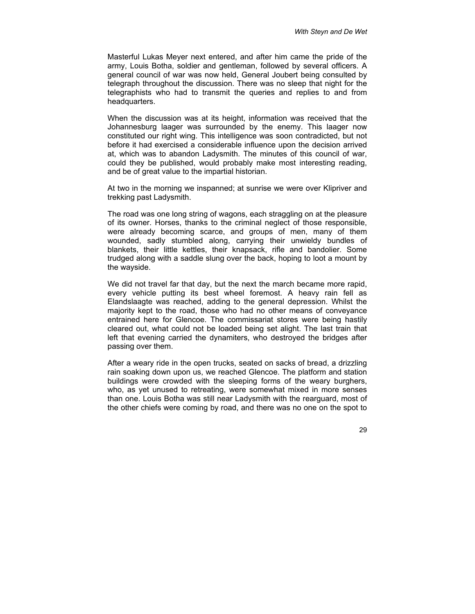Masterful Lukas Meyer next entered, and after him came the pride of the army, Louis Botha, soldier and gentleman, followed by several officers. A general council of war was now held, General Joubert being consulted by telegraph throughout the discussion. There was no sleep that night for the telegraphists who had to transmit the queries and replies to and from headquarters.

When the discussion was at its height, information was received that the Johannesburg laager was surrounded by the enemy. This laager now constituted our right wing. This intelligence was soon contradicted, but not before it had exercised a considerable influence upon the decision arrived at, which was to abandon Ladysmith. The minutes of this council of war, could they be published, would probably make most interesting reading, and be of great value to the impartial historian.

At two in the morning we inspanned; at sunrise we were over Klipriver and trekking past Ladysmith.

The road was one long string of wagons, each straggling on at the pleasure of its owner. Horses, thanks to the criminal neglect of those responsible, were already becoming scarce, and groups of men, many of them wounded, sadly stumbled along, carrying their unwieldy bundles of blankets, their little kettles, their knapsack, rifle and bandolier. Some trudged along with a saddle slung over the back, hoping to loot a mount by the wayside.

We did not travel far that day, but the next the march became more rapid, every vehicle putting its best wheel foremost. A heavy rain fell as Elandslaagte was reached, adding to the general depression. Whilst the majority kept to the road, those who had no other means of conveyance entrained here for Glencoe. The commissariat stores were being hastily cleared out, what could not be loaded being set alight. The last train that left that evening carried the dynamiters, who destroyed the bridges after passing over them.

After a weary ride in the open trucks, seated on sacks of bread, a drizzling rain soaking down upon us, we reached Glencoe. The platform and station buildings were crowded with the sleeping forms of the weary burghers, who, as yet unused to retreating, were somewhat mixed in more senses than one. Louis Botha was still near Ladysmith with the rearguard, most of the other chiefs were coming by road, and there was no one on the spot to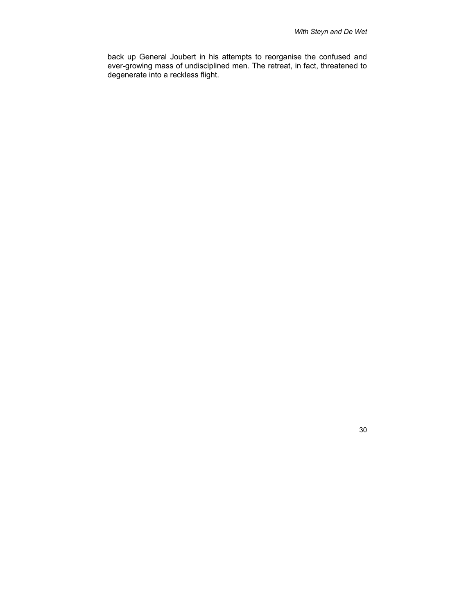back up General Joubert in his attempts to reorganise the confused and ever-growing mass of undisciplined men. The retreat, in fact, threatened to degenerate into a reckless flight.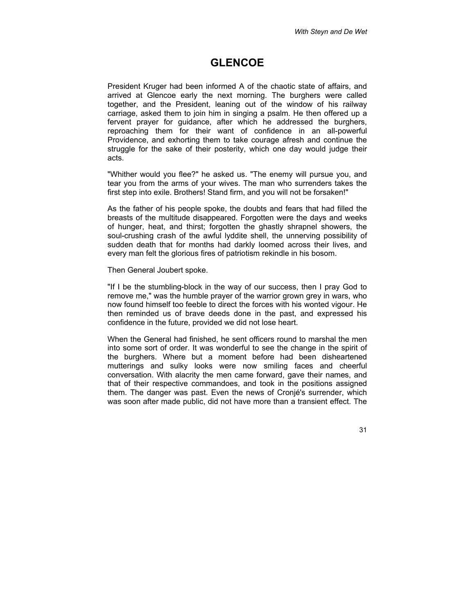#### <span id="page-32-0"></span>**GLENCOE**

President Kruger had been informed A of the chaotic state of affairs, and arrived at Glencoe early the next morning. The burghers were called together, and the President, leaning out of the window of his railway carriage, asked them to join him in singing a psalm. He then offered up a fervent prayer for guidance, after which he addressed the burghers, reproaching them for their want of confidence in an all-powerful Providence, and exhorting them to take courage afresh and continue the struggle for the sake of their posterity, which one day would judge their acts.

"Whither would you flee?" he asked us. "The enemy will pursue you, and tear you from the arms of your wives. The man who surrenders takes the first step into exile. Brothers! Stand firm, and you will not be forsaken!"

As the father of his people spoke, the doubts and fears that had filled the breasts of the multitude disappeared. Forgotten were the days and weeks of hunger, heat, and thirst; forgotten the ghastly shrapnel showers, the soul-crushing crash of the awful lyddite shell, the unnerving possibility of sudden death that for months had darkly loomed across their lives, and every man felt the glorious fires of patriotism rekindle in his bosom.

Then General Joubert spoke.

"If I be the stumbling-block in the way of our success, then I pray God to remove me," was the humble prayer of the warrior grown grey in wars, who now found himself too feeble to direct the forces with his wonted vigour. He then reminded us of brave deeds done in the past, and expressed his confidence in the future, provided we did not lose heart.

When the General had finished, he sent officers round to marshal the men into some sort of order. It was wonderful to see the change in the spirit of the burghers. Where but a moment before had been disheartened mutterings and sulky looks were now smiling faces and cheerful conversation. With alacrity the men came forward, gave their names, and that of their respective commandoes, and took in the positions assigned them. The danger was past. Even the news of Cronjé's surrender, which was soon after made public, did not have more than a transient effect. The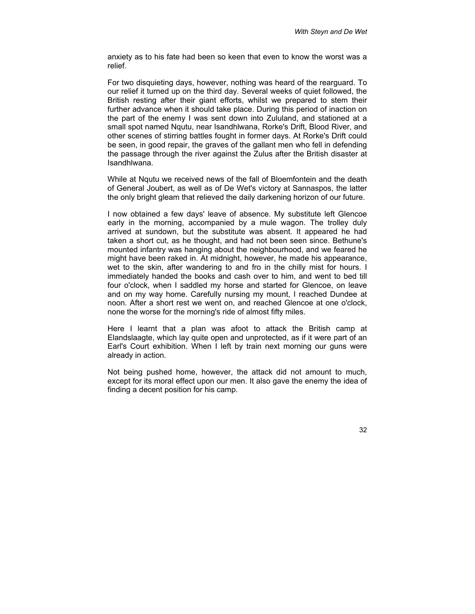anxiety as to his fate had been so keen that even to know the worst was a relief.

For two disquieting days, however, nothing was heard of the rearguard. To our relief it turned up on the third day. Several weeks of quiet followed, the British resting after their giant efforts, whilst we prepared to stem their further advance when it should take place. During this period of inaction on the part of the enemy I was sent down into Zululand, and stationed at a small spot named Nqutu, near Isandhlwana, Rorke's Drift, Blood River, and other scenes of stirring battles fought in former days. At Rorke's Drift could be seen, in good repair, the graves of the gallant men who fell in defending the passage through the river against the Zulus after the British disaster at Isandhlwana.

While at Nqutu we received news of the fall of Bloemfontein and the death of General Joubert, as well as of De Wet's victory at Sannaspos, the latter the only bright gleam that relieved the daily darkening horizon of our future.

I now obtained a few days' leave of absence. My substitute left Glencoe early in the morning, accompanied by a mule wagon. The trolley duly arrived at sundown, but the substitute was absent. It appeared he had taken a short cut, as he thought, and had not been seen since. Bethune's mounted infantry was hanging about the neighbourhood, and we feared he might have been raked in. At midnight, however, he made his appearance, wet to the skin, after wandering to and fro in the chilly mist for hours. I immediately handed the books and cash over to him, and went to bed till four o'clock, when I saddled my horse and started for Glencoe, on leave and on my way home. Carefully nursing my mount, I reached Dundee at noon. After a short rest we went on, and reached Glencoe at one o'clock, none the worse for the morning's ride of almost fifty miles.

Here I learnt that a plan was afoot to attack the British camp at Elandslaagte, which lay quite open and unprotected, as if it were part of an Earl's Court exhibition. When I left by train next morning our guns were already in action.

Not being pushed home, however, the attack did not amount to much, except for its moral effect upon our men. It also gave the enemy the idea of finding a decent position for his camp.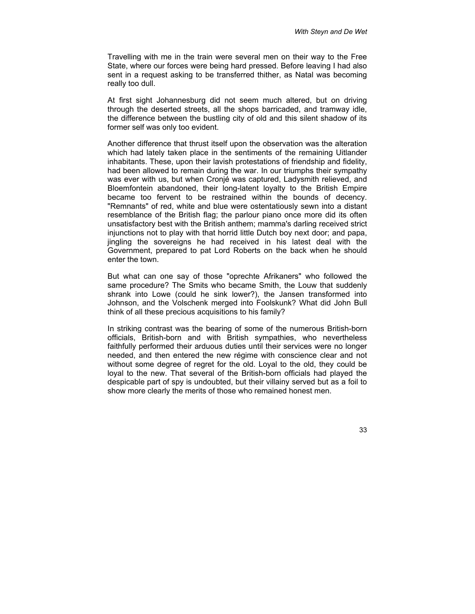Travelling with me in the train were several men on their way to the Free State, where our forces were being hard pressed. Before leaving I had also sent in a request asking to be transferred thither, as Natal was becoming really too dull.

At first sight Johannesburg did not seem much altered, but on driving through the deserted streets, all the shops barricaded, and tramway idle, the difference between the bustling city of old and this silent shadow of its former self was only too evident.

Another difference that thrust itself upon the observation was the alteration which had lately taken place in the sentiments of the remaining Uitlander inhabitants. These, upon their lavish protestations of friendship and fidelity, had been allowed to remain during the war. In our triumphs their sympathy was ever with us, but when Cronjé was captured, Ladysmith relieved, and Bloemfontein abandoned, their long-latent loyalty to the British Empire became too fervent to be restrained within the bounds of decency. "Remnants" of red, white and blue were ostentatiously sewn into a distant resemblance of the British flag; the parlour piano once more did its often unsatisfactory best with the British anthem; mamma's darling received strict injunctions not to play with that horrid little Dutch boy next door; and papa, jingling the sovereigns he had received in his latest deal with the Government, prepared to pat Lord Roberts on the back when he should enter the town.

But what can one say of those "oprechte Afrikaners" who followed the same procedure? The Smits who became Smith, the Louw that suddenly shrank into Lowe (could he sink lower?), the Jansen transformed into Johnson, and the Volschenk merged into Foolskunk? What did John Bull think of all these precious acquisitions to his family?

In striking contrast was the bearing of some of the numerous British-born officials, British-born and with British sympathies, who nevertheless faithfully performed their arduous duties until their services were no longer needed, and then entered the new régime with conscience clear and not without some degree of regret for the old. Loyal to the old, they could be loyal to the new. That several of the British-born officials had played the despicable part of spy is undoubted, but their villainy served but as a foil to show more clearly the merits of those who remained honest men.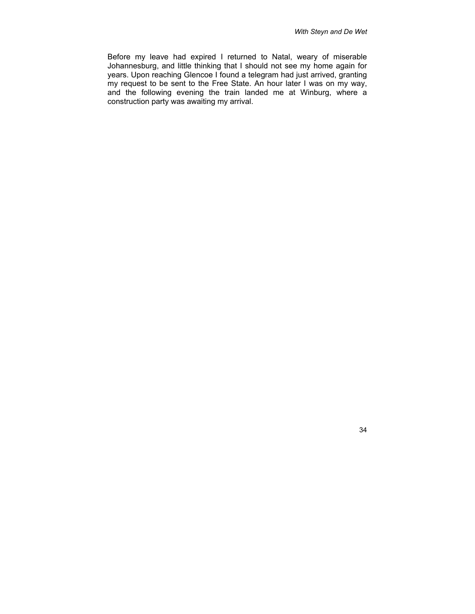Before my leave had expired I returned to Natal, weary of miserable Johannesburg, and little thinking that I should not see my home again for years. Upon reaching Glencoe I found a telegram had just arrived, granting my request to be sent to the Free State. An hour later I was on my way, and the following evening the train landed me at Winburg, where a construction party was awaiting my arrival.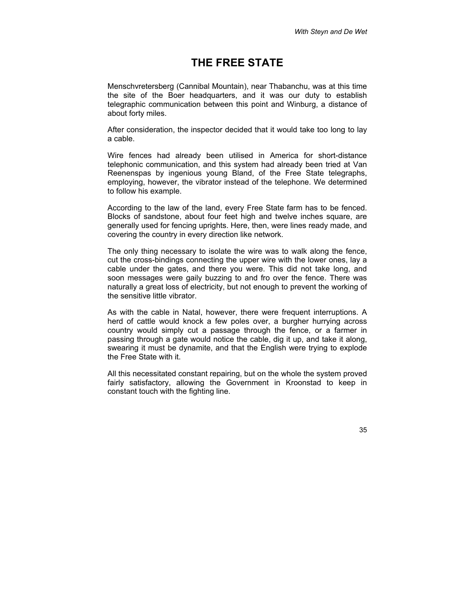# **THE FREE STATE**

Menschvretersberg (Cannibal Mountain), near Thabanchu, was at this time the site of the Boer headquarters, and it was our duty to establish telegraphic communication between this point and Winburg, a distance of about forty miles.

After consideration, the inspector decided that it would take too long to lay a cable.

Wire fences had already been utilised in America for short-distance telephonic communication, and this system had already been tried at Van Reenenspas by ingenious young Bland, of the Free State telegraphs, employing, however, the vibrator instead of the telephone. We determined to follow his example.

According to the law of the land, every Free State farm has to be fenced. Blocks of sandstone, about four feet high and twelve inches square, are generally used for fencing uprights. Here, then, were lines ready made, and covering the country in every direction like network.

The only thing necessary to isolate the wire was to walk along the fence, cut the cross-bindings connecting the upper wire with the lower ones, lay a cable under the gates, and there you were. This did not take long, and soon messages were gaily buzzing to and fro over the fence. There was naturally a great loss of electricity, but not enough to prevent the working of the sensitive little vibrator.

As with the cable in Natal, however, there were frequent interruptions. A herd of cattle would knock a few poles over, a burgher hurrying across country would simply cut a passage through the fence, or a farmer in passing through a gate would notice the cable, dig it up, and take it along, swearing it must be dynamite, and that the English were trying to explode the Free State with it.

All this necessitated constant repairing, but on the whole the system proved fairly satisfactory, allowing the Government in Kroonstad to keep in constant touch with the fighting line.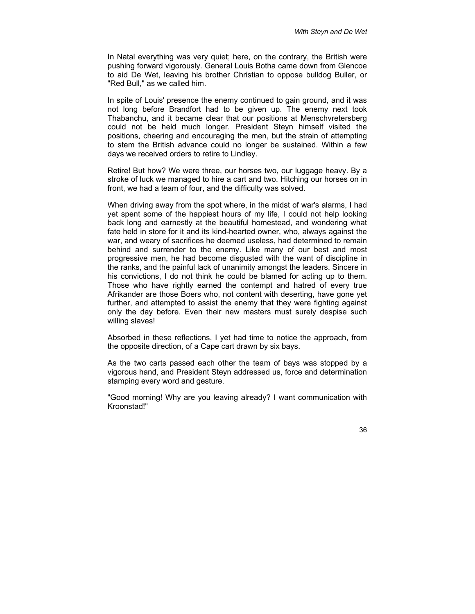In Natal everything was very quiet; here, on the contrary, the British were pushing forward vigorously. General Louis Botha came down from Glencoe to aid De Wet, leaving his brother Christian to oppose bulldog Buller, or "Red Bull," as we called him.

In spite of Louis' presence the enemy continued to gain ground, and it was not long before Brandfort had to be given up. The enemy next took Thabanchu, and it became clear that our positions at Menschvretersberg could not be held much longer. President Steyn himself visited the positions, cheering and encouraging the men, but the strain of attempting to stem the British advance could no longer be sustained. Within a few days we received orders to retire to Lindley.

Retire! But how? We were three, our horses two, our luggage heavy. By a stroke of luck we managed to hire a cart and two. Hitching our horses on in front, we had a team of four, and the difficulty was solved.

When driving away from the spot where, in the midst of war's alarms, I had yet spent some of the happiest hours of my life, I could not help looking back long and earnestly at the beautiful homestead, and wondering what fate held in store for it and its kind-hearted owner, who, always against the war, and weary of sacrifices he deemed useless, had determined to remain behind and surrender to the enemy. Like many of our best and most progressive men, he had become disgusted with the want of discipline in the ranks, and the painful lack of unanimity amongst the leaders. Sincere in his convictions, I do not think he could be blamed for acting up to them. Those who have rightly earned the contempt and hatred of every true Afrikander are those Boers who, not content with deserting, have gone yet further, and attempted to assist the enemy that they were fighting against only the day before. Even their new masters must surely despise such willing slaves!

Absorbed in these reflections, I yet had time to notice the approach, from the opposite direction, of a Cape cart drawn by six bays.

As the two carts passed each other the team of bays was stopped by a vigorous hand, and President Steyn addressed us, force and determination stamping every word and gesture.

"Good morning! Why are you leaving already? I want communication with Kroonstad!"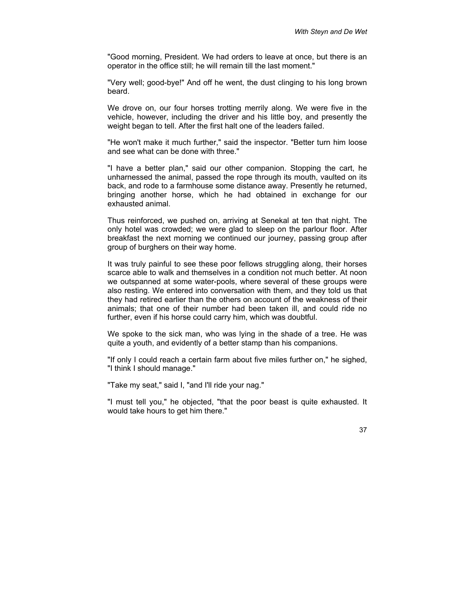"Good morning, President. We had orders to leave at once, but there is an operator in the office still; he will remain till the last moment."

"Very well; good-bye!" And off he went, the dust clinging to his long brown beard.

We drove on, our four horses trotting merrily along. We were five in the vehicle, however, including the driver and his little boy, and presently the weight began to tell. After the first halt one of the leaders failed.

"He won't make it much further," said the inspector. "Better turn him loose and see what can be done with three."

"I have a better plan," said our other companion. Stopping the cart, he unharnessed the animal, passed the rope through its mouth, vaulted on its back, and rode to a farmhouse some distance away. Presently he returned, bringing another horse, which he had obtained in exchange for our exhausted animal.

Thus reinforced, we pushed on, arriving at Senekal at ten that night. The only hotel was crowded; we were glad to sleep on the parlour floor. After breakfast the next morning we continued our journey, passing group after group of burghers on their way home.

It was truly painful to see these poor fellows struggling along, their horses scarce able to walk and themselves in a condition not much better. At noon we outspanned at some water-pools, where several of these groups were also resting. We entered into conversation with them, and they told us that they had retired earlier than the others on account of the weakness of their animals; that one of their number had been taken ill, and could ride no further, even if his horse could carry him, which was doubtful.

We spoke to the sick man, who was lying in the shade of a tree. He was quite a youth, and evidently of a better stamp than his companions.

"If only I could reach a certain farm about five miles further on," he sighed, "I think I should manage."

"Take my seat," said I, "and I'll ride your nag."

"I must tell you," he objected, "that the poor beast is quite exhausted. It would take hours to get him there."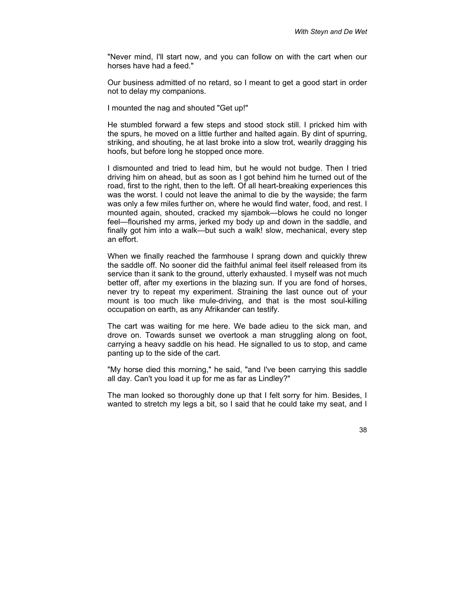"Never mind, I'll start now, and you can follow on with the cart when our horses have had a feed."

Our business admitted of no retard, so I meant to get a good start in order not to delay my companions.

I mounted the nag and shouted "Get up!"

He stumbled forward a few steps and stood stock still. I pricked him with the spurs, he moved on a little further and halted again. By dint of spurring, striking, and shouting, he at last broke into a slow trot, wearily dragging his hoofs, but before long he stopped once more.

I dismounted and tried to lead him, but he would not budge. Then I tried driving him on ahead, but as soon as I got behind him he turned out of the road, first to the right, then to the left. Of all heart-breaking experiences this was the worst. I could not leave the animal to die by the wayside; the farm was only a few miles further on, where he would find water, food, and rest. I mounted again, shouted, cracked my sjambok—blows he could no longer feel—flourished my arms, jerked my body up and down in the saddle, and finally got him into a walk—but such a walk! slow, mechanical, every step an effort.

When we finally reached the farmhouse I sprang down and quickly threw the saddle off. No sooner did the faithful animal feel itself released from its service than it sank to the ground, utterly exhausted. I myself was not much better off, after my exertions in the blazing sun. If you are fond of horses, never try to repeat my experiment. Straining the last ounce out of your mount is too much like mule-driving, and that is the most soul-killing occupation on earth, as any Afrikander can testify.

The cart was waiting for me here. We bade adieu to the sick man, and drove on. Towards sunset we overtook a man struggling along on foot, carrying a heavy saddle on his head. He signalled to us to stop, and came panting up to the side of the cart.

"My horse died this morning," he said, "and I've been carrying this saddle all day. Can't you load it up for me as far as Lindley?"

The man looked so thoroughly done up that I felt sorry for him. Besides, I wanted to stretch my legs a bit, so I said that he could take my seat, and I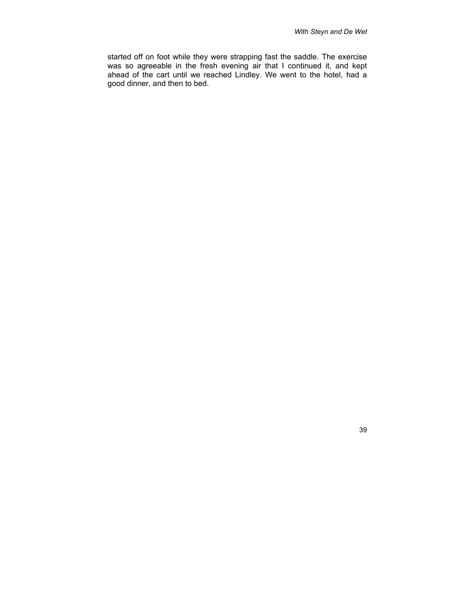started off on foot while they were strapping fast the saddle. The exercise was so agreeable in the fresh evening air that I continued it, and kept ahead of the cart until we reached Lindley. We went to the hotel, had a good dinner, and then to bed.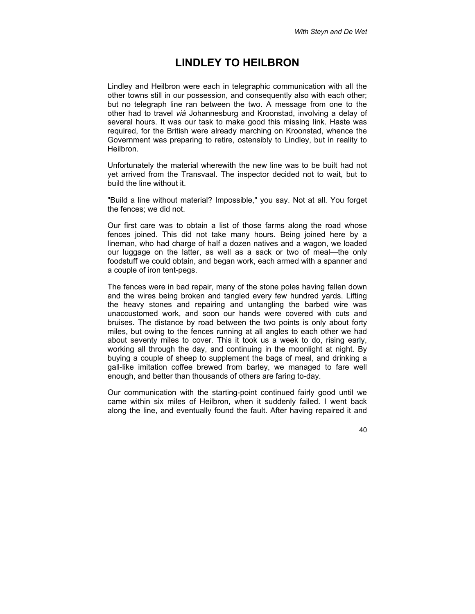## **LINDLEY TO HEILBRON**

Lindley and Heilbron were each in telegraphic communication with all the other towns still in our possession, and consequently also with each other; but no telegraph line ran between the two. A message from one to the other had to travel *viâ* Johannesburg and Kroonstad, involving a delay of several hours. It was our task to make good this missing link. Haste was required, for the British were already marching on Kroonstad, whence the Government was preparing to retire, ostensibly to Lindley, but in reality to Heilbron.

Unfortunately the material wherewith the new line was to be built had not yet arrived from the Transvaal. The inspector decided not to wait, but to build the line without it.

"Build a line without material? Impossible," you say. Not at all. You forget the fences; we did not.

Our first care was to obtain a list of those farms along the road whose fences joined. This did not take many hours. Being joined here by a lineman, who had charge of half a dozen natives and a wagon, we loaded our luggage on the latter, as well as a sack or two of meal—the only foodstuff we could obtain, and began work, each armed with a spanner and a couple of iron tent-pegs.

The fences were in bad repair, many of the stone poles having fallen down and the wires being broken and tangled every few hundred yards. Lifting the heavy stones and repairing and untangling the barbed wire was unaccustomed work, and soon our hands were covered with cuts and bruises. The distance by road between the two points is only about forty miles, but owing to the fences running at all angles to each other we had about seventy miles to cover. This it took us a week to do, rising early, working all through the day, and continuing in the moonlight at night. By buying a couple of sheep to supplement the bags of meal, and drinking a gall-like imitation coffee brewed from barley, we managed to fare well enough, and better than thousands of others are faring to-day.

Our communication with the starting-point continued fairly good until we came within six miles of Heilbron, when it suddenly failed. I went back along the line, and eventually found the fault. After having repaired it and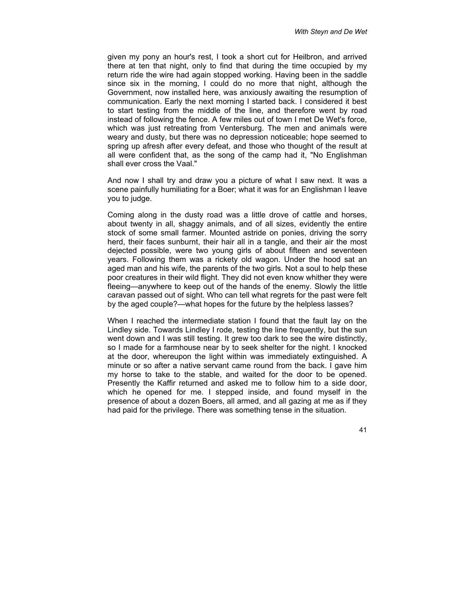given my pony an hour's rest, I took a short cut for Heilbron, and arrived there at ten that night, only to find that during the time occupied by my return ride the wire had again stopped working. Having been in the saddle since six in the morning, I could do no more that night, although the Government, now installed here, was anxiously awaiting the resumption of communication. Early the next morning I started back. I considered it best to start testing from the middle of the line, and therefore went by road instead of following the fence. A few miles out of town I met De Wet's force, which was just retreating from Ventersburg. The men and animals were weary and dusty, but there was no depression noticeable; hope seemed to spring up afresh after every defeat, and those who thought of the result at all were confident that, as the song of the camp had it, "No Englishman shall ever cross the Vaal."

And now I shall try and draw you a picture of what I saw next. It was a scene painfully humiliating for a Boer; what it was for an Englishman I leave you to judge.

Coming along in the dusty road was a little drove of cattle and horses, about twenty in all, shaggy animals, and of all sizes, evidently the entire stock of some small farmer. Mounted astride on ponies, driving the sorry herd, their faces sunburnt, their hair all in a tangle, and their air the most dejected possible, were two young girls of about fifteen and seventeen years. Following them was a rickety old wagon. Under the hood sat an aged man and his wife, the parents of the two girls. Not a soul to help these poor creatures in their wild flight. They did not even know whither they were fleeing—anywhere to keep out of the hands of the enemy. Slowly the little caravan passed out of sight. Who can tell what regrets for the past were felt by the aged couple?—what hopes for the future by the helpless lasses?

When I reached the intermediate station I found that the fault lay on the Lindley side. Towards Lindley I rode, testing the line frequently, but the sun went down and I was still testing. It grew too dark to see the wire distinctly, so I made for a farmhouse near by to seek shelter for the night. I knocked at the door, whereupon the light within was immediately extinguished. A minute or so after a native servant came round from the back. I gave him my horse to take to the stable, and waited for the door to be opened. Presently the Kaffir returned and asked me to follow him to a side door, which he opened for me. I stepped inside, and found myself in the presence of about a dozen Boers, all armed, and all gazing at me as if they had paid for the privilege. There was something tense in the situation.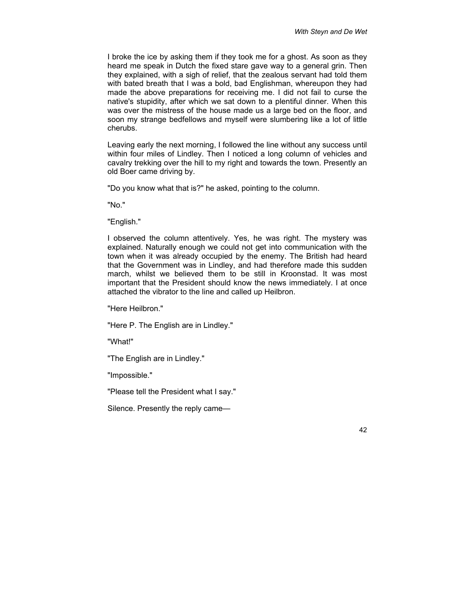I broke the ice by asking them if they took me for a ghost. As soon as they heard me speak in Dutch the fixed stare gave way to a general grin. Then they explained, with a sigh of relief, that the zealous servant had told them with bated breath that I was a bold, bad Englishman, whereupon they had made the above preparations for receiving me. I did not fail to curse the native's stupidity, after which we sat down to a plentiful dinner. When this was over the mistress of the house made us a large bed on the floor, and soon my strange bedfellows and myself were slumbering like a lot of little cherubs.

Leaving early the next morning, I followed the line without any success until within four miles of Lindley. Then I noticed a long column of vehicles and cavalry trekking over the hill to my right and towards the town. Presently an old Boer came driving by.

"Do you know what that is?" he asked, pointing to the column.

"No."

"English."

I observed the column attentively. Yes, he was right. The mystery was explained. Naturally enough we could not get into communication with the town when it was already occupied by the enemy. The British had heard that the Government was in Lindley, and had therefore made this sudden march, whilst we believed them to be still in Kroonstad. It was most important that the President should know the news immediately. I at once attached the vibrator to the line and called up Heilbron.

"Here Heilbron."

"Here P. The English are in Lindley."

"What!"

"The English are in Lindley."

"Impossible."

"Please tell the President what I say."

Silence. Presently the reply came—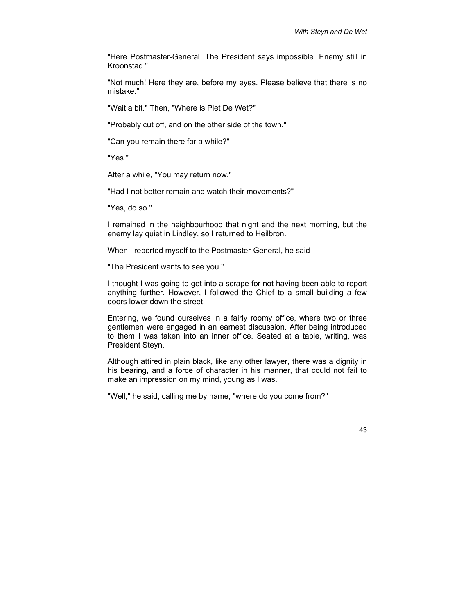"Here Postmaster-General. The President says impossible. Enemy still in Kroonstad."

"Not much! Here they are, before my eyes. Please believe that there is no mistake."

"Wait a bit." Then, "Where is Piet De Wet?"

"Probably cut off, and on the other side of the town."

"Can you remain there for a while?"

"Yes."

After a while, "You may return now."

"Had I not better remain and watch their movements?"

"Yes, do so."

I remained in the neighbourhood that night and the next morning, but the enemy lay quiet in Lindley, so I returned to Heilbron.

When I reported myself to the Postmaster-General, he said—

"The President wants to see you."

I thought I was going to get into a scrape for not having been able to report anything further. However, I followed the Chief to a small building a few doors lower down the street.

Entering, we found ourselves in a fairly roomy office, where two or three gentlemen were engaged in an earnest discussion. After being introduced to them I was taken into an inner office. Seated at a table, writing, was President Steyn.

Although attired in plain black, like any other lawyer, there was a dignity in his bearing, and a force of character in his manner, that could not fail to make an impression on my mind, young as I was.

"Well," he said, calling me by name, "where do you come from?"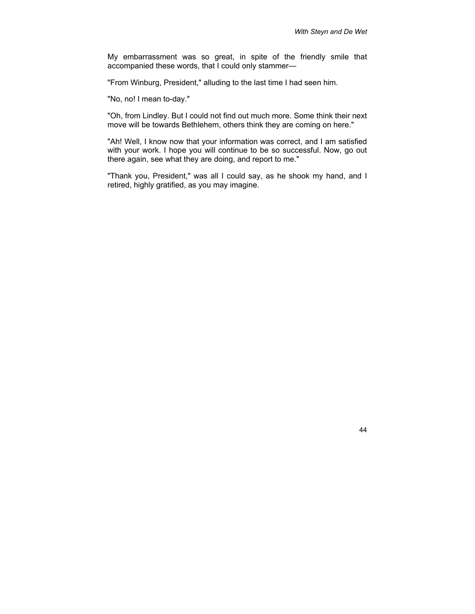My embarrassment was so great, in spite of the friendly smile that accompanied these words, that I could only stammer—

"From Winburg, President," alluding to the last time I had seen him.

"No, no! I mean to-day."

"Oh, from Lindley. But I could not find out much more. Some think their next move will be towards Bethlehem, others think they are coming on here."

"Ah! Well, I know now that your information was correct, and I am satisfied with your work. I hope you will continue to be so successful. Now, go out there again, see what they are doing, and report to me."

"Thank you, President," was all I could say, as he shook my hand, and I retired, highly gratified, as you may imagine.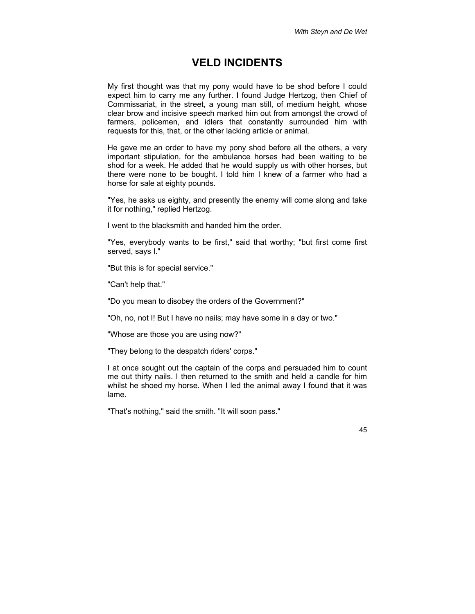## **VELD INCIDENTS**

My first thought was that my pony would have to be shod before I could expect him to carry me any further. I found Judge Hertzog, then Chief of Commissariat, in the street, a young man still, of medium height, whose clear brow and incisive speech marked him out from amongst the crowd of farmers, policemen, and idlers that constantly surrounded him with requests for this, that, or the other lacking article or animal.

He gave me an order to have my pony shod before all the others, a very important stipulation, for the ambulance horses had been waiting to be shod for a week. He added that he would supply us with other horses, but there were none to be bought. I told him I knew of a farmer who had a horse for sale at eighty pounds.

"Yes, he asks us eighty, and presently the enemy will come along and take it for nothing," replied Hertzog.

I went to the blacksmith and handed him the order.

"Yes, everybody wants to be first," said that worthy; "but first come first served, says I."

"But this is for special service."

"Can't help that."

"Do you mean to disobey the orders of the Government?"

"Oh, no, not I! But I have no nails; may have some in a day or two."

"Whose are those you are using now?"

"They belong to the despatch riders' corps."

I at once sought out the captain of the corps and persuaded him to count me out thirty nails. I then returned to the smith and held a candle for him whilst he shoed my horse. When I led the animal away I found that it was lame.

"That's nothing," said the smith. "It will soon pass."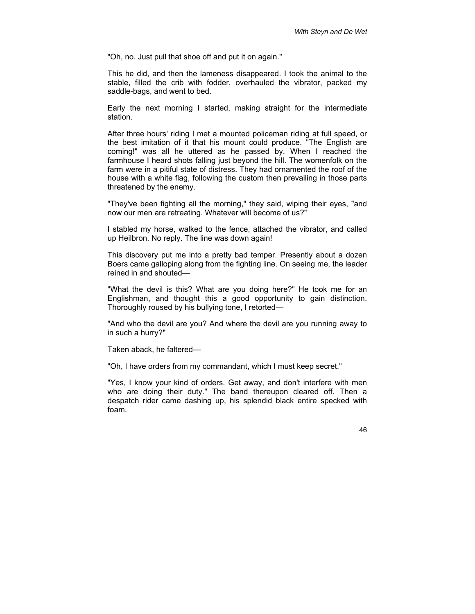"Oh, no. Just pull that shoe off and put it on again."

This he did, and then the lameness disappeared. I took the animal to the stable, filled the crib with fodder, overhauled the vibrator, packed my saddle-bags, and went to bed.

Early the next morning I started, making straight for the intermediate station.

After three hours' riding I met a mounted policeman riding at full speed, or the best imitation of it that his mount could produce. "The English are coming!" was all he uttered as he passed by. When I reached the farmhouse I heard shots falling just beyond the hill. The womenfolk on the farm were in a pitiful state of distress. They had ornamented the roof of the house with a white flag, following the custom then prevailing in those parts threatened by the enemy.

"They've been fighting all the morning," they said, wiping their eyes, "and now our men are retreating. Whatever will become of us?"

I stabled my horse, walked to the fence, attached the vibrator, and called up Heilbron. No reply. The line was down again!

This discovery put me into a pretty bad temper. Presently about a dozen Boers came galloping along from the fighting line. On seeing me, the leader reined in and shouted—

"What the devil is this? What are you doing here?" He took me for an Englishman, and thought this a good opportunity to gain distinction. Thoroughly roused by his bullying tone, I retorted—

"And who the devil are you? And where the devil are you running away to in such a hurry?"

Taken aback, he faltered—

"Oh, I have orders from my commandant, which I must keep secret."

"Yes, I know your kind of orders. Get away, and don't interfere with men who are doing their duty." The band thereupon cleared off. Then a despatch rider came dashing up, his splendid black entire specked with foam.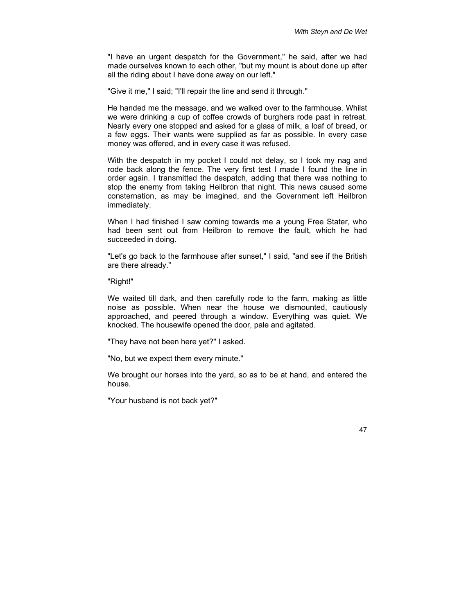"I have an urgent despatch for the Government," he said, after we had made ourselves known to each other, "but my mount is about done up after all the riding about I have done away on our left."

"Give it me," I said; "I'll repair the line and send it through."

He handed me the message, and we walked over to the farmhouse. Whilst we were drinking a cup of coffee crowds of burghers rode past in retreat. Nearly every one stopped and asked for a glass of milk, a loaf of bread, or a few eggs. Their wants were supplied as far as possible. In every case money was offered, and in every case it was refused.

With the despatch in my pocket I could not delay, so I took my nag and rode back along the fence. The very first test I made I found the line in order again. I transmitted the despatch, adding that there was nothing to stop the enemy from taking Heilbron that night. This news caused some consternation, as may be imagined, and the Government left Heilbron immediately.

When I had finished I saw coming towards me a young Free Stater, who had been sent out from Heilbron to remove the fault, which he had succeeded in doing.

"Let's go back to the farmhouse after sunset," I said, "and see if the British are there already."

"Right!"

We waited till dark, and then carefully rode to the farm, making as little noise as possible. When near the house we dismounted, cautiously approached, and peered through a window. Everything was quiet. We knocked. The housewife opened the door, pale and agitated.

"They have not been here yet?" I asked.

"No, but we expect them every minute."

We brought our horses into the yard, so as to be at hand, and entered the house.

"Your husband is not back yet?"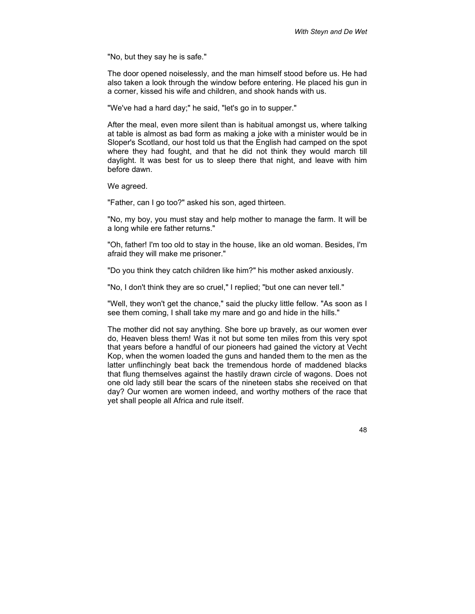"No, but they say he is safe."

The door opened noiselessly, and the man himself stood before us. He had also taken a look through the window before entering. He placed his gun in a corner, kissed his wife and children, and shook hands with us.

"We've had a hard day;" he said, "let's go in to supper."

After the meal, even more silent than is habitual amongst us, where talking at table is almost as bad form as making a joke with a minister would be in Sloper's Scotland, our host told us that the English had camped on the spot where they had fought, and that he did not think they would march till daylight. It was best for us to sleep there that night, and leave with him before dawn.

We agreed.

"Father, can I go too?" asked his son, aged thirteen.

"No, my boy, you must stay and help mother to manage the farm. It will be a long while ere father returns."

"Oh, father! I'm too old to stay in the house, like an old woman. Besides, I'm afraid they will make me prisoner."

"Do you think they catch children like him?" his mother asked anxiously.

"No, I don't think they are so cruel," I replied; "but one can never tell."

"Well, they won't get the chance," said the plucky little fellow. "As soon as I see them coming, I shall take my mare and go and hide in the hills."

The mother did not say anything. She bore up bravely, as our women ever do, Heaven bless them! Was it not but some ten miles from this very spot that years before a handful of our pioneers had gained the victory at Vecht Kop, when the women loaded the guns and handed them to the men as the latter unflinchingly beat back the tremendous horde of maddened blacks that flung themselves against the hastily drawn circle of wagons. Does not one old lady still bear the scars of the nineteen stabs she received on that day? Our women are women indeed, and worthy mothers of the race that yet shall people all Africa and rule itself.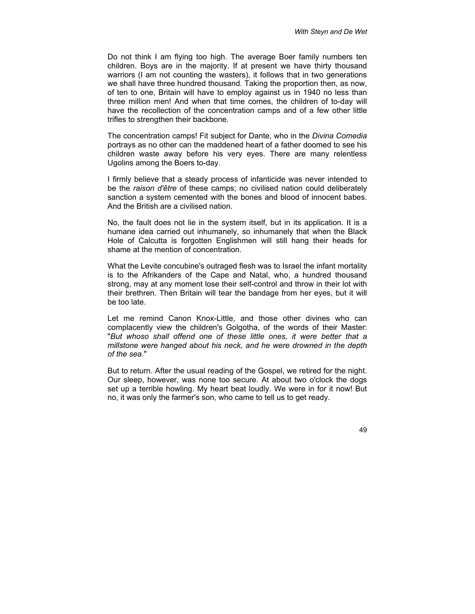Do not think I am flying too high. The average Boer family numbers ten children. Boys are in the majority. If at present we have thirty thousand warriors (I am not counting the wasters), it follows that in two generations we shall have three hundred thousand. Taking the proportion then, as now, of ten to one, Britain will have to employ against us in 1940 no less than three million men! And when that time comes, the children of to-day will have the recollection of the concentration camps and of a few other little trifles to strengthen their backbone.

The concentration camps! Fit subject for Dante, who in the *Divina Comedia* portrays as no other can the maddened heart of a father doomed to see his children waste away before his very eyes. There are many relentless Ugolins among the Boers to-day.

I firmly believe that a steady process of infanticide was never intended to be the *raison d'être* of these camps; no civilised nation could deliberately sanction a system cemented with the bones and blood of innocent babes. And the British are a civilised nation.

No, the fault does not lie in the system itself, but in its application. It is a humane idea carried out inhumanely, so inhumanely that when the Black Hole of Calcutta is forgotten Englishmen will still hang their heads for shame at the mention of concentration.

What the Levite concubine's outraged flesh was to Israel the infant mortality is to the Afrikanders of the Cape and Natal, who, a hundred thousand strong, may at any moment lose their self-control and throw in their lot with their brethren. Then Britain will tear the bandage from her eyes, but it will be too late.

Let me remind Canon Knox-Little, and those other divines who can complacently view the children's Golgotha, of the words of their Master: "*But whoso shall offend one of these little ones, it were better that a millstone were hanged about his neck, and he were drowned in the depth of the sea.*"

But to return. After the usual reading of the Gospel, we retired for the night. Our sleep, however, was none too secure. At about two o'clock the dogs set up a terrible howling. My heart beat loudly. We were in for it now! But no, it was only the farmer's son, who came to tell us to get ready.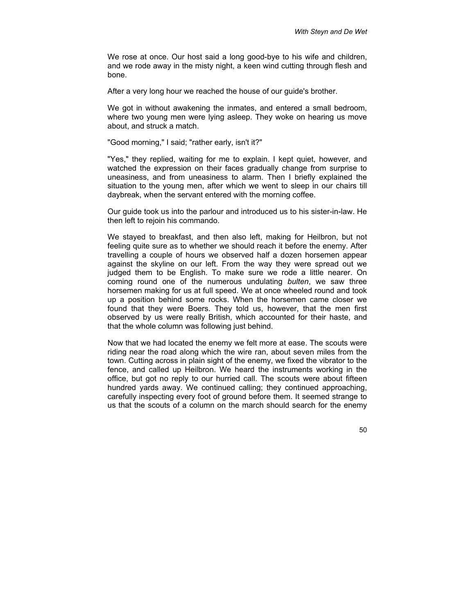We rose at once. Our host said a long good-bye to his wife and children, and we rode away in the misty night, a keen wind cutting through flesh and bone.

After a very long hour we reached the house of our guide's brother.

We got in without awakening the inmates, and entered a small bedroom, where two young men were lying asleep. They woke on hearing us move about, and struck a match.

"Good morning," I said; "rather early, isn't it?"

"Yes," they replied, waiting for me to explain. I kept quiet, however, and watched the expression on their faces gradually change from surprise to uneasiness, and from uneasiness to alarm. Then I briefly explained the situation to the young men, after which we went to sleep in our chairs till daybreak, when the servant entered with the morning coffee.

Our guide took us into the parlour and introduced us to his sister-in-law. He then left to rejoin his commando.

We stayed to breakfast, and then also left, making for Heilbron, but not feeling quite sure as to whether we should reach it before the enemy. After travelling a couple of hours we observed half a dozen horsemen appear against the skyline on our left. From the way they were spread out we judged them to be English. To make sure we rode a little nearer. On coming round one of the numerous undulating *bulten*, we saw three horsemen making for us at full speed. We at once wheeled round and took up a position behind some rocks. When the horsemen came closer we found that they were Boers. They told us, however, that the men first observed by us were really British, which accounted for their haste, and that the whole column was following just behind.

Now that we had located the enemy we felt more at ease. The scouts were riding near the road along which the wire ran, about seven miles from the town. Cutting across in plain sight of the enemy, we fixed the vibrator to the fence, and called up Heilbron. We heard the instruments working in the office, but got no reply to our hurried call. The scouts were about fifteen hundred yards away. We continued calling; they continued approaching, carefully inspecting every foot of ground before them. It seemed strange to us that the scouts of a column on the march should search for the enemy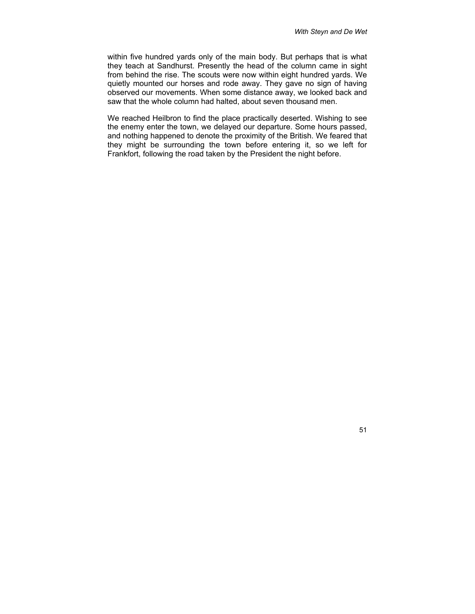within five hundred yards only of the main body. But perhaps that is what they teach at Sandhurst. Presently the head of the column came in sight from behind the rise. The scouts were now within eight hundred yards. We quietly mounted our horses and rode away. They gave no sign of having observed our movements. When some distance away, we looked back and saw that the whole column had halted, about seven thousand men.

We reached Heilbron to find the place practically deserted. Wishing to see the enemy enter the town, we delayed our departure. Some hours passed, and nothing happened to denote the proximity of the British. We feared that they might be surrounding the town before entering it, so we left for Frankfort, following the road taken by the President the night before.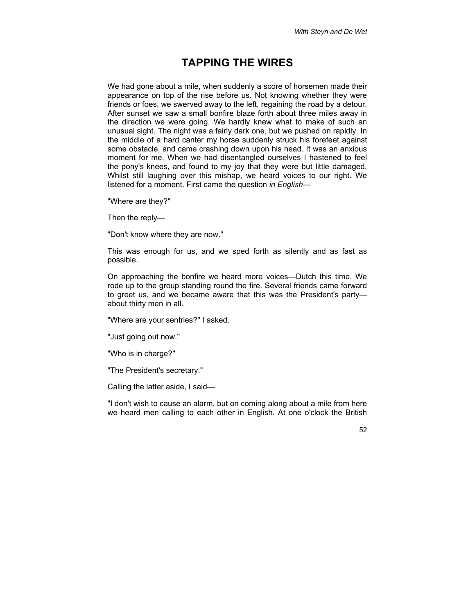## **TAPPING THE WIRES**

We had gone about a mile, when suddenly a score of horsemen made their appearance on top of the rise before us. Not knowing whether they were friends or foes, we swerved away to the left, regaining the road by a detour. After sunset we saw a small bonfire blaze forth about three miles away in the direction we were going. We hardly knew what to make of such an unusual sight. The night was a fairly dark one, but we pushed on rapidly. In the middle of a hard canter my horse suddenly struck his forefeet against some obstacle, and came crashing down upon his head. It was an anxious moment for me. When we had disentangled ourselves I hastened to feel the pony's knees, and found to my joy that they were but little damaged. Whilst still laughing over this mishap, we heard voices to our right. We listened for a moment. First came the question *in English*—

"Where are they?"

Then the reply—

"Don't know where they are now."

This was enough for us, and we sped forth as silently and as fast as possible.

On approaching the bonfire we heard more voices—Dutch this time. We rode up to the group standing round the fire. Several friends came forward to greet us, and we became aware that this was the President's party about thirty men in all.

"Where are your sentries?" I asked.

"Just going out now."

"Who is in charge?"

"The President's secretary."

Calling the latter aside, I said—

"I don't wish to cause an alarm, but on coming along about a mile from here we heard men calling to each other in English. At one o'clock the British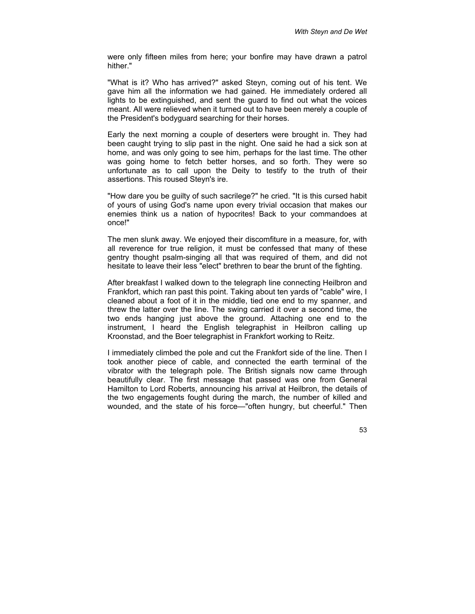were only fifteen miles from here; your bonfire may have drawn a patrol hither."

"What is it? Who has arrived?" asked Steyn, coming out of his tent. We gave him all the information we had gained. He immediately ordered all lights to be extinguished, and sent the guard to find out what the voices meant. All were relieved when it turned out to have been merely a couple of the President's bodyguard searching for their horses.

Early the next morning a couple of deserters were brought in. They had been caught trying to slip past in the night. One said he had a sick son at home, and was only going to see him, perhaps for the last time. The other was going home to fetch better horses, and so forth. They were so unfortunate as to call upon the Deity to testify to the truth of their assertions. This roused Steyn's ire.

"How dare you be guilty of such sacrilege?" he cried. "It is this cursed habit of yours of using God's name upon every trivial occasion that makes our enemies think us a nation of hypocrites! Back to your commandoes at once!"

The men slunk away. We enjoyed their discomfiture in a measure, for, with all reverence for true religion, it must be confessed that many of these gentry thought psalm-singing all that was required of them, and did not hesitate to leave their less "elect" brethren to bear the brunt of the fighting.

After breakfast I walked down to the telegraph line connecting Heilbron and Frankfort, which ran past this point. Taking about ten yards of "cable" wire, I cleaned about a foot of it in the middle, tied one end to my spanner, and threw the latter over the line. The swing carried it over a second time, the two ends hanging just above the ground. Attaching one end to the instrument, I heard the English telegraphist in Heilbron calling up Kroonstad, and the Boer telegraphist in Frankfort working to Reitz.

I immediately climbed the pole and cut the Frankfort side of the line. Then I took another piece of cable, and connected the earth terminal of the vibrator with the telegraph pole. The British signals now came through beautifully clear. The first message that passed was one from General Hamilton to Lord Roberts, announcing his arrival at Heilbron, the details of the two engagements fought during the march, the number of killed and wounded, and the state of his force—"often hungry, but cheerful." Then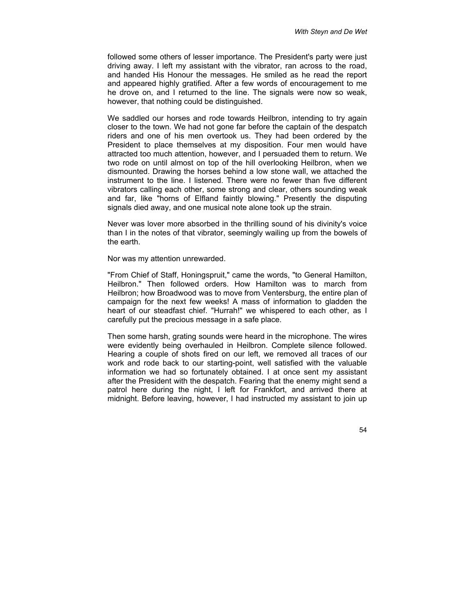followed some others of lesser importance. The President's party were just driving away. I left my assistant with the vibrator, ran across to the road, and handed His Honour the messages. He smiled as he read the report and appeared highly gratified. After a few words of encouragement to me he drove on, and I returned to the line. The signals were now so weak, however, that nothing could be distinguished.

We saddled our horses and rode towards Heilbron, intending to try again closer to the town. We had not gone far before the captain of the despatch riders and one of his men overtook us. They had been ordered by the President to place themselves at my disposition. Four men would have attracted too much attention, however, and I persuaded them to return. We two rode on until almost on top of the hill overlooking Heilbron, when we dismounted. Drawing the horses behind a low stone wall, we attached the instrument to the line. I listened. There were no fewer than five different vibrators calling each other, some strong and clear, others sounding weak and far, like "horns of Elfland faintly blowing." Presently the disputing signals died away, and one musical note alone took up the strain.

Never was lover more absorbed in the thrilling sound of his divinity's voice than I in the notes of that vibrator, seemingly wailing up from the bowels of the earth.

Nor was my attention unrewarded.

"From Chief of Staff, Honingspruit," came the words, "to General Hamilton, Heilbron." Then followed orders. How Hamilton was to march from Heilbron; how Broadwood was to move from Ventersburg, the entire plan of campaign for the next few weeks! A mass of information to gladden the heart of our steadfast chief. "Hurrah!" we whispered to each other, as I carefully put the precious message in a safe place.

Then some harsh, grating sounds were heard in the microphone. The wires were evidently being overhauled in Heilbron. Complete silence followed. Hearing a couple of shots fired on our left, we removed all traces of our work and rode back to our starting-point, well satisfied with the valuable information we had so fortunately obtained. I at once sent my assistant after the President with the despatch. Fearing that the enemy might send a patrol here during the night, I left for Frankfort, and arrived there at midnight. Before leaving, however, I had instructed my assistant to join up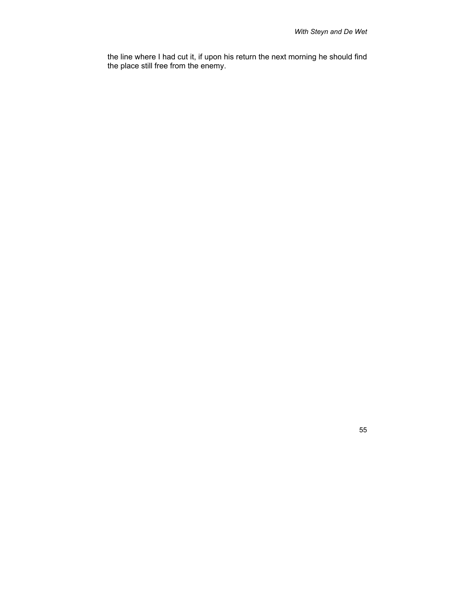the line where I had cut it, if upon his return the next morning he should find the place still free from the enemy.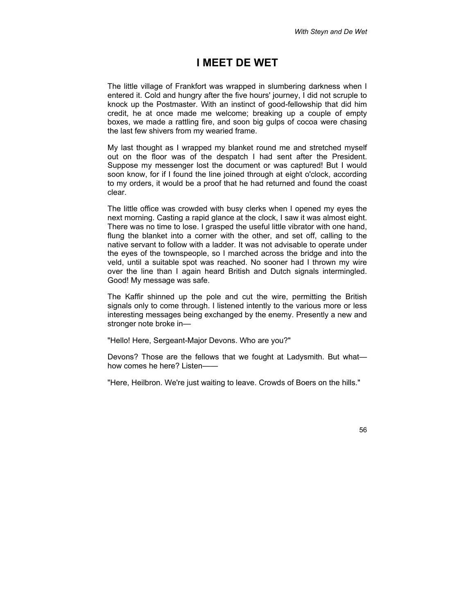#### **I MEET DE WET**

The little village of Frankfort was wrapped in slumbering darkness when I entered it. Cold and hungry after the five hours' journey, I did not scruple to knock up the Postmaster. With an instinct of good-fellowship that did him credit, he at once made me welcome; breaking up a couple of empty boxes, we made a rattling fire, and soon big gulps of cocoa were chasing the last few shivers from my wearied frame.

My last thought as I wrapped my blanket round me and stretched myself out on the floor was of the despatch I had sent after the President. Suppose my messenger lost the document or was captured! But I would soon know, for if I found the line joined through at eight o'clock, according to my orders, it would be a proof that he had returned and found the coast clear.

The little office was crowded with busy clerks when I opened my eyes the next morning. Casting a rapid glance at the clock, I saw it was almost eight. There was no time to lose. I grasped the useful little vibrator with one hand, flung the blanket into a corner with the other, and set off, calling to the native servant to follow with a ladder. It was not advisable to operate under the eyes of the townspeople, so I marched across the bridge and into the veld, until a suitable spot was reached. No sooner had I thrown my wire over the line than I again heard British and Dutch signals intermingled. Good! My message was safe.

The Kaffir shinned up the pole and cut the wire, permitting the British signals only to come through. I listened intently to the various more or less interesting messages being exchanged by the enemy. Presently a new and stronger note broke in—

"Hello! Here, Sergeant-Major Devons. Who are you?"

Devons? Those are the fellows that we fought at Ladysmith. But what how comes he here? Listen—

"Here, Heilbron. We're just waiting to leave. Crowds of Boers on the hills."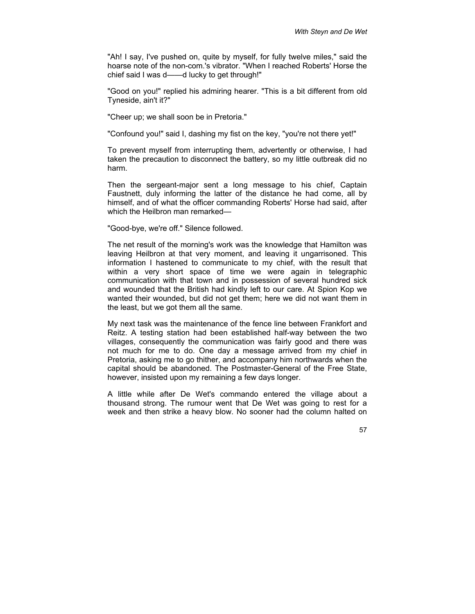"Ah! I say, I've pushed on, quite by myself, for fully twelve miles," said the hoarse note of the non-com.'s vibrator. "When I reached Roberts' Horse the chief said I was d——d lucky to get through!"

"Good on you!" replied his admiring hearer. "This is a bit different from old Tyneside, ain't it?"

"Cheer up; we shall soon be in Pretoria."

"Confound you!" said I, dashing my fist on the key, "you're not there yet!"

To prevent myself from interrupting them, advertently or otherwise, I had taken the precaution to disconnect the battery, so my little outbreak did no harm.

Then the sergeant-major sent a long message to his chief, Captain Faustnett, duly informing the latter of the distance he had come, all by himself, and of what the officer commanding Roberts' Horse had said, after which the Heilbron man remarked—

"Good-bye, we're off." Silence followed.

The net result of the morning's work was the knowledge that Hamilton was leaving Heilbron at that very moment, and leaving it ungarrisoned. This information I hastened to communicate to my chief, with the result that within a very short space of time we were again in telegraphic communication with that town and in possession of several hundred sick and wounded that the British had kindly left to our care. At Spion Kop we wanted their wounded, but did not get them; here we did not want them in the least, but we got them all the same.

My next task was the maintenance of the fence line between Frankfort and Reitz. A testing station had been established half-way between the two villages, consequently the communication was fairly good and there was not much for me to do. One day a message arrived from my chief in Pretoria, asking me to go thither, and accompany him northwards when the capital should be abandoned. The Postmaster-General of the Free State, however, insisted upon my remaining a few days longer.

A little while after De Wet's commando entered the village about a thousand strong. The rumour went that De Wet was going to rest for a week and then strike a heavy blow. No sooner had the column halted on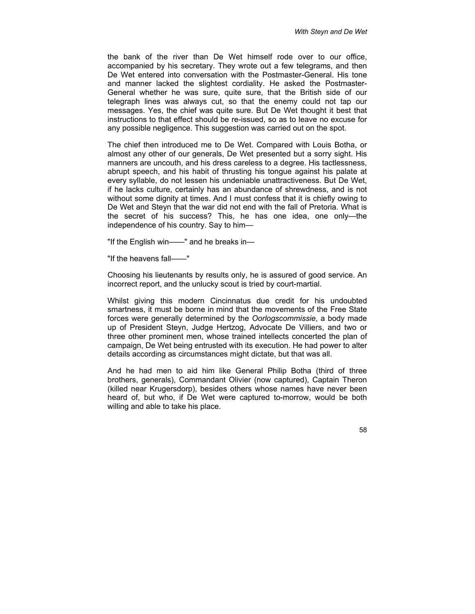the bank of the river than De Wet himself rode over to our office, accompanied by his secretary. They wrote out a few telegrams, and then De Wet entered into conversation with the Postmaster-General. His tone and manner lacked the slightest cordiality. He asked the Postmaster-General whether he was sure, quite sure, that the British side of our telegraph lines was always cut, so that the enemy could not tap our messages. Yes, the chief was quite sure. But De Wet thought it best that instructions to that effect should be re-issued, so as to leave no excuse for any possible negligence. This suggestion was carried out on the spot.

The chief then introduced me to De Wet. Compared with Louis Botha, or almost any other of our generals, De Wet presented but a sorry sight. His manners are uncouth, and his dress careless to a degree. His tactlessness, abrupt speech, and his habit of thrusting his tongue against his palate at every syllable, do not lessen his undeniable unattractiveness. But De Wet, if he lacks culture, certainly has an abundance of shrewdness, and is not without some dignity at times. And I must confess that it is chiefly owing to De Wet and Steyn that the war did not end with the fall of Pretoria. What is the secret of his success? This, he has one idea, one only—the independence of his country. Say to him—

"If the English win——" and he breaks in—

"If the heavens fall——"

Choosing his lieutenants by results only, he is assured of good service. An incorrect report, and the unlucky scout is tried by court-martial.

Whilst giving this modern Cincinnatus due credit for his undoubted smartness, it must be borne in mind that the movements of the Free State forces were generally determined by the *Oorlogscommissie*, a body made up of President Steyn, Judge Hertzog, Advocate De Villiers, and two or three other prominent men, whose trained intellects concerted the plan of campaign, De Wet being entrusted with its execution. He had power to alter details according as circumstances might dictate, but that was all.

And he had men to aid him like General Philip Botha (third of three brothers, generals), Commandant Olivier (now captured), Captain Theron (killed near Krugersdorp), besides others whose names have never been heard of, but who, if De Wet were captured to-morrow, would be both willing and able to take his place.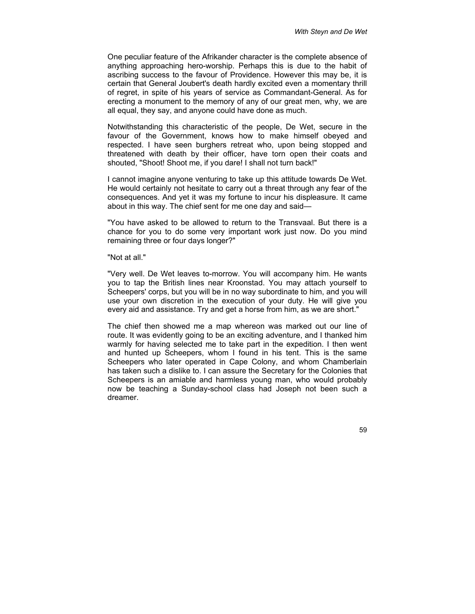One peculiar feature of the Afrikander character is the complete absence of anything approaching hero-worship. Perhaps this is due to the habit of ascribing success to the favour of Providence. However this may be, it is certain that General Joubert's death hardly excited even a momentary thrill of regret, in spite of his years of service as Commandant-General. As for erecting a monument to the memory of any of our great men, why, we are all equal, they say, and anyone could have done as much.

Notwithstanding this characteristic of the people, De Wet, secure in the favour of the Government, knows how to make himself obeyed and respected. I have seen burghers retreat who, upon being stopped and threatened with death by their officer, have torn open their coats and shouted, "Shoot! Shoot me, if you dare! I shall not turn back!"

I cannot imagine anyone venturing to take up this attitude towards De Wet. He would certainly not hesitate to carry out a threat through any fear of the consequences. And yet it was my fortune to incur his displeasure. It came about in this way. The chief sent for me one day and said—

"You have asked to be allowed to return to the Transvaal. But there is a chance for you to do some very important work just now. Do you mind remaining three or four days longer?"

"Not at all."

"Very well. De Wet leaves to-morrow. You will accompany him. He wants you to tap the British lines near Kroonstad. You may attach yourself to Scheepers' corps, but you will be in no way subordinate to him, and you will use your own discretion in the execution of your duty. He will give you every aid and assistance. Try and get a horse from him, as we are short."

The chief then showed me a map whereon was marked out our line of route. It was evidently going to be an exciting adventure, and I thanked him warmly for having selected me to take part in the expedition. I then went and hunted up Scheepers, whom I found in his tent. This is the same Scheepers who later operated in Cape Colony, and whom Chamberlain has taken such a dislike to. I can assure the Secretary for the Colonies that Scheepers is an amiable and harmless young man, who would probably now be teaching a Sunday-school class had Joseph not been such a dreamer.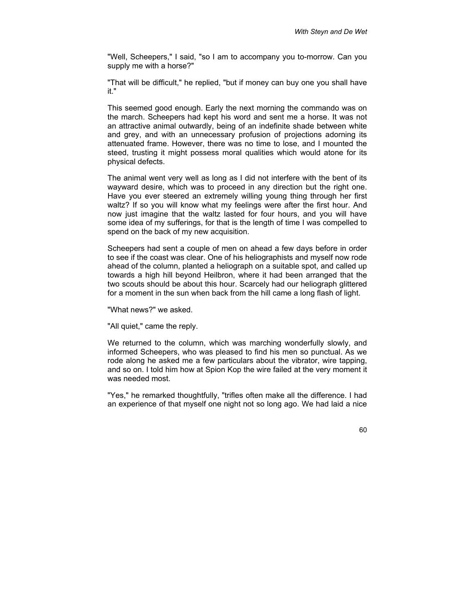"Well, Scheepers," I said, "so I am to accompany you to-morrow. Can you supply me with a horse?"

"That will be difficult," he replied, "but if money can buy one you shall have it."

This seemed good enough. Early the next morning the commando was on the march. Scheepers had kept his word and sent me a horse. It was not an attractive animal outwardly, being of an indefinite shade between white and grey, and with an unnecessary profusion of projections adorning its attenuated frame. However, there was no time to lose, and I mounted the steed, trusting it might possess moral qualities which would atone for its physical defects.

The animal went very well as long as I did not interfere with the bent of its wayward desire, which was to proceed in any direction but the right one. Have you ever steered an extremely willing young thing through her first waltz? If so you will know what my feelings were after the first hour. And now just imagine that the waltz lasted for four hours, and you will have some idea of my sufferings, for that is the length of time I was compelled to spend on the back of my new acquisition.

Scheepers had sent a couple of men on ahead a few days before in order to see if the coast was clear. One of his heliographists and myself now rode ahead of the column, planted a heliograph on a suitable spot, and called up towards a high hill beyond Heilbron, where it had been arranged that the two scouts should be about this hour. Scarcely had our heliograph glittered for a moment in the sun when back from the hill came a long flash of light.

"What news?" we asked.

"All quiet," came the reply.

We returned to the column, which was marching wonderfully slowly, and informed Scheepers, who was pleased to find his men so punctual. As we rode along he asked me a few particulars about the vibrator, wire tapping, and so on. I told him how at Spion Kop the wire failed at the very moment it was needed most.

"Yes," he remarked thoughtfully, "trifles often make all the difference. I had an experience of that myself one night not so long ago. We had laid a nice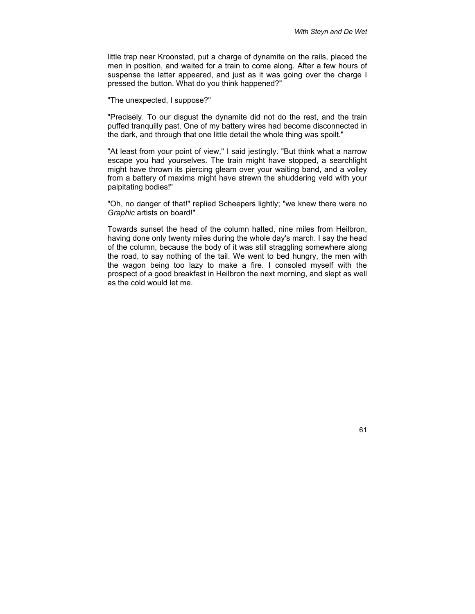little trap near Kroonstad, put a charge of dynamite on the rails, placed the men in position, and waited for a train to come along. After a few hours of suspense the latter appeared, and just as it was going over the charge I pressed the button. What do you think happened?"

"The unexpected, I suppose?"

"Precisely. To our disgust the dynamite did not do the rest, and the train puffed tranquilly past. One of my battery wires had become disconnected in the dark, and through that one little detail the whole thing was spoilt."

"At least from your point of view," I said jestingly. "But think what a narrow escape you had yourselves. The train might have stopped, a searchlight might have thrown its piercing gleam over your waiting band, and a volley from a battery of maxims might have strewn the shuddering veld with your palpitating bodies!"

"Oh, no danger of that!" replied Scheepers lightly; "we knew there were no *Graphic* artists on board!"

Towards sunset the head of the column halted, nine miles from Heilbron, having done only twenty miles during the whole day's march. I say the head of the column, because the body of it was still straggling somewhere along the road, to say nothing of the tail. We went to bed hungry, the men with the wagon being too lazy to make a fire. I consoled myself with the prospect of a good breakfast in Heilbron the next morning, and slept as well as the cold would let me.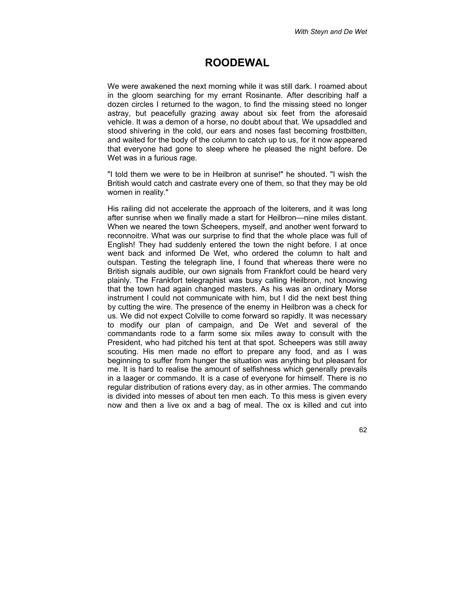## **ROODEWAL**

We were awakened the next morning while it was still dark. I roamed about in the gloom searching for my errant Rosinante. After describing half a dozen circles I returned to the wagon, to find the missing steed no longer astray, but peacefully grazing away about six feet from the aforesaid vehicle. It was a demon of a horse, no doubt about that. We upsaddled and stood shivering in the cold, our ears and noses fast becoming frostbitten, and waited for the body of the column to catch up to us, for it now appeared that everyone had gone to sleep where he pleased the night before. De Wet was in a furious rage.

"I told them we were to be in Heilbron at sunrise!" he shouted. "I wish the British would catch and castrate every one of them, so that they may be old women in reality."

His railing did not accelerate the approach of the loiterers, and it was long after sunrise when we finally made a start for Heilbron—nine miles distant. When we neared the town Scheepers, myself, and another went forward to reconnoitre. What was our surprise to find that the whole place was full of English! They had suddenly entered the town the night before. I at once went back and informed De Wet, who ordered the column to halt and outspan. Testing the telegraph line, I found that whereas there were no British signals audible, our own signals from Frankfort could be heard very plainly. The Frankfort telegraphist was busy calling Heilbron, not knowing that the town had again changed masters. As his was an ordinary Morse instrument I could not communicate with him, but I did the next best thing by cutting the wire. The presence of the enemy in Heilbron was a check for us. We did not expect Colville to come forward so rapidly. It was necessary to modify our plan of campaign, and De Wet and several of the commandants rode to a farm some six miles away to consult with the President, who had pitched his tent at that spot. Scheepers was still away scouting. His men made no effort to prepare any food, and as I was beginning to suffer from hunger the situation was anything but pleasant for me. It is hard to realise the amount of selfishness which generally prevails in a laager or commando. It is a case of everyone for himself. There is no regular distribution of rations every day, as in other armies. The commando is divided into messes of about ten men each. To this mess is given every now and then a live ox and a bag of meal. The ox is killed and cut into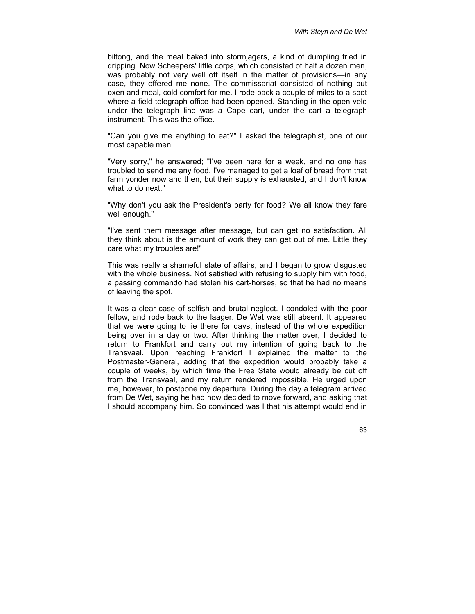biltong, and the meal baked into stormjagers, a kind of dumpling fried in dripping. Now Scheepers' little corps, which consisted of half a dozen men, was probably not very well off itself in the matter of provisions—in any case, they offered me none. The commissariat consisted of nothing but oxen and meal, cold comfort for me. I rode back a couple of miles to a spot where a field telegraph office had been opened. Standing in the open veld under the telegraph line was a Cape cart, under the cart a telegraph instrument. This was the office.

"Can you give me anything to eat?" I asked the telegraphist, one of our most capable men.

"Very sorry," he answered; "I've been here for a week, and no one has troubled to send me any food. I've managed to get a loaf of bread from that farm yonder now and then, but their supply is exhausted, and I don't know what to do next."

"Why don't you ask the President's party for food? We all know they fare well enough."

"I've sent them message after message, but can get no satisfaction. All they think about is the amount of work they can get out of me. Little they care what my troubles are!"

This was really a shameful state of affairs, and I began to grow disgusted with the whole business. Not satisfied with refusing to supply him with food, a passing commando had stolen his cart-horses, so that he had no means of leaving the spot.

It was a clear case of selfish and brutal neglect. I condoled with the poor fellow, and rode back to the laager. De Wet was still absent. It appeared that we were going to lie there for days, instead of the whole expedition being over in a day or two. After thinking the matter over, I decided to return to Frankfort and carry out my intention of going back to the Transvaal. Upon reaching Frankfort I explained the matter to the Postmaster-General, adding that the expedition would probably take a couple of weeks, by which time the Free State would already be cut off from the Transvaal, and my return rendered impossible. He urged upon me, however, to postpone my departure. During the day a telegram arrived from De Wet, saying he had now decided to move forward, and asking that I should accompany him. So convinced was I that his attempt would end in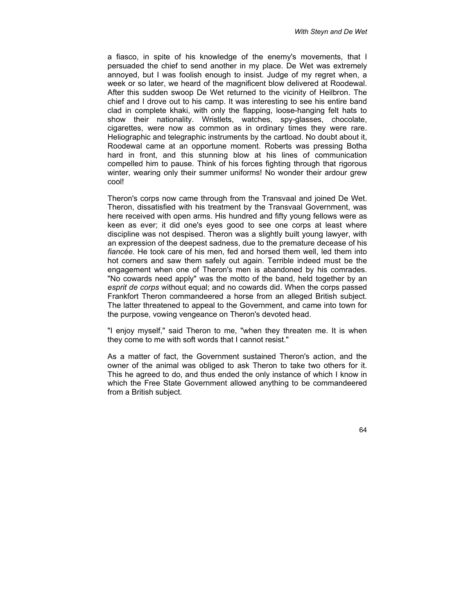a fiasco, in spite of his knowledge of the enemy's movements, that I persuaded the chief to send another in my place. De Wet was extremely annoyed, but I was foolish enough to insist. Judge of my regret when, a week or so later, we heard of the magnificent blow delivered at Roodewal. After this sudden swoop De Wet returned to the vicinity of Heilbron. The chief and I drove out to his camp. It was interesting to see his entire band clad in complete khaki, with only the flapping, loose-hanging felt hats to show their nationality. Wristlets, watches, spy-glasses, chocolate, cigarettes, were now as common as in ordinary times they were rare. Heliographic and telegraphic instruments by the cartload. No doubt about it, Roodewal came at an opportune moment. Roberts was pressing Botha hard in front, and this stunning blow at his lines of communication compelled him to pause. Think of his forces fighting through that rigorous winter, wearing only their summer uniforms! No wonder their ardour grew cool!

Theron's corps now came through from the Transvaal and joined De Wet. Theron, dissatisfied with his treatment by the Transvaal Government, was here received with open arms. His hundred and fifty young fellows were as keen as ever; it did one's eyes good to see one corps at least where discipline was not despised. Theron was a slightly built young lawyer, with an expression of the deepest sadness, due to the premature decease of his *fiancée*. He took care of his men, fed and horsed them well, led them into hot corners and saw them safely out again. Terrible indeed must be the engagement when one of Theron's men is abandoned by his comrades. "No cowards need apply" was the motto of the band, held together by an *esprit de corps* without equal; and no cowards did. When the corps passed Frankfort Theron commandeered a horse from an alleged British subject. The latter threatened to appeal to the Government, and came into town for the purpose, vowing vengeance on Theron's devoted head.

"I enjoy myself," said Theron to me, "when they threaten me. It is when they come to me with soft words that I cannot resist."

As a matter of fact, the Government sustained Theron's action, and the owner of the animal was obliged to ask Theron to take two others for it. This he agreed to do, and thus ended the only instance of which I know in which the Free State Government allowed anything to be commandeered from a British subject.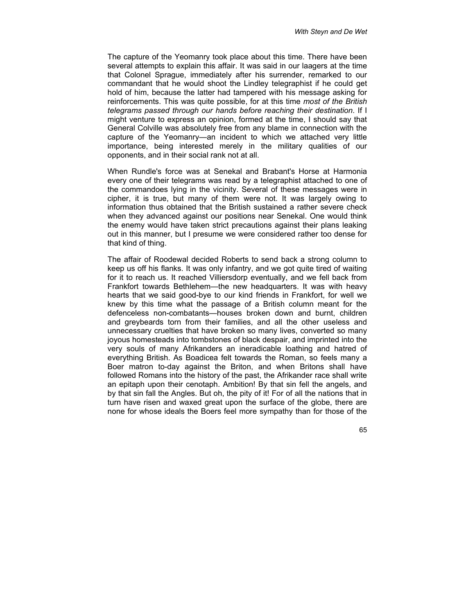The capture of the Yeomanry took place about this time. There have been several attempts to explain this affair. It was said in our laagers at the time that Colonel Sprague, immediately after his surrender, remarked to our commandant that he would shoot the Lindley telegraphist if he could get hold of him, because the latter had tampered with his message asking for reinforcements. This was quite possible, for at this time *most of the British telegrams passed through our hands before reaching their destination*. If I might venture to express an opinion, formed at the time, I should say that General Colville was absolutely free from any blame in connection with the capture of the Yeomanry—an incident to which we attached very little importance, being interested merely in the military qualities of our opponents, and in their social rank not at all.

When Rundle's force was at Senekal and Brabant's Horse at Harmonia every one of their telegrams was read by a telegraphist attached to one of the commandoes lying in the vicinity. Several of these messages were in cipher, it is true, but many of them were not. It was largely owing to information thus obtained that the British sustained a rather severe check when they advanced against our positions near Senekal. One would think the enemy would have taken strict precautions against their plans leaking out in this manner, but I presume we were considered rather too dense for that kind of thing.

The affair of Roodewal decided Roberts to send back a strong column to keep us off his flanks. It was only infantry, and we got quite tired of waiting for it to reach us. It reached Villiersdorp eventually, and we fell back from Frankfort towards Bethlehem—the new headquarters. It was with heavy hearts that we said good-bye to our kind friends in Frankfort, for well we knew by this time what the passage of a British column meant for the defenceless non-combatants—houses broken down and burnt, children and greybeards torn from their families, and all the other useless and unnecessary cruelties that have broken so many lives, converted so many joyous homesteads into tombstones of black despair, and imprinted into the very souls of many Afrikanders an ineradicable loathing and hatred of everything British. As Boadicea felt towards the Roman, so feels many a Boer matron to-day against the Briton, and when Britons shall have followed Romans into the history of the past, the Afrikander race shall write an epitaph upon their cenotaph. Ambition! By that sin fell the angels, and by that sin fall the Angles. But oh, the pity of it! For of all the nations that in turn have risen and waxed great upon the surface of the globe, there are none for whose ideals the Boers feel more sympathy than for those of the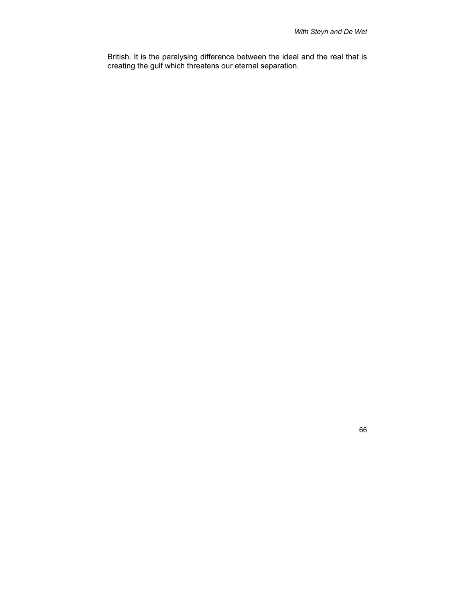British. It is the paralysing difference between the ideal and the real that is creating the gulf which threatens our eternal separation.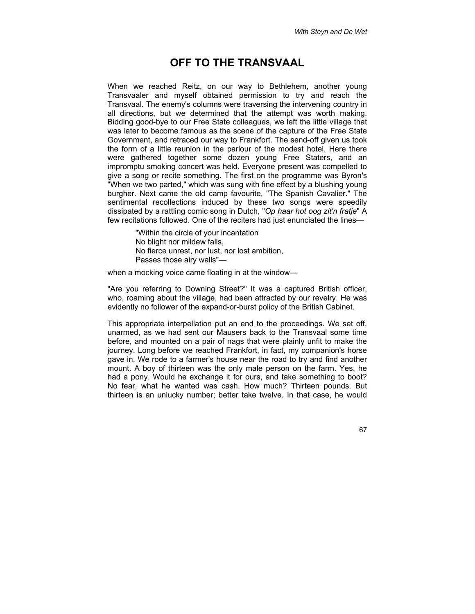#### **OFF TO THE TRANSVAAL**

When we reached Reitz, on our way to Bethlehem, another young Transvaaler and myself obtained permission to try and reach the Transvaal. The enemy's columns were traversing the intervening country in all directions, but we determined that the attempt was worth making. Bidding good-bye to our Free State colleagues, we left the little village that was later to become famous as the scene of the capture of the Free State Government, and retraced our way to Frankfort. The send-off given us took the form of a little reunion in the parlour of the modest hotel. Here there were gathered together some dozen young Free Staters, and an impromptu smoking concert was held. Everyone present was compelled to give a song or recite something. The first on the programme was Byron's "When we two parted," which was sung with fine effect by a blushing young burgher. Next came the old camp favourite, "The Spanish Cavalier." The sentimental recollections induced by these two songs were speedily dissipated by a rattling comic song in Dutch, "*Op haar hot oog zit'n fratje*" A few recitations followed. One of the reciters had just enunciated the lines—

> "Within the circle of your incantation No blight nor mildew falls, No fierce unrest, nor lust, nor lost ambition, Passes those airy walls"—

when a mocking voice came floating in at the window—

"Are you referring to Downing Street?" It was a captured British officer, who, roaming about the village, had been attracted by our revelry. He was evidently no follower of the expand-or-burst policy of the British Cabinet.

This appropriate interpellation put an end to the proceedings. We set off, unarmed, as we had sent our Mausers back to the Transvaal some time before, and mounted on a pair of nags that were plainly unfit to make the journey. Long before we reached Frankfort, in fact, my companion's horse gave in. We rode to a farmer's house near the road to try and find another mount. A boy of thirteen was the only male person on the farm. Yes, he had a pony. Would he exchange it for ours, and take something to boot? No fear, what he wanted was cash. How much? Thirteen pounds. But thirteen is an unlucky number; better take twelve. In that case, he would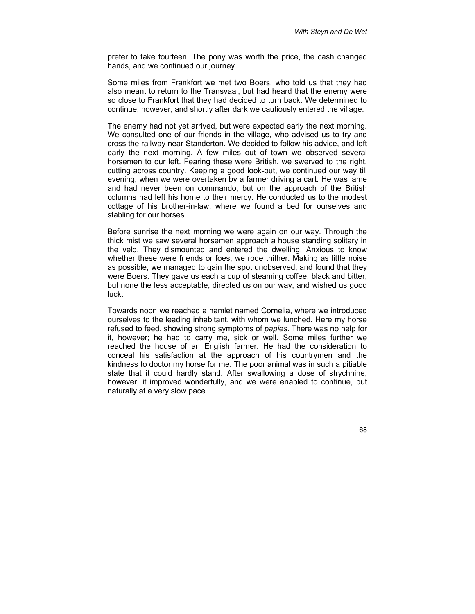prefer to take fourteen. The pony was worth the price, the cash changed hands, and we continued our journey.

Some miles from Frankfort we met two Boers, who told us that they had also meant to return to the Transvaal, but had heard that the enemy were so close to Frankfort that they had decided to turn back. We determined to continue, however, and shortly after dark we cautiously entered the village.

The enemy had not yet arrived, but were expected early the next morning. We consulted one of our friends in the village, who advised us to try and cross the railway near Standerton. We decided to follow his advice, and left early the next morning. A few miles out of town we observed several horsemen to our left. Fearing these were British, we swerved to the right, cutting across country. Keeping a good look-out, we continued our way till evening, when we were overtaken by a farmer driving a cart. He was lame and had never been on commando, but on the approach of the British columns had left his home to their mercy. He conducted us to the modest cottage of his brother-in-law, where we found a bed for ourselves and stabling for our horses.

Before sunrise the next morning we were again on our way. Through the thick mist we saw several horsemen approach a house standing solitary in the veld. They dismounted and entered the dwelling. Anxious to know whether these were friends or foes, we rode thither. Making as little noise as possible, we managed to gain the spot unobserved, and found that they were Boers. They gave us each a cup of steaming coffee, black and bitter, but none the less acceptable, directed us on our way, and wished us good luck.

Towards noon we reached a hamlet named Cornelia, where we introduced ourselves to the leading inhabitant, with whom we lunched. Here my horse refused to feed, showing strong symptoms of *papies*. There was no help for it, however; he had to carry me, sick or well. Some miles further we reached the house of an English farmer. He had the consideration to conceal his satisfaction at the approach of his countrymen and the kindness to doctor my horse for me. The poor animal was in such a pitiable state that it could hardly stand. After swallowing a dose of strychnine, however, it improved wonderfully, and we were enabled to continue, but naturally at a very slow pace.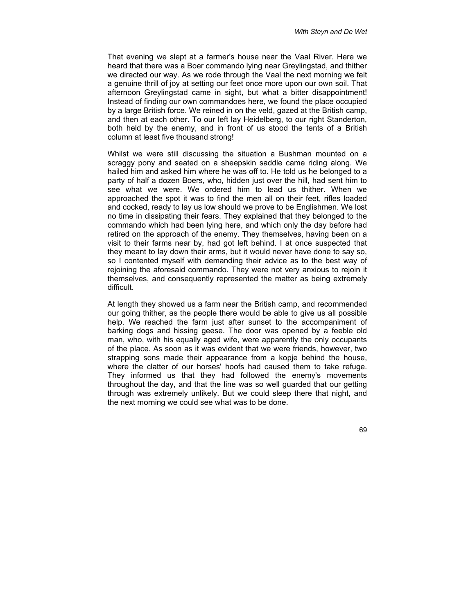That evening we slept at a farmer's house near the Vaal River. Here we heard that there was a Boer commando lying near Greylingstad, and thither we directed our way. As we rode through the Vaal the next morning we felt a genuine thrill of joy at setting our feet once more upon our own soil. That afternoon Greylingstad came in sight, but what a bitter disappointment! Instead of finding our own commandoes here, we found the place occupied by a large British force. We reined in on the veld, gazed at the British camp, and then at each other. To our left lay Heidelberg, to our right Standerton, both held by the enemy, and in front of us stood the tents of a British column at least five thousand strong!

Whilst we were still discussing the situation a Bushman mounted on a scraggy pony and seated on a sheepskin saddle came riding along. We hailed him and asked him where he was off to. He told us he belonged to a party of half a dozen Boers, who, hidden just over the hill, had sent him to see what we were. We ordered him to lead us thither. When we approached the spot it was to find the men all on their feet, rifles loaded and cocked, ready to lay us low should we prove to be Englishmen. We lost no time in dissipating their fears. They explained that they belonged to the commando which had been lying here, and which only the day before had retired on the approach of the enemy. They themselves, having been on a visit to their farms near by, had got left behind. I at once suspected that they meant to lay down their arms, but it would never have done to say so, so I contented myself with demanding their advice as to the best way of rejoining the aforesaid commando. They were not very anxious to rejoin it themselves, and consequently represented the matter as being extremely difficult.

At length they showed us a farm near the British camp, and recommended our going thither, as the people there would be able to give us all possible help. We reached the farm just after sunset to the accompaniment of barking dogs and hissing geese. The door was opened by a feeble old man, who, with his equally aged wife, were apparently the only occupants of the place. As soon as it was evident that we were friends, however, two strapping sons made their appearance from a kopje behind the house, where the clatter of our horses' hoofs had caused them to take refuge. They informed us that they had followed the enemy's movements throughout the day, and that the line was so well guarded that our getting through was extremely unlikely. But we could sleep there that night, and the next morning we could see what was to be done.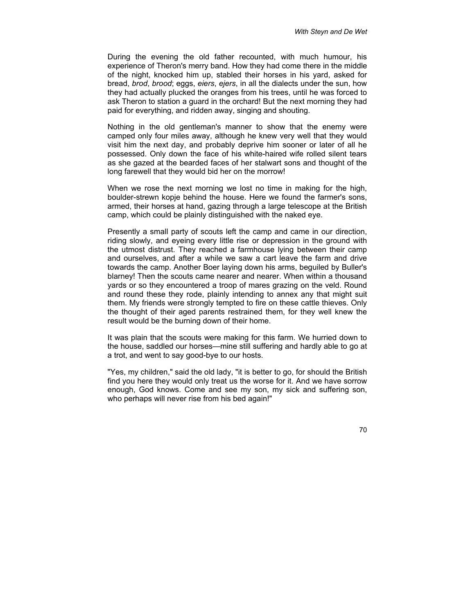During the evening the old father recounted, with much humour, his experience of Theron's merry band. How they had come there in the middle of the night, knocked him up, stabled their horses in his yard, asked for bread, *brod*, *brood*; eggs, *eiers*, *ejers*, in all the dialects under the sun, how they had actually plucked the oranges from his trees, until he was forced to ask Theron to station a guard in the orchard! But the next morning they had paid for everything, and ridden away, singing and shouting.

Nothing in the old gentleman's manner to show that the enemy were camped only four miles away, although he knew very well that they would visit him the next day, and probably deprive him sooner or later of all he possessed. Only down the face of his white-haired wife rolled silent tears as she gazed at the bearded faces of her stalwart sons and thought of the long farewell that they would bid her on the morrow!

When we rose the next morning we lost no time in making for the high, boulder-strewn kopje behind the house. Here we found the farmer's sons, armed, their horses at hand, gazing through a large telescope at the British camp, which could be plainly distinguished with the naked eye.

Presently a small party of scouts left the camp and came in our direction, riding slowly, and eyeing every little rise or depression in the ground with the utmost distrust. They reached a farmhouse lying between their camp and ourselves, and after a while we saw a cart leave the farm and drive towards the camp. Another Boer laying down his arms, beguiled by Buller's blarney! Then the scouts came nearer and nearer. When within a thousand yards or so they encountered a troop of mares grazing on the veld. Round and round these they rode, plainly intending to annex any that might suit them. My friends were strongly tempted to fire on these cattle thieves. Only the thought of their aged parents restrained them, for they well knew the result would be the burning down of their home.

It was plain that the scouts were making for this farm. We hurried down to the house, saddled our horses—mine still suffering and hardly able to go at a trot, and went to say good-bye to our hosts.

"Yes, my children," said the old lady, "it is better to go, for should the British find you here they would only treat us the worse for it. And we have sorrow enough, God knows. Come and see my son, my sick and suffering son, who perhaps will never rise from his bed again!"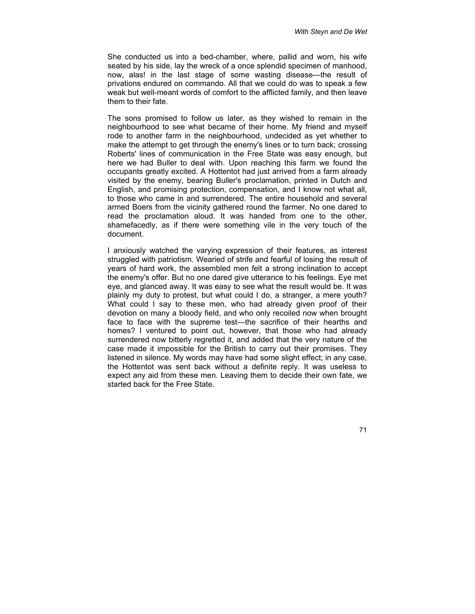She conducted us into a bed-chamber, where, pallid and worn, his wife seated by his side, lay the wreck of a once splendid specimen of manhood, now, alas! in the last stage of some wasting disease—the result of privations endured on commando. All that we could do was to speak a few weak but well-meant words of comfort to the afflicted family, and then leave them to their fate.

The sons promised to follow us later, as they wished to remain in the neighbourhood to see what became of their home. My friend and myself rode to another farm in the neighbourhood, undecided as yet whether to make the attempt to get through the enemy's lines or to turn back; crossing Roberts' lines of communication in the Free State was easy enough, but here we had Buller to deal with. Upon reaching this farm we found the occupants greatly excited. A Hottentot had just arrived from a farm already visited by the enemy, bearing Buller's proclamation, printed in Dutch and English, and promising protection, compensation, and I know not what all, to those who came in and surrendered. The entire household and several armed Boers from the vicinity gathered round the farmer. No one dared to read the proclamation aloud. It was handed from one to the other, shamefacedly, as if there were something vile in the very touch of the document.

I anxiously watched the varying expression of their features, as interest struggled with patriotism. Wearied of strife and fearful of losing the result of years of hard work, the assembled men felt a strong inclination to accept the enemy's offer. But no one dared give utterance to his feelings. Eye met eye, and glanced away. It was easy to see what the result would be. It was plainly my duty to protest, but what could I do, a stranger, a mere youth? What could I say to these men, who had already given proof of their devotion on many a bloody field, and who only recoiled now when brought face to face with the supreme test—the sacrifice of their hearths and homes? I ventured to point out, however, that those who had already surrendered now bitterly regretted it, and added that the very nature of the case made it impossible for the British to carry out their promises. They listened in silence. My words may have had some slight effect; in any case, the Hottentot was sent back without a definite reply. It was useless to expect any aid from these men. Leaving them to decide their own fate, we started back for the Free State.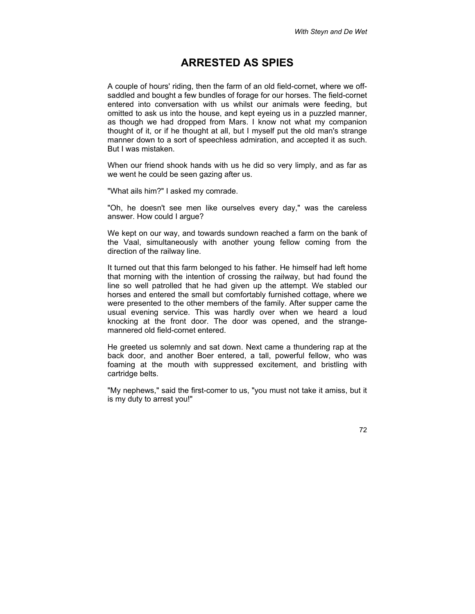## **ARRESTED AS SPIES**

A couple of hours' riding, then the farm of an old field-cornet, where we offsaddled and bought a few bundles of forage for our horses. The field-cornet entered into conversation with us whilst our animals were feeding, but omitted to ask us into the house, and kept eyeing us in a puzzled manner, as though we had dropped from Mars. I know not what my companion thought of it, or if he thought at all, but I myself put the old man's strange manner down to a sort of speechless admiration, and accepted it as such. But I was mistaken.

When our friend shook hands with us he did so very limply, and as far as we went he could be seen gazing after us.

"What ails him?" I asked my comrade.

"Oh, he doesn't see men like ourselves every day," was the careless answer. How could I argue?

We kept on our way, and towards sundown reached a farm on the bank of the Vaal, simultaneously with another young fellow coming from the direction of the railway line.

It turned out that this farm belonged to his father. He himself had left home that morning with the intention of crossing the railway, but had found the line so well patrolled that he had given up the attempt. We stabled our horses and entered the small but comfortably furnished cottage, where we were presented to the other members of the family. After supper came the usual evening service. This was hardly over when we heard a loud knocking at the front door. The door was opened, and the strangemannered old field-cornet entered.

He greeted us solemnly and sat down. Next came a thundering rap at the back door, and another Boer entered, a tall, powerful fellow, who was foaming at the mouth with suppressed excitement, and bristling with cartridge belts.

"My nephews," said the first-comer to us, "you must not take it amiss, but it is my duty to arrest you!"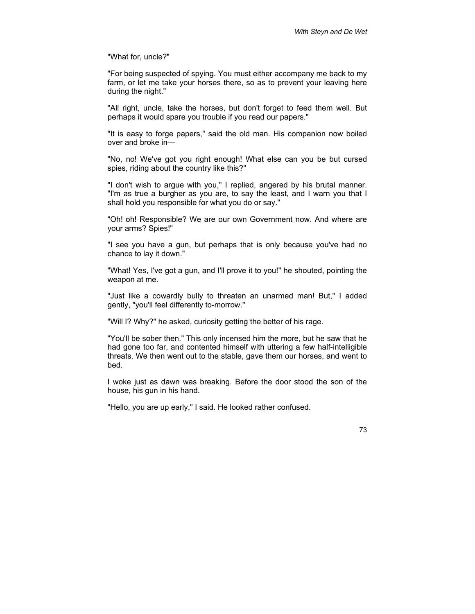"What for, uncle?"

"For being suspected of spying. You must either accompany me back to my farm, or let me take your horses there, so as to prevent your leaving here during the night."

"All right, uncle, take the horses, but don't forget to feed them well. But perhaps it would spare you trouble if you read our papers."

"It is easy to forge papers," said the old man. His companion now boiled over and broke in—

"No, no! We've got you right enough! What else can you be but cursed spies, riding about the country like this?"

"I don't wish to argue with you," I replied, angered by his brutal manner. "I'm as true a burgher as you are, to say the least, and I warn you that I shall hold you responsible for what you do or say."

"Oh! oh! Responsible? We are our own Government now. And where are your arms? Spies!"

"I see you have a gun, but perhaps that is only because you've had no chance to lay it down."

"What! Yes, I've got a gun, and I'll prove it to you!" he shouted, pointing the weapon at me.

"Just like a cowardly bully to threaten an unarmed man! But," I added gently, "you'll feel differently to-morrow."

"Will I? Why?" he asked, curiosity getting the better of his rage.

"You'll be sober then." This only incensed him the more, but he saw that he had gone too far, and contented himself with uttering a few half-intelligible threats. We then went out to the stable, gave them our horses, and went to bed.

I woke just as dawn was breaking. Before the door stood the son of the house, his gun in his hand.

"Hello, you are up early," I said. He looked rather confused.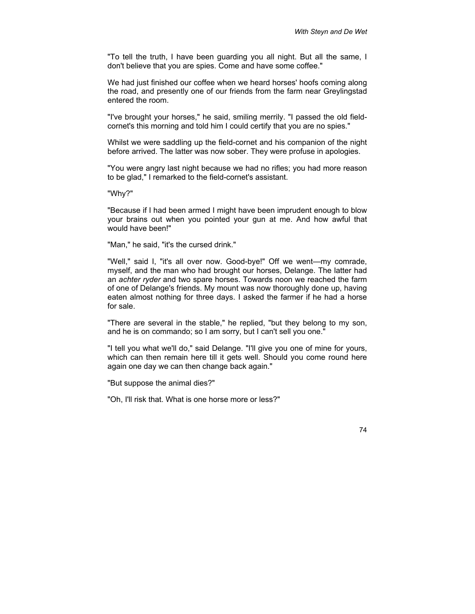"To tell the truth, I have been guarding you all night. But all the same, I don't believe that you are spies. Come and have some coffee."

We had just finished our coffee when we heard horses' hoofs coming along the road, and presently one of our friends from the farm near Greylingstad entered the room.

"I've brought your horses," he said, smiling merrily. "I passed the old fieldcornet's this morning and told him I could certify that you are no spies."

Whilst we were saddling up the field-cornet and his companion of the night before arrived. The latter was now sober. They were profuse in apologies.

"You were angry last night because we had no rifles; you had more reason to be glad," I remarked to the field-cornet's assistant.

"Why?"

"Because if I had been armed I might have been imprudent enough to blow your brains out when you pointed your gun at me. And how awful that would have been!"

"Man," he said, "it's the cursed drink."

"Well," said I, "it's all over now. Good-bye!" Off we went—my comrade, myself, and the man who had brought our horses, Delange. The latter had an *achter ryder* and two spare horses. Towards noon we reached the farm of one of Delange's friends. My mount was now thoroughly done up, having eaten almost nothing for three days. I asked the farmer if he had a horse for sale.

"There are several in the stable," he replied, "but they belong to my son, and he is on commando; so I am sorry, but I can't sell you one."

"I tell you what we'll do," said Delange. "I'll give you one of mine for yours, which can then remain here till it gets well. Should you come round here again one day we can then change back again."

"But suppose the animal dies?"

"Oh, I'll risk that. What is one horse more or less?"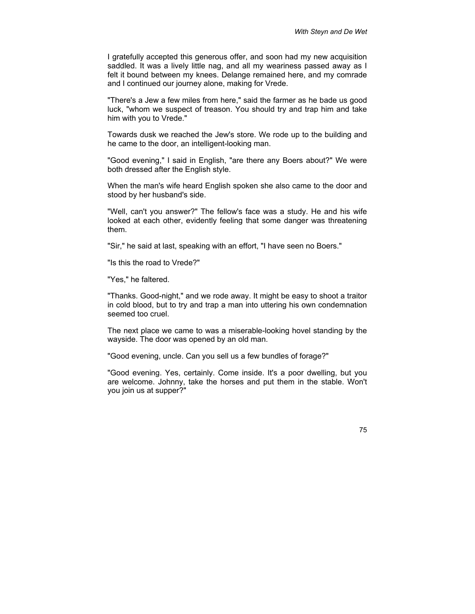I gratefully accepted this generous offer, and soon had my new acquisition saddled. It was a lively little nag, and all my weariness passed away as I felt it bound between my knees. Delange remained here, and my comrade and I continued our journey alone, making for Vrede.

"There's a Jew a few miles from here," said the farmer as he bade us good luck, "whom we suspect of treason. You should try and trap him and take him with you to Vrede."

Towards dusk we reached the Jew's store. We rode up to the building and he came to the door, an intelligent-looking man.

"Good evening," I said in English, "are there any Boers about?" We were both dressed after the English style.

When the man's wife heard English spoken she also came to the door and stood by her husband's side.

"Well, can't you answer?" The fellow's face was a study. He and his wife looked at each other, evidently feeling that some danger was threatening them.

"Sir," he said at last, speaking with an effort, "I have seen no Boers."

"Is this the road to Vrede?"

"Yes," he faltered.

"Thanks. Good-night," and we rode away. It might be easy to shoot a traitor in cold blood, but to try and trap a man into uttering his own condemnation seemed too cruel.

The next place we came to was a miserable-looking hovel standing by the wayside. The door was opened by an old man.

"Good evening, uncle. Can you sell us a few bundles of forage?"

"Good evening. Yes, certainly. Come inside. It's a poor dwelling, but you are welcome. Johnny, take the horses and put them in the stable. Won't you join us at supper?"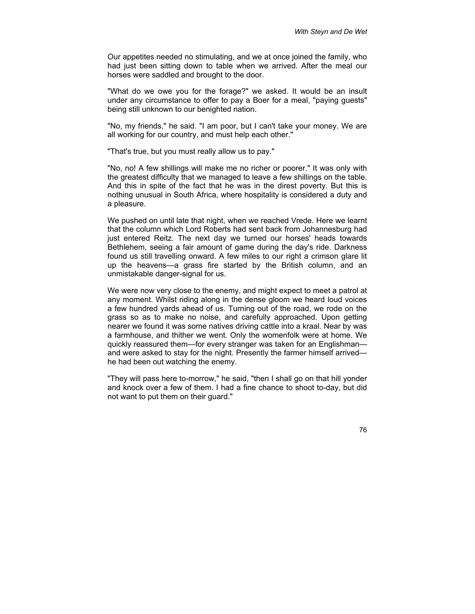Our appetites needed no stimulating, and we at once joined the family, who had just been sitting down to table when we arrived. After the meal our horses were saddled and brought to the door.

"What do we owe you for the forage?" we asked. It would be an insult under any circumstance to offer to pay a Boer for a meal, "paying guests" being still unknown to our benighted nation.

"No, my friends," he said. "I am poor, but I can't take your money. We are all working for our country, and must help each other."

"That's true, but you must really allow us to pay."

"No, no! A few shillings will make me no richer or poorer." It was only with the greatest difficulty that we managed to leave a few shillings on the table. And this in spite of the fact that he was in the direst poverty. But this is nothing unusual in South Africa, where hospitality is considered a duty and a pleasure.

We pushed on until late that night, when we reached Vrede. Here we learnt that the column which Lord Roberts had sent back from Johannesburg had just entered Reitz. The next day we turned our horses' heads towards Bethlehem, seeing a fair amount of game during the day's ride. Darkness found us still travelling onward. A few miles to our right a crimson glare lit up the heavens—a grass fire started by the British column, and an unmistakable danger-signal for us.

We were now very close to the enemy, and might expect to meet a patrol at any moment. Whilst riding along in the dense gloom we heard loud voices a few hundred yards ahead of us. Turning out of the road, we rode on the grass so as to make no noise, and carefully approached. Upon getting nearer we found it was some natives driving cattle into a kraal. Near by was a farmhouse, and thither we went. Only the womenfolk were at home. We quickly reassured them—for every stranger was taken for an Englishman and were asked to stay for the night. Presently the farmer himself arrived he had been out watching the enemy.

"They will pass here to-morrow," he said, "then I shall go on that hill yonder and knock over a few of them. I had a fine chance to shoot to-day, but did not want to put them on their guard."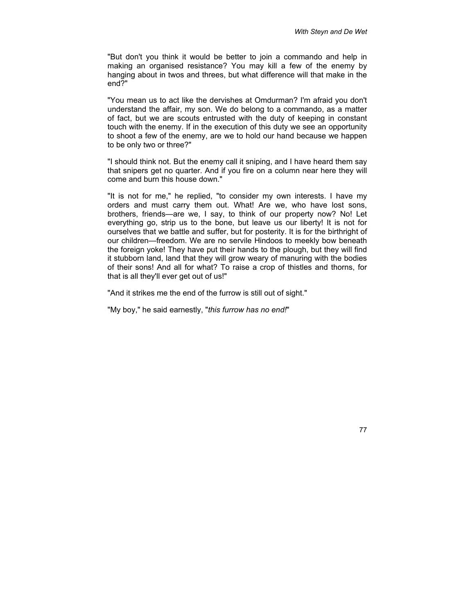"But don't you think it would be better to join a commando and help in making an organised resistance? You may kill a few of the enemy by hanging about in twos and threes, but what difference will that make in the end?"

"You mean us to act like the dervishes at Omdurman? I'm afraid you don't understand the affair, my son. We do belong to a commando, as a matter of fact, but we are scouts entrusted with the duty of keeping in constant touch with the enemy. If in the execution of this duty we see an opportunity to shoot a few of the enemy, are we to hold our hand because we happen to be only two or three?"

"I should think not. But the enemy call it sniping, and I have heard them say that snipers get no quarter. And if you fire on a column near here they will come and burn this house down."

"It is not for me," he replied, "to consider my own interests. I have my orders and must carry them out. What! Are we, who have lost sons, brothers, friends—are we, I say, to think of our property now? No! Let everything go, strip us to the bone, but leave us our liberty! It is not for ourselves that we battle and suffer, but for posterity. It is for the birthright of our children—freedom. We are no servile Hindoos to meekly bow beneath the foreign yoke! They have put their hands to the plough, but they will find it stubborn land, land that they will grow weary of manuring with the bodies of their sons! And all for what? To raise a crop of thistles and thorns, for that is all they'll ever get out of us!"

"And it strikes me the end of the furrow is still out of sight."

"My boy," he said earnestly, "*this furrow has no end!*"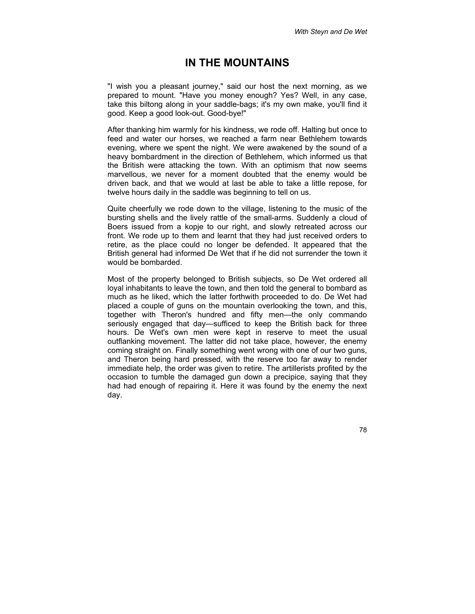# **IN THE MOUNTAINS**

"I wish you a pleasant journey," said our host the next morning, as we prepared to mount. "Have you money enough? Yes? Well, in any case, take this biltong along in your saddle-bags; it's my own make, you'll find it good. Keep a good look-out. Good-bye!"

After thanking him warmly for his kindness, we rode off. Halting but once to feed and water our horses, we reached a farm near Bethlehem towards evening, where we spent the night. We were awakened by the sound of a heavy bombardment in the direction of Bethlehem, which informed us that the British were attacking the town. With an optimism that now seems marvellous, we never for a moment doubted that the enemy would be driven back, and that we would at last be able to take a little repose, for twelve hours daily in the saddle was beginning to tell on us.

Quite cheerfully we rode down to the village, listening to the music of the bursting shells and the lively rattle of the small-arms. Suddenly a cloud of Boers issued from a kopje to our right, and slowly retreated across our front. We rode up to them and learnt that they had just received orders to retire, as the place could no longer be defended. It appeared that the British general had informed De Wet that if he did not surrender the town it would be bombarded.

Most of the property belonged to British subjects, so De Wet ordered all loyal inhabitants to leave the town, and then told the general to bombard as much as he liked, which the latter forthwith proceeded to do. De Wet had placed a couple of guns on the mountain overlooking the town, and this, together with Theron's hundred and fifty men—the only commando seriously engaged that day—sufficed to keep the British back for three hours. De Wet's own men were kept in reserve to meet the usual outflanking movement. The latter did not take place, however, the enemy coming straight on. Finally something went wrong with one of our two guns, and Theron being hard pressed, with the reserve too far away to render immediate help, the order was given to retire. The artillerists profited by the occasion to tumble the damaged gun down a precipice, saying that they had had enough of repairing it. Here it was found by the enemy the next day.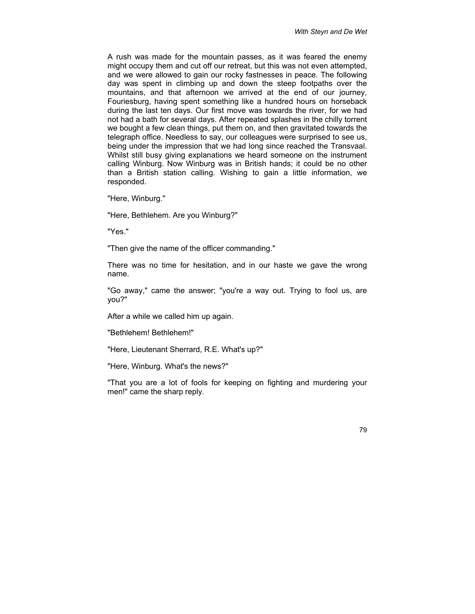A rush was made for the mountain passes, as it was feared the enemy might occupy them and cut off our retreat, but this was not even attempted, and we were allowed to gain our rocky fastnesses in peace. The following day was spent in climbing up and down the steep footpaths over the mountains, and that afternoon we arrived at the end of our journey, Fouriesburg, having spent something like a hundred hours on horseback during the last ten days. Our first move was towards the river, for we had not had a bath for several days. After repeated splashes in the chilly torrent we bought a few clean things, put them on, and then gravitated towards the telegraph office. Needless to say, our colleagues were surprised to see us, being under the impression that we had long since reached the Transvaal. Whilst still busy giving explanations we heard someone on the instrument calling Winburg. Now Winburg was in British hands; it could be no other than a British station calling. Wishing to gain a little information, we responded.

"Here, Winburg."

"Here, Bethlehem. Are you Winburg?"

"Yes."

"Then give the name of the officer commanding."

There was no time for hesitation, and in our haste we gave the wrong name.

"Go away," came the answer; "you're a way out. Trying to fool us, are you?"

After a while we called him up again.

"Bethlehem! Bethlehem!"

"Here, Lieutenant Sherrard, R.E. What's up?"

"Here, Winburg. What's the news?"

"That you are a lot of fools for keeping on fighting and murdering your men!" came the sharp reply.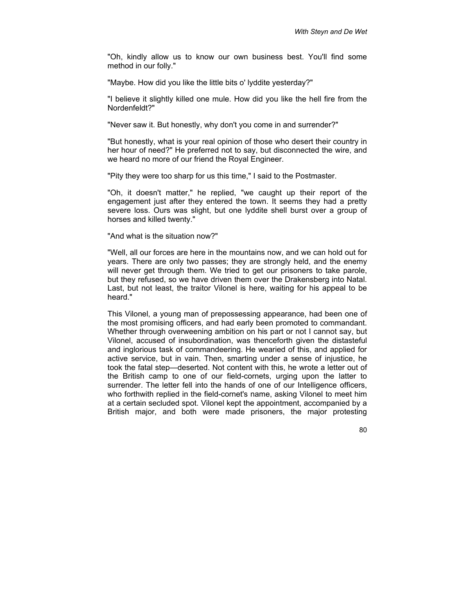"Oh, kindly allow us to know our own business best. You'll find some method in our folly."

"Maybe. How did you like the little bits o' lyddite yesterday?"

"I believe it slightly killed one mule. How did you like the hell fire from the Nordenfeldt?"

"Never saw it. But honestly, why don't you come in and surrender?"

"But honestly, what is your real opinion of those who desert their country in her hour of need?" He preferred not to say, but disconnected the wire, and we heard no more of our friend the Royal Engineer.

"Pity they were too sharp for us this time," I said to the Postmaster.

"Oh, it doesn't matter," he replied, "we caught up their report of the engagement just after they entered the town. It seems they had a pretty severe loss. Ours was slight, but one lyddite shell burst over a group of horses and killed twenty."

"And what is the situation now?"

"Well, all our forces are here in the mountains now, and we can hold out for years. There are only two passes; they are strongly held, and the enemy will never get through them. We tried to get our prisoners to take parole, but they refused, so we have driven them over the Drakensberg into Natal. Last, but not least, the traitor Vilonel is here, waiting for his appeal to be heard."

This Vilonel, a young man of prepossessing appearance, had been one of the most promising officers, and had early been promoted to commandant. Whether through overweening ambition on his part or not I cannot say, but Vilonel, accused of insubordination, was thenceforth given the distasteful and inglorious task of commandeering. He wearied of this, and applied for active service, but in vain. Then, smarting under a sense of injustice, he took the fatal step—deserted. Not content with this, he wrote a letter out of the British camp to one of our field-cornets, urging upon the latter to surrender. The letter fell into the hands of one of our Intelligence officers, who forthwith replied in the field-cornet's name, asking Vilonel to meet him at a certain secluded spot. Vilonel kept the appointment, accompanied by a British major, and both were made prisoners, the major protesting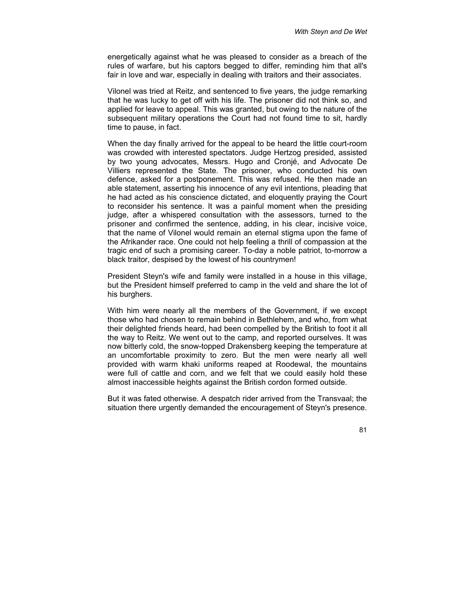energetically against what he was pleased to consider as a breach of the rules of warfare, but his captors begged to differ, reminding him that all's fair in love and war, especially in dealing with traitors and their associates.

Vilonel was tried at Reitz, and sentenced to five years, the judge remarking that he was lucky to get off with his life. The prisoner did not think so, and applied for leave to appeal. This was granted, but owing to the nature of the subsequent military operations the Court had not found time to sit, hardly time to pause, in fact.

When the day finally arrived for the appeal to be heard the little court-room was crowded with interested spectators. Judge Hertzog presided, assisted by two young advocates, Messrs. Hugo and Cronjé, and Advocate De Villiers represented the State. The prisoner, who conducted his own defence, asked for a postponement. This was refused. He then made an able statement, asserting his innocence of any evil intentions, pleading that he had acted as his conscience dictated, and eloquently praying the Court to reconsider his sentence. It was a painful moment when the presiding judge, after a whispered consultation with the assessors, turned to the prisoner and confirmed the sentence, adding, in his clear, incisive voice, that the name of Vilonel would remain an eternal stigma upon the fame of the Afrikander race. One could not help feeling a thrill of compassion at the tragic end of such a promising career. To-day a noble patriot, to-morrow a black traitor, despised by the lowest of his countrymen!

President Steyn's wife and family were installed in a house in this village, but the President himself preferred to camp in the veld and share the lot of his burghers.

With him were nearly all the members of the Government, if we except those who had chosen to remain behind in Bethlehem, and who, from what their delighted friends heard, had been compelled by the British to foot it all the way to Reitz. We went out to the camp, and reported ourselves. It was now bitterly cold, the snow-topped Drakensberg keeping the temperature at an uncomfortable proximity to zero. But the men were nearly all well provided with warm khaki uniforms reaped at Roodewal, the mountains were full of cattle and corn, and we felt that we could easily hold these almost inaccessible heights against the British cordon formed outside.

But it was fated otherwise. A despatch rider arrived from the Transvaal; the situation there urgently demanded the encouragement of Steyn's presence.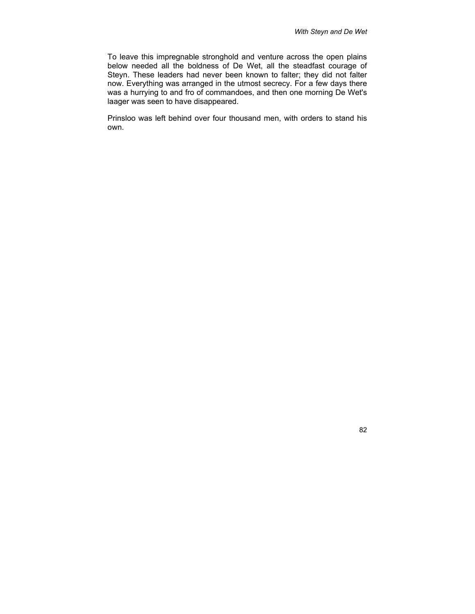To leave this impregnable stronghold and venture across the open plains below needed all the boldness of De Wet, all the steadfast courage of Steyn. These leaders had never been known to falter; they did not falter now. Everything was arranged in the utmost secrecy. For a few days there was a hurrying to and fro of commandoes, and then one morning De Wet's laager was seen to have disappeared.

Prinsloo was left behind over four thousand men, with orders to stand his own.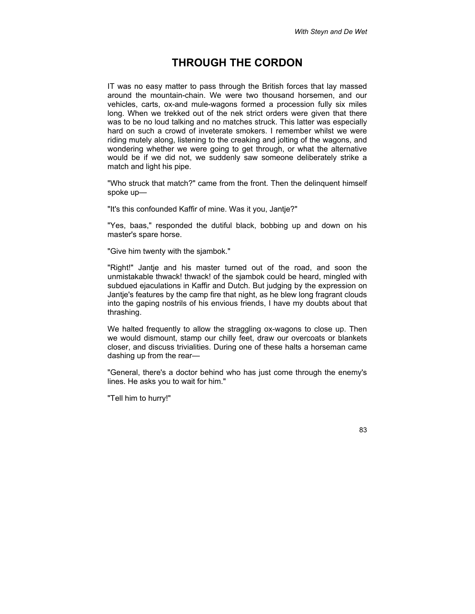## **THROUGH THE CORDON**

IT was no easy matter to pass through the British forces that lay massed around the mountain-chain. We were two thousand horsemen, and our vehicles, carts, ox-and mule-wagons formed a procession fully six miles long. When we trekked out of the nek strict orders were given that there was to be no loud talking and no matches struck. This latter was especially hard on such a crowd of inveterate smokers. I remember whilst we were riding mutely along, listening to the creaking and jolting of the wagons, and wondering whether we were going to get through, or what the alternative would be if we did not, we suddenly saw someone deliberately strike a match and light his pipe.

"Who struck that match?" came from the front. Then the delinquent himself spoke up—

"It's this confounded Kaffir of mine. Was it you, Jantje?"

"Yes, baas," responded the dutiful black, bobbing up and down on his master's spare horse.

"Give him twenty with the sjambok."

"Right!" Jantje and his master turned out of the road, and soon the unmistakable thwack! thwack! of the sjambok could be heard, mingled with subdued ejaculations in Kaffir and Dutch. But judging by the expression on Jantje's features by the camp fire that night, as he blew long fragrant clouds into the gaping nostrils of his envious friends, I have my doubts about that thrashing.

We halted frequently to allow the straggling ox-wagons to close up. Then we would dismount, stamp our chilly feet, draw our overcoats or blankets closer, and discuss trivialities. During one of these halts a horseman came dashing up from the rear—

"General, there's a doctor behind who has just come through the enemy's lines. He asks you to wait for him."

"Tell him to hurry!"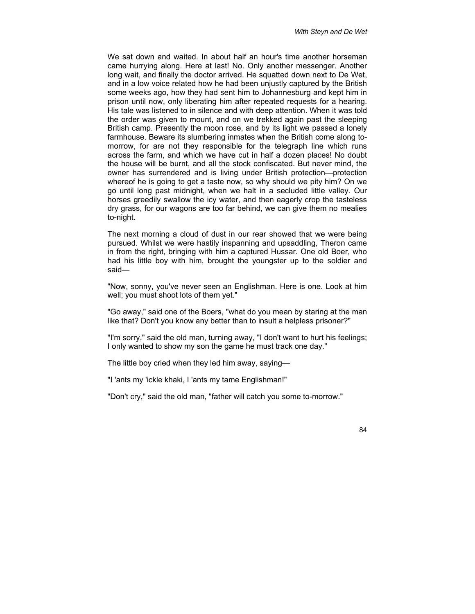We sat down and waited. In about half an hour's time another horseman came hurrying along. Here at last! No. Only another messenger. Another long wait, and finally the doctor arrived. He squatted down next to De Wet, and in a low voice related how he had been unjustly captured by the British some weeks ago, how they had sent him to Johannesburg and kept him in prison until now, only liberating him after repeated requests for a hearing. His tale was listened to in silence and with deep attention. When it was told the order was given to mount, and on we trekked again past the sleeping British camp. Presently the moon rose, and by its light we passed a lonely farmhouse. Beware its slumbering inmates when the British come along tomorrow, for are not they responsible for the telegraph line which runs across the farm, and which we have cut in half a dozen places! No doubt the house will be burnt, and all the stock confiscated. But never mind, the owner has surrendered and is living under British protection—protection whereof he is going to get a taste now, so why should we pity him? On we go until long past midnight, when we halt in a secluded little valley. Our horses greedily swallow the icy water, and then eagerly crop the tasteless dry grass, for our wagons are too far behind, we can give them no mealies to-night.

The next morning a cloud of dust in our rear showed that we were being pursued. Whilst we were hastily inspanning and upsaddling, Theron came in from the right, bringing with him a captured Hussar. One old Boer, who had his little boy with him, brought the youngster up to the soldier and said—

"Now, sonny, you've never seen an Englishman. Here is one. Look at him well; you must shoot lots of them yet."

"Go away," said one of the Boers, "what do you mean by staring at the man like that? Don't you know any better than to insult a helpless prisoner?"

"I'm sorry," said the old man, turning away, "I don't want to hurt his feelings; I only wanted to show my son the game he must track one day."

The little boy cried when they led him away, saying—

"I 'ants my 'ickle khaki, I 'ants my tame Englishman!"

"Don't cry," said the old man, "father will catch you some to-morrow."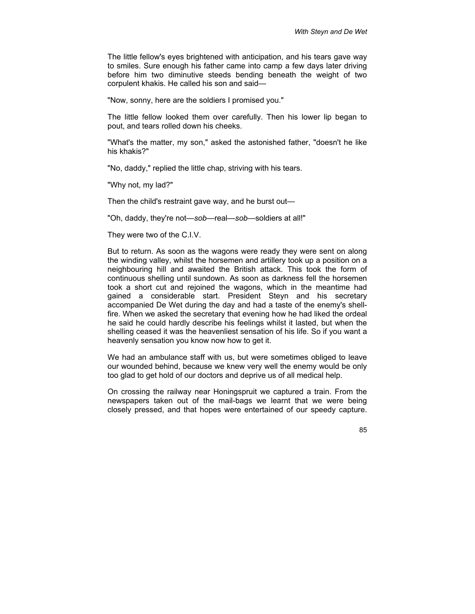The little fellow's eyes brightened with anticipation, and his tears gave way to smiles. Sure enough his father came into camp a few days later driving before him two diminutive steeds bending beneath the weight of two corpulent khakis. He called his son and said—

"Now, sonny, here are the soldiers I promised you."

The little fellow looked them over carefully. Then his lower lip began to pout, and tears rolled down his cheeks.

"What's the matter, my son," asked the astonished father, "doesn't he like his khakis?"

"No, daddy," replied the little chap, striving with his tears.

"Why not, my lad?"

Then the child's restraint gave way, and he burst out—

"Oh, daddy, they're not—*sob*—real—*sob*—soldiers at all!"

They were two of the C.I.V.

But to return. As soon as the wagons were ready they were sent on along the winding valley, whilst the horsemen and artillery took up a position on a neighbouring hill and awaited the British attack. This took the form of continuous shelling until sundown. As soon as darkness fell the horsemen took a short cut and rejoined the wagons, which in the meantime had gained a considerable start. President Steyn and his secretary accompanied De Wet during the day and had a taste of the enemy's shellfire. When we asked the secretary that evening how he had liked the ordeal he said he could hardly describe his feelings whilst it lasted, but when the shelling ceased it was the heavenliest sensation of his life. So if you want a heavenly sensation you know now how to get it.

We had an ambulance staff with us, but were sometimes obliged to leave our wounded behind, because we knew very well the enemy would be only too glad to get hold of our doctors and deprive us of all medical help.

On crossing the railway near Honingspruit we captured a train. From the newspapers taken out of the mail-bags we learnt that we were being closely pressed, and that hopes were entertained of our speedy capture.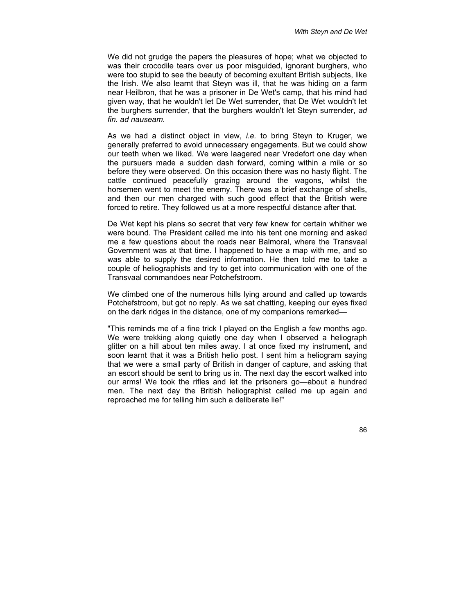We did not grudge the papers the pleasures of hope; what we objected to was their crocodile tears over us poor misguided, ignorant burghers, who were too stupid to see the beauty of becoming exultant British subjects, like the Irish. We also learnt that Steyn was ill, that he was hiding on a farm near Heilbron, that he was a prisoner in De Wet's camp, that his mind had given way, that he wouldn't let De Wet surrender, that De Wet wouldn't let the burghers surrender, that the burghers wouldn't let Steyn surrender, *ad fin. ad nauseam*.

As we had a distinct object in view, *i.e.* to bring Steyn to Kruger, we generally preferred to avoid unnecessary engagements. But we could show our teeth when we liked. We were laagered near Vredefort one day when the pursuers made a sudden dash forward, coming within a mile or so before they were observed. On this occasion there was no hasty flight. The cattle continued peacefully grazing around the wagons, whilst the horsemen went to meet the enemy. There was a brief exchange of shells, and then our men charged with such good effect that the British were forced to retire. They followed us at a more respectful distance after that.

De Wet kept his plans so secret that very few knew for certain whither we were bound. The President called me into his tent one morning and asked me a few questions about the roads near Balmoral, where the Transvaal Government was at that time. I happened to have a map with me, and so was able to supply the desired information. He then told me to take a couple of heliographists and try to get into communication with one of the Transvaal commandoes near Potchefstroom.

We climbed one of the numerous hills lying around and called up towards Potchefstroom, but got no reply. As we sat chatting, keeping our eyes fixed on the dark ridges in the distance, one of my companions remarked—

"This reminds me of a fine trick I played on the English a few months ago. We were trekking along quietly one day when I observed a heliograph glitter on a hill about ten miles away. I at once fixed my instrument, and soon learnt that it was a British helio post. I sent him a heliogram saying that we were a small party of British in danger of capture, and asking that an escort should be sent to bring us in. The next day the escort walked into our arms! We took the rifles and let the prisoners go—about a hundred men. The next day the British heliographist called me up again and reproached me for telling him such a deliberate lie!"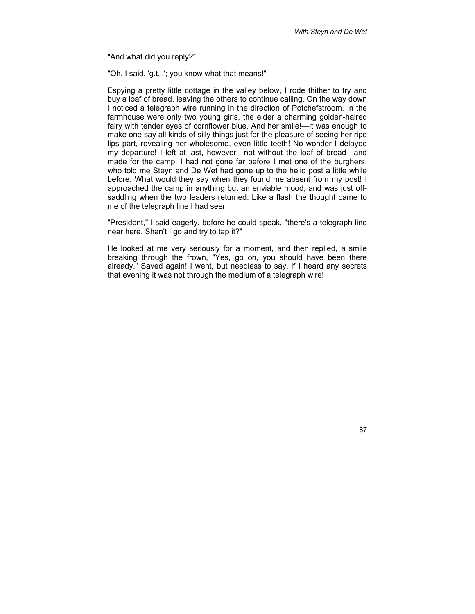"And what did you reply?"

"Oh, I said, 'g.t.l.'; you know what that means!"

Espying a pretty little cottage in the valley below, I rode thither to try and buy a loaf of bread, leaving the others to continue calling. On the way down I noticed a telegraph wire running in the direction of Potchefstroom. In the farmhouse were only two young girls, the elder a charming golden-haired fairy with tender eyes of cornflower blue. And her smile!—it was enough to make one say all kinds of silly things just for the pleasure of seeing her ripe lips part, revealing her wholesome, even little teeth! No wonder I delayed my departure! I left at last, however—not without the loaf of bread—and made for the camp. I had not gone far before I met one of the burghers, who told me Steyn and De Wet had gone up to the helio post a little while before. What would they say when they found me absent from my post! I approached the camp in anything but an enviable mood, and was just offsaddling when the two leaders returned. Like a flash the thought came to me of the telegraph line I had seen.

"President," I said eagerly, before he could speak, "there's a telegraph line near here. Shan't I go and try to tap it?"

He looked at me very seriously for a moment, and then replied, a smile breaking through the frown, "Yes, go on, you should have been there already." Saved again! I went, but needless to say, if I heard any secrets that evening it was not through the medium of a telegraph wire!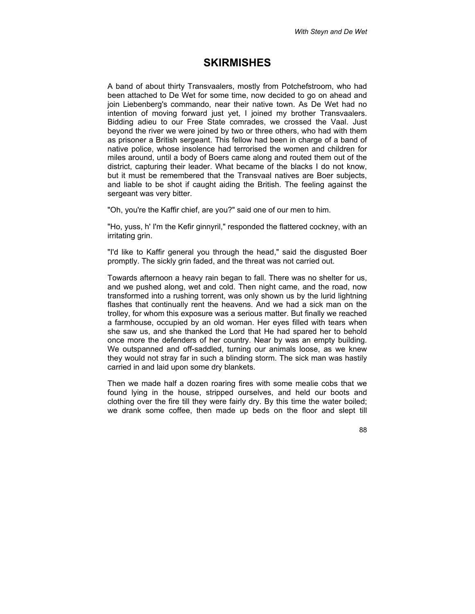### **SKIRMISHES**

A band of about thirty Transvaalers, mostly from Potchefstroom, who had been attached to De Wet for some time, now decided to go on ahead and join Liebenberg's commando, near their native town. As De Wet had no intention of moving forward just yet, I joined my brother Transvaalers. Bidding adieu to our Free State comrades, we crossed the Vaal. Just beyond the river we were joined by two or three others, who had with them as prisoner a British sergeant. This fellow had been in charge of a band of native police, whose insolence had terrorised the women and children for miles around, until a body of Boers came along and routed them out of the district, capturing their leader. What became of the blacks I do not know, but it must be remembered that the Transvaal natives are Boer subjects, and liable to be shot if caught aiding the British. The feeling against the sergeant was very bitter.

"Oh, you're the Kaffir chief, are you?" said one of our men to him.

"Ho, yuss, h' I'm the Kefir ginnyril," responded the flattered cockney, with an irritating grin.

"I'd like to Kaffir general you through the head," said the disgusted Boer promptly. The sickly grin faded, and the threat was not carried out.

Towards afternoon a heavy rain began to fall. There was no shelter for us, and we pushed along, wet and cold. Then night came, and the road, now transformed into a rushing torrent, was only shown us by the lurid lightning flashes that continually rent the heavens. And we had a sick man on the trolley, for whom this exposure was a serious matter. But finally we reached a farmhouse, occupied by an old woman. Her eyes filled with tears when she saw us, and she thanked the Lord that He had spared her to behold once more the defenders of her country. Near by was an empty building. We outspanned and off-saddled, turning our animals loose, as we knew they would not stray far in such a blinding storm. The sick man was hastily carried in and laid upon some dry blankets.

Then we made half a dozen roaring fires with some mealie cobs that we found lying in the house, stripped ourselves, and held our boots and clothing over the fire till they were fairly dry. By this time the water boiled; we drank some coffee, then made up beds on the floor and slept till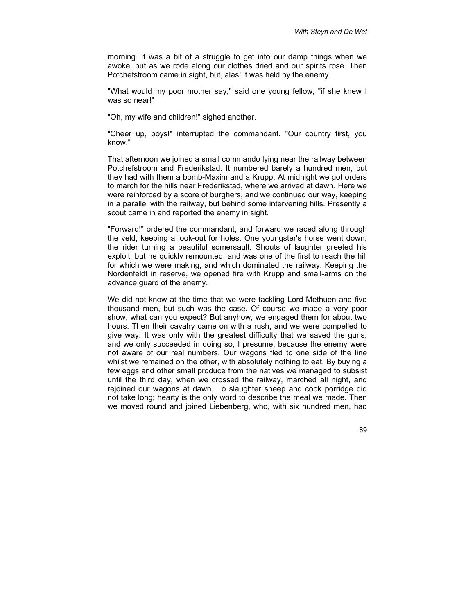morning. It was a bit of a struggle to get into our damp things when we awoke, but as we rode along our clothes dried and our spirits rose. Then Potchefstroom came in sight, but, alas! it was held by the enemy.

"What would my poor mother say," said one young fellow, "if she knew I was so near!"

"Oh, my wife and children!" sighed another.

"Cheer up, boys!" interrupted the commandant. "Our country first, you know."

That afternoon we joined a small commando lying near the railway between Potchefstroom and Frederikstad. It numbered barely a hundred men, but they had with them a bomb-Maxim and a Krupp. At midnight we got orders to march for the hills near Frederikstad, where we arrived at dawn. Here we were reinforced by a score of burghers, and we continued our way, keeping in a parallel with the railway, but behind some intervening hills. Presently a scout came in and reported the enemy in sight.

"Forward!" ordered the commandant, and forward we raced along through the veld, keeping a look-out for holes. One youngster's horse went down, the rider turning a beautiful somersault. Shouts of laughter greeted his exploit, but he quickly remounted, and was one of the first to reach the hill for which we were making, and which dominated the railway. Keeping the Nordenfeldt in reserve, we opened fire with Krupp and small-arms on the advance quard of the enemy.

We did not know at the time that we were tackling Lord Methuen and five thousand men, but such was the case. Of course we made a very poor show; what can you expect? But anyhow, we engaged them for about two hours. Then their cavalry came on with a rush, and we were compelled to give way. It was only with the greatest difficulty that we saved the guns, and we only succeeded in doing so, I presume, because the enemy were not aware of our real numbers. Our wagons fled to one side of the line whilst we remained on the other, with absolutely nothing to eat. By buying a few eggs and other small produce from the natives we managed to subsist until the third day, when we crossed the railway, marched all night, and rejoined our wagons at dawn. To slaughter sheep and cook porridge did not take long; hearty is the only word to describe the meal we made. Then we moved round and joined Liebenberg, who, with six hundred men, had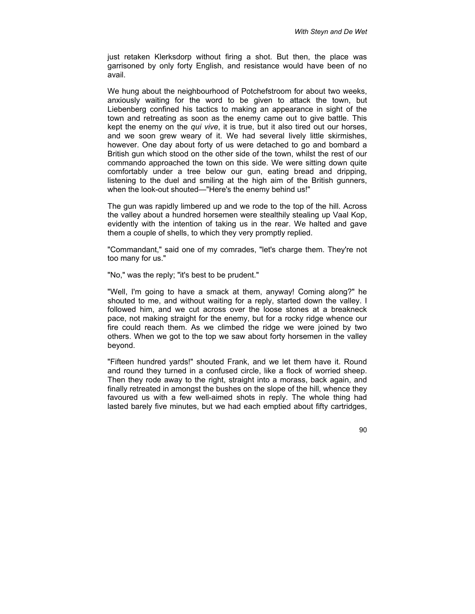just retaken Klerksdorp without firing a shot. But then, the place was garrisoned by only forty English, and resistance would have been of no avail.

We hung about the neighbourhood of Potchefstroom for about two weeks, anxiously waiting for the word to be given to attack the town, but Liebenberg confined his tactics to making an appearance in sight of the town and retreating as soon as the enemy came out to give battle. This kept the enemy on the *qui vive*, it is true, but it also tired out our horses, and we soon grew weary of it. We had several lively little skirmishes, however. One day about forty of us were detached to go and bombard a British gun which stood on the other side of the town, whilst the rest of our commando approached the town on this side. We were sitting down quite comfortably under a tree below our gun, eating bread and dripping, listening to the duel and smiling at the high aim of the British gunners, when the look-out shouted—"Here's the enemy behind us!"

The gun was rapidly limbered up and we rode to the top of the hill. Across the valley about a hundred horsemen were stealthily stealing up Vaal Kop, evidently with the intention of taking us in the rear. We halted and gave them a couple of shells, to which they very promptly replied.

"Commandant," said one of my comrades, "let's charge them. They're not too many for us."

"No," was the reply; "it's best to be prudent."

"Well, I'm going to have a smack at them, anyway! Coming along?" he shouted to me, and without waiting for a reply, started down the valley. I followed him, and we cut across over the loose stones at a breakneck pace, not making straight for the enemy, but for a rocky ridge whence our fire could reach them. As we climbed the ridge we were joined by two others. When we got to the top we saw about forty horsemen in the valley beyond.

"Fifteen hundred yards!" shouted Frank, and we let them have it. Round and round they turned in a confused circle, like a flock of worried sheep. Then they rode away to the right, straight into a morass, back again, and finally retreated in amongst the bushes on the slope of the hill, whence they favoured us with a few well-aimed shots in reply. The whole thing had lasted barely five minutes, but we had each emptied about fifty cartridges,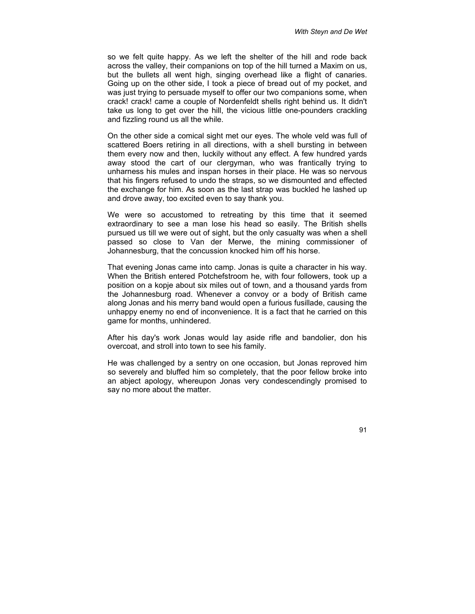so we felt quite happy. As we left the shelter of the hill and rode back across the valley, their companions on top of the hill turned a Maxim on us, but the bullets all went high, singing overhead like a flight of canaries. Going up on the other side, I took a piece of bread out of my pocket, and was just trying to persuade myself to offer our two companions some, when crack! crack! came a couple of Nordenfeldt shells right behind us. It didn't take us long to get over the hill, the vicious little one-pounders crackling and fizzling round us all the while.

On the other side a comical sight met our eyes. The whole veld was full of scattered Boers retiring in all directions, with a shell bursting in between them every now and then, luckily without any effect. A few hundred yards away stood the cart of our clergyman, who was frantically trying to unharness his mules and inspan horses in their place. He was so nervous that his fingers refused to undo the straps, so we dismounted and effected the exchange for him. As soon as the last strap was buckled he lashed up and drove away, too excited even to say thank you.

We were so accustomed to retreating by this time that it seemed extraordinary to see a man lose his head so easily. The British shells pursued us till we were out of sight, but the only casualty was when a shell passed so close to Van der Merwe, the mining commissioner of Johannesburg, that the concussion knocked him off his horse.

That evening Jonas came into camp. Jonas is quite a character in his way. When the British entered Potchefstroom he, with four followers, took up a position on a kopje about six miles out of town, and a thousand yards from the Johannesburg road. Whenever a convoy or a body of British came along Jonas and his merry band would open a furious fusillade, causing the unhappy enemy no end of inconvenience. It is a fact that he carried on this game for months, unhindered.

After his day's work Jonas would lay aside rifle and bandolier, don his overcoat, and stroll into town to see his family.

He was challenged by a sentry on one occasion, but Jonas reproved him so severely and bluffed him so completely, that the poor fellow broke into an abject apology, whereupon Jonas very condescendingly promised to say no more about the matter.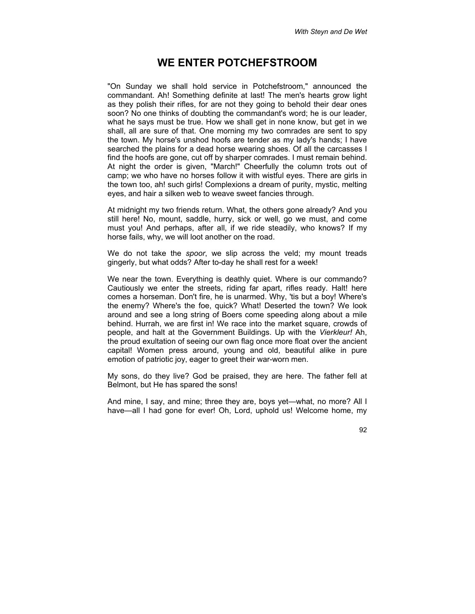#### **WE ENTER POTCHEFSTROOM**

"On Sunday we shall hold service in Potchefstroom," announced the commandant. Ah! Something definite at last! The men's hearts grow light as they polish their rifles, for are not they going to behold their dear ones soon? No one thinks of doubting the commandant's word; he is our leader, what he says must be true. How we shall get in none know, but get in we shall, all are sure of that. One morning my two comrades are sent to spy the town. My horse's unshod hoofs are tender as my lady's hands; I have searched the plains for a dead horse wearing shoes. Of all the carcasses I find the hoofs are gone, cut off by sharper comrades. I must remain behind. At night the order is given, "March!" Cheerfully the column trots out of camp; we who have no horses follow it with wistful eyes. There are girls in the town too, ah! such girls! Complexions a dream of purity, mystic, melting eyes, and hair a silken web to weave sweet fancies through.

At midnight my two friends return. What, the others gone already? And you still here! No, mount, saddle, hurry, sick or well, go we must, and come must you! And perhaps, after all, if we ride steadily, who knows? If my horse fails, why, we will loot another on the road.

We do not take the *spoor*, we slip across the veld; my mount treads gingerly, but what odds? After to-day he shall rest for a week!

We near the town. Everything is deathly quiet. Where is our commando? Cautiously we enter the streets, riding far apart, rifles ready. Halt! here comes a horseman. Don't fire, he is unarmed. Why, 'tis but a boy! Where's the enemy? Where's the foe, quick? What! Deserted the town? We look around and see a long string of Boers come speeding along about a mile behind. Hurrah, we are first in! We race into the market square, crowds of people, and halt at the Government Buildings. Up with the *Vierkleur!* Ah, the proud exultation of seeing our own flag once more float over the ancient capital! Women press around, young and old, beautiful alike in pure emotion of patriotic joy, eager to greet their war-worn men.

My sons, do they live? God be praised, they are here. The father fell at Belmont, but He has spared the sons!

And mine, I say, and mine; three they are, boys yet—what, no more? All I have—all I had gone for ever! Oh, Lord, uphold us! Welcome home, my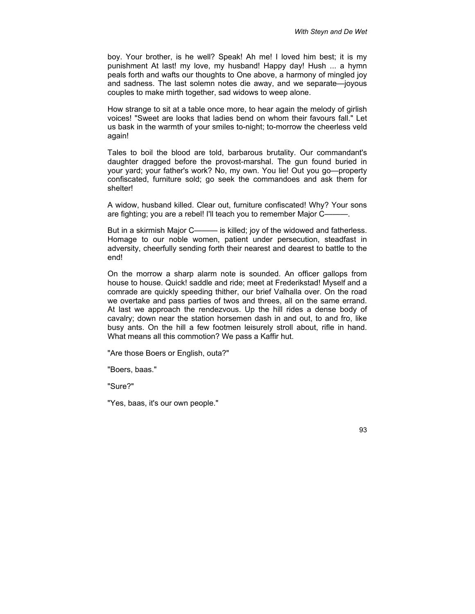boy. Your brother, is he well? Speak! Ah me! I loved him best; it is my punishment At last! my love, my husband! Happy day! Hush ... a hymn peals forth and wafts our thoughts to One above, a harmony of mingled joy and sadness. The last solemn notes die away, and we separate—joyous couples to make mirth together, sad widows to weep alone.

How strange to sit at a table once more, to hear again the melody of girlish voices! "Sweet are looks that ladies bend on whom their favours fall." Let us bask in the warmth of your smiles to-night; to-morrow the cheerless veld again!

Tales to boil the blood are told, barbarous brutality. Our commandant's daughter dragged before the provost-marshal. The gun found buried in your yard; your father's work? No, my own. You lie! Out you go—property confiscated, furniture sold; go seek the commandoes and ask them for shelter!

A widow, husband killed. Clear out, furniture confiscated! Why? Your sons are fighting; you are a rebel! I'll teach you to remember Major C———.

But in a skirmish Major C——— is killed; joy of the widowed and fatherless. Homage to our noble women, patient under persecution, steadfast in adversity, cheerfully sending forth their nearest and dearest to battle to the end!

On the morrow a sharp alarm note is sounded. An officer gallops from house to house. Quick! saddle and ride; meet at Frederikstad! Myself and a comrade are quickly speeding thither, our brief Valhalla over. On the road we overtake and pass parties of twos and threes, all on the same errand. At last we approach the rendezvous. Up the hill rides a dense body of cavalry; down near the station horsemen dash in and out, to and fro, like busy ants. On the hill a few footmen leisurely stroll about, rifle in hand. What means all this commotion? We pass a Kaffir hut.

"Are those Boers or English, outa?"

"Boers, baas."

"Sure?"

"Yes, baas, it's our own people."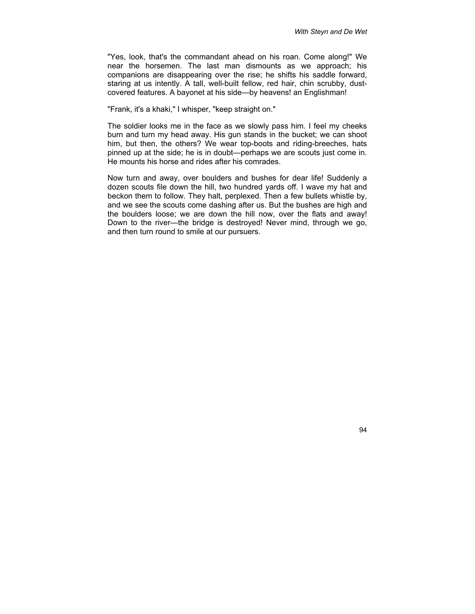"Yes, look, that's the commandant ahead on his roan. Come along!" We near the horsemen. The last man dismounts as we approach; his companions are disappearing over the rise; he shifts his saddle forward, staring at us intently. A tall, well-built fellow, red hair, chin scrubby, dustcovered features. A bayonet at his side—by heavens! an Englishman!

"Frank, it's a khaki," I whisper, "keep straight on."

The soldier looks me in the face as we slowly pass him. I feel my cheeks burn and turn my head away. His gun stands in the bucket; we can shoot him, but then, the others? We wear top-boots and riding-breeches, hats pinned up at the side; he is in doubt—perhaps we are scouts just come in. He mounts his horse and rides after his comrades.

Now turn and away, over boulders and bushes for dear life! Suddenly a dozen scouts file down the hill, two hundred yards off. I wave my hat and beckon them to follow. They halt, perplexed. Then a few bullets whistle by, and we see the scouts come dashing after us. But the bushes are high and the boulders loose; we are down the hill now, over the flats and away! Down to the river—the bridge is destroyed! Never mind, through we go, and then turn round to smile at our pursuers.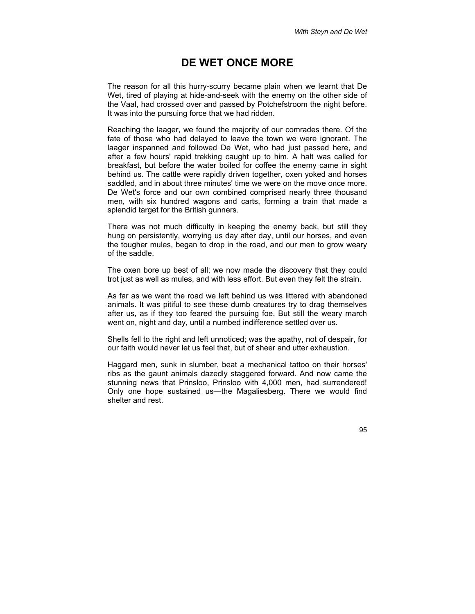## **DE WET ONCE MORE**

The reason for all this hurry-scurry became plain when we learnt that De Wet, tired of playing at hide-and-seek with the enemy on the other side of the Vaal, had crossed over and passed by Potchefstroom the night before. It was into the pursuing force that we had ridden.

Reaching the laager, we found the majority of our comrades there. Of the fate of those who had delayed to leave the town we were ignorant. The laager inspanned and followed De Wet, who had just passed here, and after a few hours' rapid trekking caught up to him. A halt was called for breakfast, but before the water boiled for coffee the enemy came in sight behind us. The cattle were rapidly driven together, oxen yoked and horses saddled, and in about three minutes' time we were on the move once more. De Wet's force and our own combined comprised nearly three thousand men, with six hundred wagons and carts, forming a train that made a splendid target for the British gunners.

There was not much difficulty in keeping the enemy back, but still they hung on persistently, worrying us day after day, until our horses, and even the tougher mules, began to drop in the road, and our men to grow weary of the saddle.

The oxen bore up best of all; we now made the discovery that they could trot just as well as mules, and with less effort. But even they felt the strain.

As far as we went the road we left behind us was littered with abandoned animals. It was pitiful to see these dumb creatures try to drag themselves after us, as if they too feared the pursuing foe. But still the weary march went on, night and day, until a numbed indifference settled over us.

Shells fell to the right and left unnoticed; was the apathy, not of despair, for our faith would never let us feel that, but of sheer and utter exhaustion.

Haggard men, sunk in slumber, beat a mechanical tattoo on their horses' ribs as the gaunt animals dazedly staggered forward. And now came the stunning news that Prinsloo, Prinsloo with 4,000 men, had surrendered! Only one hope sustained us—the Magaliesberg. There we would find shelter and rest.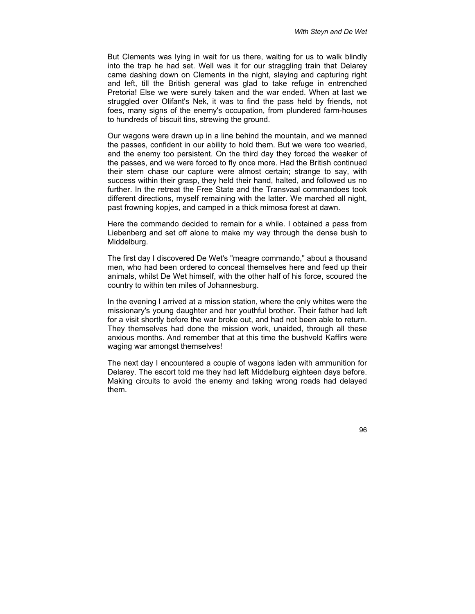But Clements was lying in wait for us there, waiting for us to walk blindly into the trap he had set. Well was it for our straggling train that Delarey came dashing down on Clements in the night, slaying and capturing right and left, till the British general was glad to take refuge in entrenched Pretoria! Else we were surely taken and the war ended. When at last we struggled over Olifant's Nek, it was to find the pass held by friends, not foes, many signs of the enemy's occupation, from plundered farm-houses to hundreds of biscuit tins, strewing the ground.

Our wagons were drawn up in a line behind the mountain, and we manned the passes, confident in our ability to hold them. But we were too wearied, and the enemy too persistent. On the third day they forced the weaker of the passes, and we were forced to fly once more. Had the British continued their stern chase our capture were almost certain; strange to say, with success within their grasp, they held their hand, halted, and followed us no further. In the retreat the Free State and the Transvaal commandoes took different directions, myself remaining with the latter. We marched all night, past frowning kopjes, and camped in a thick mimosa forest at dawn.

Here the commando decided to remain for a while. I obtained a pass from Liebenberg and set off alone to make my way through the dense bush to Middelburg.

The first day I discovered De Wet's "meagre commando," about a thousand men, who had been ordered to conceal themselves here and feed up their animals, whilst De Wet himself, with the other half of his force, scoured the country to within ten miles of Johannesburg.

In the evening I arrived at a mission station, where the only whites were the missionary's young daughter and her youthful brother. Their father had left for a visit shortly before the war broke out, and had not been able to return. They themselves had done the mission work, unaided, through all these anxious months. And remember that at this time the bushveld Kaffirs were waging war amongst themselves!

The next day I encountered a couple of wagons laden with ammunition for Delarey. The escort told me they had left Middelburg eighteen days before. Making circuits to avoid the enemy and taking wrong roads had delayed them.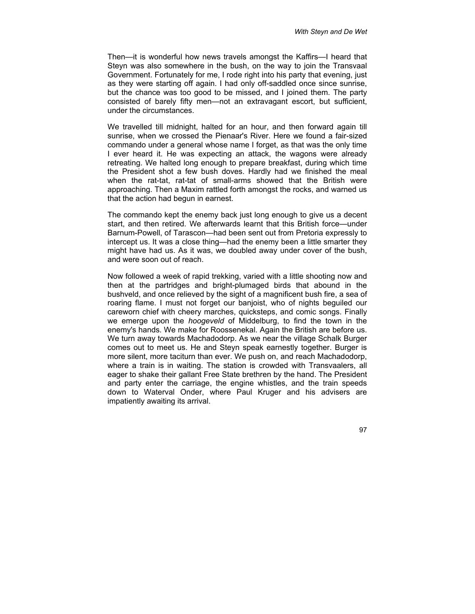Then—it is wonderful how news travels amongst the Kaffirs—I heard that Steyn was also somewhere in the bush, on the way to join the Transvaal Government. Fortunately for me, I rode right into his party that evening, just as they were starting off again. I had only off-saddled once since sunrise, but the chance was too good to be missed, and I joined them. The party consisted of barely fifty men—not an extravagant escort, but sufficient, under the circumstances.

We travelled till midnight, halted for an hour, and then forward again till sunrise, when we crossed the Pienaar's River. Here we found a fair-sized commando under a general whose name I forget, as that was the only time I ever heard it. He was expecting an attack, the wagons were already retreating. We halted long enough to prepare breakfast, during which time the President shot a few bush doves. Hardly had we finished the meal when the rat-tat, rat-tat of small-arms showed that the British were approaching. Then a Maxim rattled forth amongst the rocks, and warned us that the action had begun in earnest.

The commando kept the enemy back just long enough to give us a decent start, and then retired. We afterwards learnt that this British force—under Barnum-Powell, of Tarascon—had been sent out from Pretoria expressly to intercept us. It was a close thing—had the enemy been a little smarter they might have had us. As it was, we doubled away under cover of the bush, and were soon out of reach.

Now followed a week of rapid trekking, varied with a little shooting now and then at the partridges and bright-plumaged birds that abound in the bushveld, and once relieved by the sight of a magnificent bush fire, a sea of roaring flame. I must not forget our banjoist, who of nights beguiled our careworn chief with cheery marches, quicksteps, and comic songs. Finally we emerge upon the *hoogeveld* of Middelburg, to find the town in the enemy's hands. We make for Roossenekal. Again the British are before us. We turn away towards Machadodorp. As we near the village Schalk Burger comes out to meet us. He and Steyn speak earnestly together. Burger is more silent, more taciturn than ever. We push on, and reach Machadodorp, where a train is in waiting. The station is crowded with Transvaalers, all eager to shake their gallant Free State brethren by the hand. The President and party enter the carriage, the engine whistles, and the train speeds down to Waterval Onder, where Paul Kruger and his advisers are impatiently awaiting its arrival.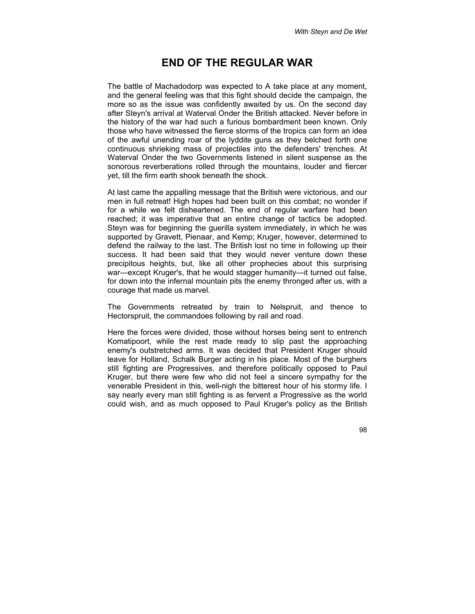## **END OF THE REGULAR WAR**

The battle of Machadodorp was expected to A take place at any moment, and the general feeling was that this fight should decide the campaign, the more so as the issue was confidently awaited by us. On the second day after Steyn's arrival at Waterval Onder the British attacked. Never before in the history of the war had such a furious bombardment been known. Only those who have witnessed the fierce storms of the tropics can form an idea of the awful unending roar of the lyddite guns as they belched forth one continuous shrieking mass of projectiles into the defenders' trenches. At Waterval Onder the two Governments listened in silent suspense as the sonorous reverberations rolled through the mountains, louder and fiercer yet, till the firm earth shook beneath the shock.

At last came the appalling message that the British were victorious, and our men in full retreat! High hopes had been built on this combat; no wonder if for a while we felt disheartened. The end of regular warfare had been reached; it was imperative that an entire change of tactics be adopted. Steyn was for beginning the guerilla system immediately, in which he was supported by Gravett, Pienaar, and Kemp; Kruger, however, determined to defend the railway to the last. The British lost no time in following up their success. It had been said that they would never venture down these precipitous heights, but, like all other prophecies about this surprising war—except Kruger's, that he would stagger humanity—it turned out false, for down into the infernal mountain pits the enemy thronged after us, with a courage that made us marvel.

The Governments retreated by train to Nelspruit, and thence to Hectorspruit, the commandoes following by rail and road.

Here the forces were divided, those without horses being sent to entrench Komatipoort, while the rest made ready to slip past the approaching enemy's outstretched arms. It was decided that President Kruger should leave for Holland, Schalk Burger acting in his place. Most of the burghers still fighting are Progressives, and therefore politically opposed to Paul Kruger, but there were few who did not feel a sincere sympathy for the venerable President in this, well-nigh the bitterest hour of his stormy life. I say nearly every man still fighting is as fervent a Progressive as the world could wish, and as much opposed to Paul Kruger's policy as the British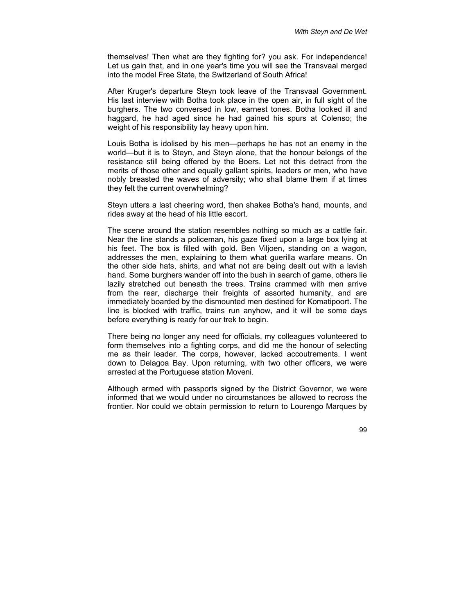themselves! Then what are they fighting for? you ask. For independence! Let us gain that, and in one year's time you will see the Transvaal merged into the model Free State, the Switzerland of South Africa!

After Kruger's departure Steyn took leave of the Transvaal Government. His last interview with Botha took place in the open air, in full sight of the burghers. The two conversed in low, earnest tones. Botha looked ill and haggard, he had aged since he had gained his spurs at Colenso; the weight of his responsibility lay heavy upon him.

Louis Botha is idolised by his men—perhaps he has not an enemy in the world—but it is to Steyn, and Steyn alone, that the honour belongs of the resistance still being offered by the Boers. Let not this detract from the merits of those other and equally gallant spirits, leaders or men, who have nobly breasted the waves of adversity; who shall blame them if at times they felt the current overwhelming?

Steyn utters a last cheering word, then shakes Botha's hand, mounts, and rides away at the head of his little escort.

The scene around the station resembles nothing so much as a cattle fair. Near the line stands a policeman, his gaze fixed upon a large box lying at his feet. The box is filled with gold. Ben Viljoen, standing on a wagon, addresses the men, explaining to them what guerilla warfare means. On the other side hats, shirts, and what not are being dealt out with a lavish hand. Some burghers wander off into the bush in search of game, others lie lazily stretched out beneath the trees. Trains crammed with men arrive from the rear, discharge their freights of assorted humanity, and are immediately boarded by the dismounted men destined for Komatipoort. The line is blocked with traffic, trains run anyhow, and it will be some days before everything is ready for our trek to begin.

There being no longer any need for officials, my colleagues volunteered to form themselves into a fighting corps, and did me the honour of selecting me as their leader. The corps, however, lacked accoutrements. I went down to Delagoa Bay. Upon returning, with two other officers, we were arrested at the Portuguese station Moveni.

Although armed with passports signed by the District Governor, we were informed that we would under no circumstances be allowed to recross the frontier. Nor could we obtain permission to return to Lourengo Marques by